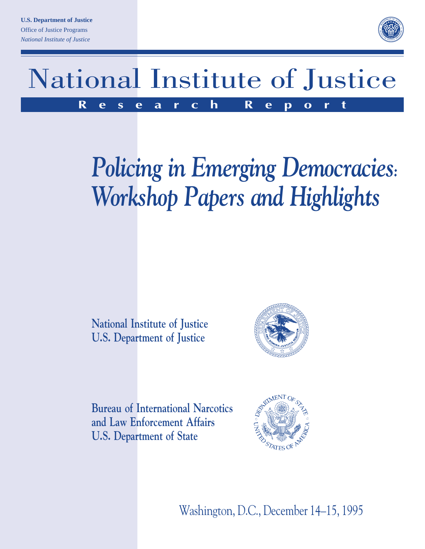

# National Institute of Justice **Research Report**

# *Policing in Emerging Democracies: Workshop Papers and Highlights*

**National Institute of Justice U.S. Department of Justice**



**Bureau of International Narcotics and Law Enforcement Affairs U.S. Department of State**



Washington, D.C., December 14–15, 1995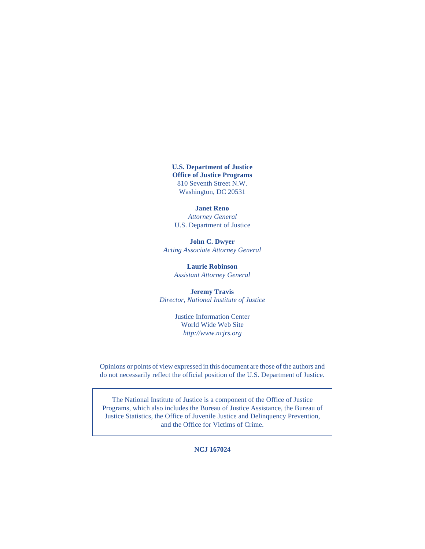**U.S. Department of Justice Office of Justice Programs** 810 Seventh Street N.W. Washington, DC 20531

**Janet Reno** *Attorney General* U.S. Department of Justice

**John C. Dwyer** *Acting Associate Attorney General*

> **Laurie Robinson** *Assistant Attorney General*

**Jeremy Travis** *Director, National Institute of Justice*

> Justice Information Center World Wide Web Site *http://www.ncjrs.org*

Opinions or points of view expressed in this document are those of the authors and do not necessarily reflect the official position of the U.S. Department of Justice.

The National Institute of Justice is a component of the Office of Justice Programs, which also includes the Bureau of Justice Assistance, the Bureau of Justice Statistics, the Office of Juvenile Justice and Delinquency Prevention, and the Office for Victims of Crime.

**NCJ 167024**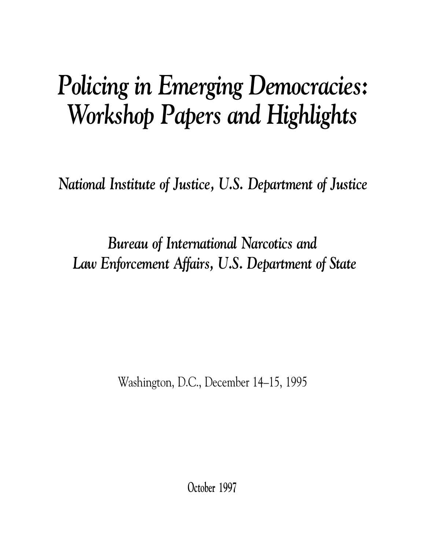# *Policing in Emerging Democracies: Workshop Papers and Highlights*

*National Institute of Justice, U.S. Department of Justice*

*Bureau of International Narcotics and Law Enforcement Affairs, U.S. Department of State*

Washington, D.C., December 14–15, 1995

**October 1997**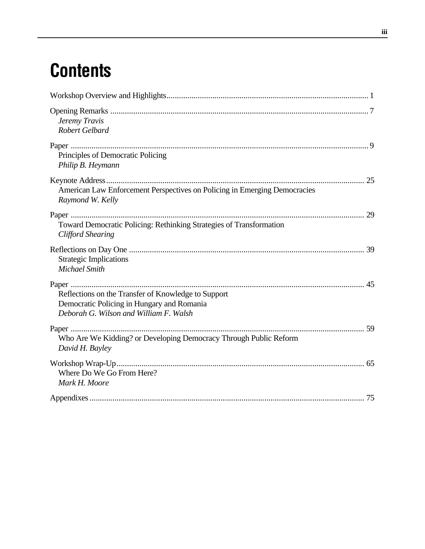# **Contents**

| Jeremy Travis<br>Robert Gelbard                                                                                                             |  |
|---------------------------------------------------------------------------------------------------------------------------------------------|--|
| Principles of Democratic Policing<br>Philip B. Heymann                                                                                      |  |
| American Law Enforcement Perspectives on Policing in Emerging Democracies<br>Raymond W. Kelly                                               |  |
| Toward Democratic Policing: Rethinking Strategies of Transformation<br><b>Clifford Shearing</b>                                             |  |
| <b>Strategic Implications</b><br><b>Michael Smith</b>                                                                                       |  |
| Reflections on the Transfer of Knowledge to Support<br>Democratic Policing in Hungary and Romania<br>Deborah G. Wilson and William F. Walsh |  |
| Paper<br>Who Are We Kidding? or Developing Democracy Through Public Reform<br>David H. Bayley                                               |  |
| Where Do We Go From Here?<br>Mark H. Moore                                                                                                  |  |
|                                                                                                                                             |  |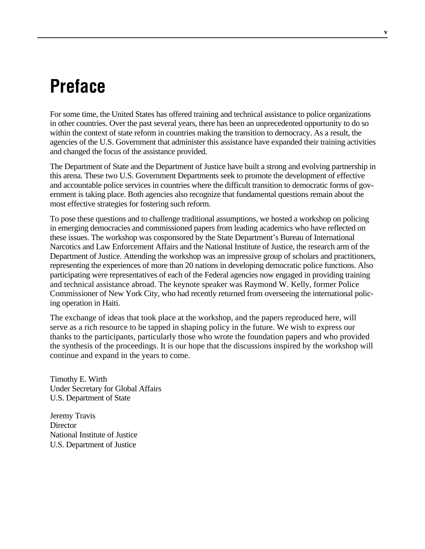# **Preface**

For some time, the United States has offered training and technical assistance to police organizations in other countries. Over the past several years, there has been an unprecedented opportunity to do so within the context of state reform in countries making the transition to democracy. As a result, the agencies of the U.S. Government that administer this assistance have expanded their training activities and changed the focus of the assistance provided.

The Department of State and the Department of Justice have built a strong and evolving partnership in this arena. These two U.S. Government Departments seek to promote the development of effective and accountable police services in countries where the difficult transition to democratic forms of government is taking place. Both agencies also recognize that fundamental questions remain about the most effective strategies for fostering such reform.

To pose these questions and to challenge traditional assumptions, we hosted a workshop on policing in emerging democracies and commissioned papers from leading academics who have reflected on these issues. The workshop was cosponsored by the State Department's Bureau of International Narcotics and Law Enforcement Affairs and the National Institute of Justice, the research arm of the Department of Justice. Attending the workshop was an impressive group of scholars and practitioners, representing the experiences of more than 20 nations in developing democratic police functions. Also participating were representatives of each of the Federal agencies now engaged in providing training and technical assistance abroad. The keynote speaker was Raymond W. Kelly, former Police Commissioner of New York City, who had recently returned from overseeing the international policing operation in Haiti.

The exchange of ideas that took place at the workshop, and the papers reproduced here, will serve as a rich resource to be tapped in shaping policy in the future. We wish to express our thanks to the participants, particularly those who wrote the foundation papers and who provided the synthesis of the proceedings. It is our hope that the discussions inspired by the workshop will continue and expand in the years to come.

Timothy E. Wirth Under Secretary for Global Affairs U.S. Department of State

Jeremy Travis **Director** National Institute of Justice U.S. Department of Justice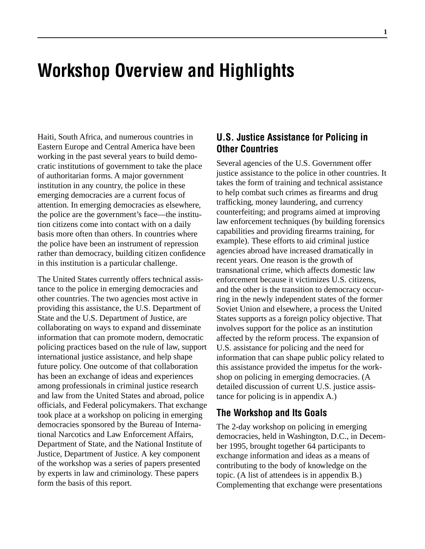# **Workshop Overview and Highlights**

Haiti, South Africa, and numerous countries in Eastern Europe and Central America have been working in the past several years to build democratic institutions of government to take the place of authoritarian forms. A major government institution in any country, the police in these emerging democracies are a current focus of attention. In emerging democracies as elsewhere, the police are the government's face—the institution citizens come into contact with on a daily basis more often than others. In countries where the police have been an instrument of repression rather than democracy, building citizen confidence in this institution is a particular challenge.

The United States currently offers technical assistance to the police in emerging democracies and other countries. The two agencies most active in providing this assistance, the U.S. Department of State and the U.S. Department of Justice, are collaborating on ways to expand and disseminate information that can promote modern, democratic policing practices based on the rule of law, support international justice assistance, and help shape future policy. One outcome of that collaboration has been an exchange of ideas and experiences among professionals in criminal justice research and law from the United States and abroad, police officials, and Federal policymakers. That exchange took place at a workshop on policing in emerging democracies sponsored by the Bureau of International Narcotics and Law Enforcement Affairs, Department of State, and the National Institute of Justice, Department of Justice. A key component of the workshop was a series of papers presented by experts in law and criminology. These papers form the basis of this report.

### **U.S. Justice Assistance for Policing in Other Countries**

Several agencies of the U.S. Government offer justice assistance to the police in other countries. It takes the form of training and technical assistance to help combat such crimes as firearms and drug trafficking, money laundering, and currency counterfeiting; and programs aimed at improving law enforcement techniques (by building forensics capabilities and providing firearms training, for example). These efforts to aid criminal justice agencies abroad have increased dramatically in recent years. One reason is the growth of transnational crime, which affects domestic law enforcement because it victimizes U.S. citizens, and the other is the transition to democracy occurring in the newly independent states of the former Soviet Union and elsewhere, a process the United States supports as a foreign policy objective. That involves support for the police as an institution affected by the reform process. The expansion of U.S. assistance for policing and the need for information that can shape public policy related to this assistance provided the impetus for the workshop on policing in emerging democracies. (A detailed discussion of current U.S. justice assistance for policing is in appendix A.)

### **The Workshop and Its Goals**

The 2-day workshop on policing in emerging democracies, held in Washington, D.C., in December 1995, brought together 64 participants to exchange information and ideas as a means of contributing to the body of knowledge on the topic. (A list of attendees is in appendix B.) Complementing that exchange were presentations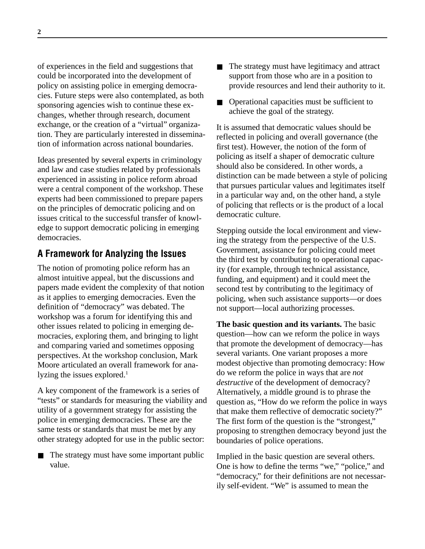of experiences in the field and suggestions that could be incorporated into the development of policy on assisting police in emerging democracies. Future steps were also contemplated, as both sponsoring agencies wish to continue these exchanges, whether through research, document exchange, or the creation of a "virtual" organization. They are particularly interested in dissemination of information across national boundaries.

Ideas presented by several experts in criminology and law and case studies related by professionals experienced in assisting in police reform abroad were a central component of the workshop. These experts had been commissioned to prepare papers on the principles of democratic policing and on issues critical to the successful transfer of knowledge to support democratic policing in emerging democracies.

## **A Framework for Analyzing the Issues**

The notion of promoting police reform has an almost intuitive appeal, but the discussions and papers made evident the complexity of that notion as it applies to emerging democracies. Even the definition of "democracy" was debated. The workshop was a forum for identifying this and other issues related to policing in emerging democracies, exploring them, and bringing to light and comparing varied and sometimes opposing perspectives. At the workshop conclusion, Mark Moore articulated an overall framework for analyzing the issues explored.<sup>1</sup>

A key component of the framework is a series of "tests" or standards for measuring the viability and utility of a government strategy for assisting the police in emerging democracies. These are the same tests or standards that must be met by any other strategy adopted for use in the public sector:

The strategy must have some important public value.

- The strategy must have legitimacy and attract support from those who are in a position to provide resources and lend their authority to it.
- Operational capacities must be sufficient to achieve the goal of the strategy.

It is assumed that democratic values should be reflected in policing and overall governance (the first test). However, the notion of the form of policing as itself a shaper of democratic culture should also be considered. In other words, a distinction can be made between a style of policing that pursues particular values and legitimates itself in a particular way and, on the other hand, a style of policing that reflects or is the product of a local democratic culture.

Stepping outside the local environment and viewing the strategy from the perspective of the U.S. Government, assistance for policing could meet the third test by contributing to operational capacity (for example, through technical assistance, funding, and equipment) and it could meet the second test by contributing to the legitimacy of policing, when such assistance supports—or does not support—local authorizing processes.

**The basic question and its variants.** The basic question—how can we reform the police in ways that promote the development of democracy—has several variants. One variant proposes a more modest objective than promoting democracy: How do we reform the police in ways that are *not destructive* of the development of democracy? Alternatively, a middle ground is to phrase the question as, "How do we reform the police in ways that make them reflective of democratic society?" The first form of the question is the "strongest," proposing to strengthen democracy beyond just the boundaries of police operations.

Implied in the basic question are several others. One is how to define the terms "we," "police," and "democracy," for their definitions are not necessarily self-evident. "We" is assumed to mean the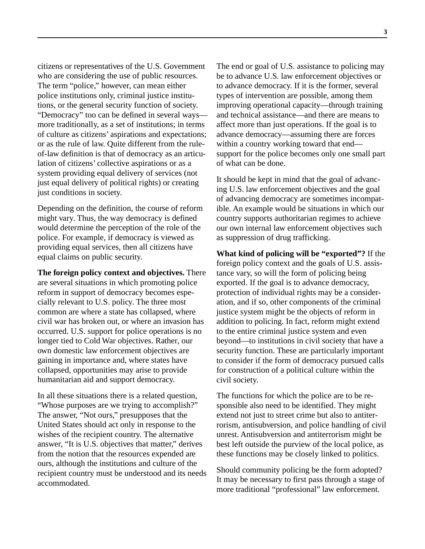citizens or representatives of the U.S. Government who are considering the use of public resources. The term "police," however, can mean either police institutions only, criminal justice institutions, or the general security function of society. "Democracy" too can be defined in several ways more traditionally, as a set of institutions; in terms of culture as citizens' aspirations and expectations; or as the rule of law. Quite different from the ruleof-law definition is that of democracy as an articulation of citizens' collective aspirations or as a system providing equal delivery of services (not just equal delivery of political rights) or creating just conditions in society.

Depending on the definition, the course of reform might vary. Thus, the way democracy is defined would determine the perception of the role of the police. For example, if democracy is viewed as providing equal services, then all citizens have equal claims on public security.

**The foreign policy context and objectives.** There are several situations in which promoting police reform in support of democracy becomes especially relevant to U.S. policy. The three most common are where a state has collapsed, where civil war has broken out, or where an invasion has occurred. U.S. support for police operations is no longer tied to Cold War objectives. Rather, our own domestic law enforcement objectives are gaining in importance and, where states have collapsed, opportunities may arise to provide humanitarian aid and support democracy.

In all these situations there is a related question, "Whose purposes are we trying to accomplish?" The answer, "Not ours," presupposes that the United States should act only in response to the wishes of the recipient country. The alternative answer, "It is U.S. objectives that matter," derives from the notion that the resources expended are ours, although the institutions and culture of the recipient country must be understood and its needs accommodated.

The end or goal of U.S. assistance to policing may be to advance U.S. law enforcement objectives or to advance democracy. If it is the former, several types of intervention are possible, among them improving operational capacity—through training and technical assistance—and there are means to affect more than just operations. If the goal is to advance democracy—assuming there are forces within a country working toward that end support for the police becomes only one small part of what can be done.

It should be kept in mind that the goal of advancing U.S. law enforcement objectives and the goal of advancing democracy are sometimes incompatible. An example would be situations in which our country supports authoritarian regimes to achieve our own internal law enforcement objectives such as suppression of drug trafficking.

**What kind of policing will be "exported"?** If the foreign policy context and the goals of U.S. assistance vary, so will the form of policing being exported. If the goal is to advance democracy, protection of individual rights may be a consideration, and if so, other components of the criminal justice system might be the objects of reform in addition to policing. In fact, reform might extend to the entire criminal justice system and even beyond—to institutions in civil society that have a security function. These are particularly important to consider if the form of democracy pursued calls for construction of a political culture within the civil society.

The functions for which the police are to be responsible also need to be identified. They might extend not just to street crime but also to antiterrorism, antisubversion, and police handling of civil unrest. Antisubversion and antiterrorism might be best left outside the purview of the local police, as these functions may be closely linked to politics.

Should community policing be the form adopted? It may be necessary to first pass through a stage of more traditional "professional" law enforcement.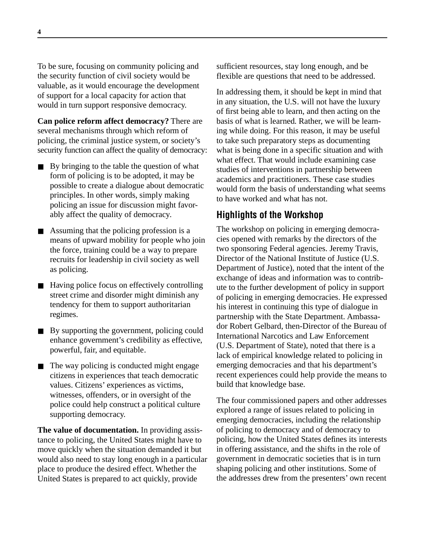To be sure, focusing on community policing and the security function of civil society would be valuable, as it would encourage the development of support for a local capacity for action that would in turn support responsive democracy.

**Can police reform affect democracy?** There are several mechanisms through which reform of policing, the criminal justice system, or society's security function can affect the quality of democracy:

- By bringing to the table the question of what form of policing is to be adopted, it may be possible to create a dialogue about democratic principles. In other words, simply making policing an issue for discussion might favorably affect the quality of democracy.
- Assuming that the policing profession is a means of upward mobility for people who join the force, training could be a way to prepare recruits for leadership in civil society as well as policing.
- Having police focus on effectively controlling street crime and disorder might diminish any tendency for them to support authoritarian regimes.
- By supporting the government, policing could enhance government's credibility as effective, powerful, fair, and equitable.
- The way policing is conducted might engage citizens in experiences that teach democratic values. Citizens' experiences as victims, witnesses, offenders, or in oversight of the police could help construct a political culture supporting democracy.

**The value of documentation.** In providing assistance to policing, the United States might have to move quickly when the situation demanded it but would also need to stay long enough in a particular place to produce the desired effect. Whether the United States is prepared to act quickly, provide

sufficient resources, stay long enough, and be flexible are questions that need to be addressed.

In addressing them, it should be kept in mind that in any situation, the U.S. will not have the luxury of first being able to learn, and then acting on the basis of what is learned. Rather, we will be learning while doing. For this reason, it may be useful to take such preparatory steps as documenting what is being done in a specific situation and with what effect. That would include examining case studies of interventions in partnership between academics and practitioners. These case studies would form the basis of understanding what seems to have worked and what has not.

## **Highlights of the Workshop**

The workshop on policing in emerging democracies opened with remarks by the directors of the two sponsoring Federal agencies. Jeremy Travis, Director of the National Institute of Justice (U.S. Department of Justice), noted that the intent of the exchange of ideas and information was to contribute to the further development of policy in support of policing in emerging democracies. He expressed his interest in continuing this type of dialogue in partnership with the State Department. Ambassador Robert Gelbard, then-Director of the Bureau of International Narcotics and Law Enforcement (U.S. Department of State), noted that there is a lack of empirical knowledge related to policing in emerging democracies and that his department's recent experiences could help provide the means to build that knowledge base.

The four commissioned papers and other addresses explored a range of issues related to policing in emerging democracies, including the relationship of policing to democracy and of democracy to policing, how the United States defines its interests in offering assistance, and the shifts in the role of government in democratic societies that is in turn shaping policing and other institutions. Some of the addresses drew from the presenters' own recent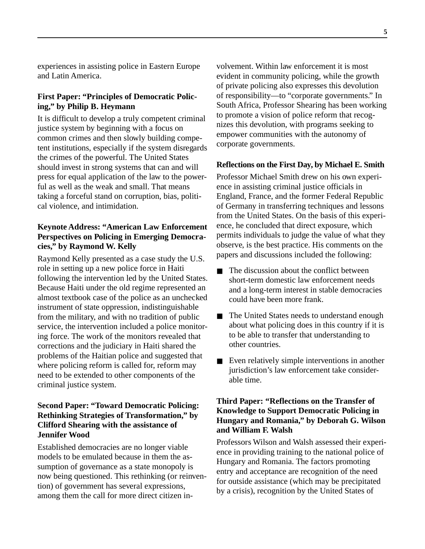experiences in assisting police in Eastern Europe and Latin America.

### **First Paper: "Principles of Democratic Policing," by Philip B. Heymann**

It is difficult to develop a truly competent criminal justice system by beginning with a focus on common crimes and then slowly building competent institutions, especially if the system disregards the crimes of the powerful. The United States should invest in strong systems that can and will press for equal application of the law to the powerful as well as the weak and small. That means taking a forceful stand on corruption, bias, political violence, and intimidation.

#### **Keynote Address: "American Law Enforcement Perspectives on Policing in Emerging Democracies," by Raymond W. Kelly**

Raymond Kelly presented as a case study the U.S. role in setting up a new police force in Haiti following the intervention led by the United States. Because Haiti under the old regime represented an almost textbook case of the police as an unchecked instrument of state oppression, indistinguishable from the military, and with no tradition of public service, the intervention included a police monitoring force. The work of the monitors revealed that corrections and the judiciary in Haiti shared the problems of the Haitian police and suggested that where policing reform is called for, reform may need to be extended to other components of the criminal justice system.

### **Second Paper: "Toward Democratic Policing: Rethinking Strategies of Transformation," by Clifford Shearing with the assistance of Jennifer Wood**

Established democracies are no longer viable models to be emulated because in them the assumption of governance as a state monopoly is now being questioned. This rethinking (or reinvention) of government has several expressions, among them the call for more direct citizen involvement. Within law enforcement it is most evident in community policing, while the growth of private policing also expresses this devolution of responsibility—to "corporate governments." In South Africa, Professor Shearing has been working to promote a vision of police reform that recognizes this devolution, with programs seeking to empower communities with the autonomy of corporate governments.

#### **Reflections on the First Day, by Michael E. Smith**

Professor Michael Smith drew on his own experience in assisting criminal justice officials in England, France, and the former Federal Republic of Germany in transferring techniques and lessons from the United States. On the basis of this experience, he concluded that direct exposure, which permits individuals to judge the value of what they observe, is the best practice. His comments on the papers and discussions included the following:

- The discussion about the conflict between short-term domestic law enforcement needs and a long-term interest in stable democracies could have been more frank.
- The United States needs to understand enough about what policing does in this country if it is to be able to transfer that understanding to other countries.
- Even relatively simple interventions in another jurisdiction's law enforcement take considerable time.

### **Third Paper: "Reflections on the Transfer of Knowledge to Support Democratic Policing in Hungary and Romania," by Deborah G. Wilson and William F. Walsh**

Professors Wilson and Walsh assessed their experience in providing training to the national police of Hungary and Romania. The factors promoting entry and acceptance are recognition of the need for outside assistance (which may be precipitated by a crisis), recognition by the United States of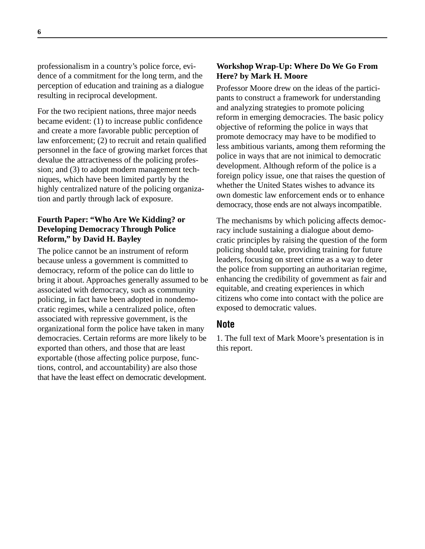professionalism in a country's police force, evidence of a commitment for the long term, and the perception of education and training as a dialogue resulting in reciprocal development.

For the two recipient nations, three major needs became evident: (1) to increase public confidence and create a more favorable public perception of law enforcement; (2) to recruit and retain qualified personnel in the face of growing market forces that devalue the attractiveness of the policing profession; and (3) to adopt modern management techniques, which have been limited partly by the highly centralized nature of the policing organization and partly through lack of exposure.

### **Fourth Paper: "Who Are We Kidding? or Developing Democracy Through Police Reform," by David H. Bayley**

The police cannot be an instrument of reform because unless a government is committed to democracy, reform of the police can do little to bring it about. Approaches generally assumed to be associated with democracy, such as community policing, in fact have been adopted in nondemocratic regimes, while a centralized police, often associated with repressive government, is the organizational form the police have taken in many democracies. Certain reforms are more likely to be exported than others, and those that are least exportable (those affecting police purpose, functions, control, and accountability) are also those that have the least effect on democratic development.

#### **Workshop Wrap-Up: Where Do We Go From Here? by Mark H. Moore**

Professor Moore drew on the ideas of the participants to construct a framework for understanding and analyzing strategies to promote policing reform in emerging democracies. The basic policy objective of reforming the police in ways that promote democracy may have to be modified to less ambitious variants, among them reforming the police in ways that are not inimical to democratic development. Although reform of the police is a foreign policy issue, one that raises the question of whether the United States wishes to advance its own domestic law enforcement ends or to enhance democracy, those ends are not always incompatible.

The mechanisms by which policing affects democracy include sustaining a dialogue about democratic principles by raising the question of the form policing should take, providing training for future leaders, focusing on street crime as a way to deter the police from supporting an authoritarian regime, enhancing the credibility of government as fair and equitable, and creating experiences in which citizens who come into contact with the police are exposed to democratic values.

### **Note**

1. The full text of Mark Moore's presentation is in this report.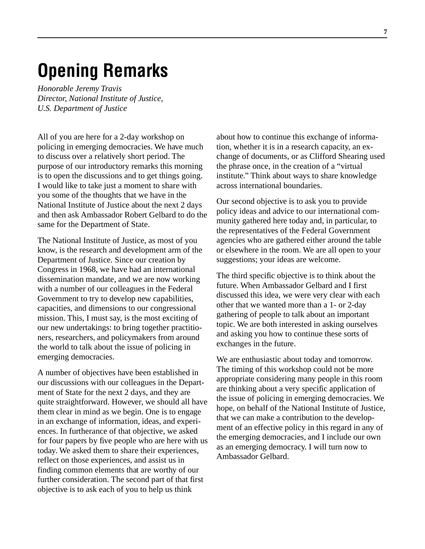# **Opening Remarks**

*Honorable Jeremy Travis Director, National Institute of Justice, U.S. Department of Justice*

All of you are here for a 2-day workshop on policing in emerging democracies. We have much to discuss over a relatively short period. The purpose of our introductory remarks this morning is to open the discussions and to get things going. I would like to take just a moment to share with you some of the thoughts that we have in the National Institute of Justice about the next 2 days and then ask Ambassador Robert Gelbard to do the same for the Department of State.

The National Institute of Justice, as most of you know, is the research and development arm of the Department of Justice. Since our creation by Congress in 1968, we have had an international dissemination mandate, and we are now working with a number of our colleagues in the Federal Government to try to develop new capabilities, capacities, and dimensions to our congressional mission. This, I must say, is the most exciting of our new undertakings: to bring together practitioners, researchers, and policymakers from around the world to talk about the issue of policing in emerging democracies.

A number of objectives have been established in our discussions with our colleagues in the Department of State for the next 2 days, and they are quite straightforward. However, we should all have them clear in mind as we begin. One is to engage in an exchange of information, ideas, and experiences. In furtherance of that objective, we asked for four papers by five people who are here with us today. We asked them to share their experiences, reflect on those experiences, and assist us in finding common elements that are worthy of our further consideration. The second part of that first objective is to ask each of you to help us think

about how to continue this exchange of information, whether it is in a research capacity, an exchange of documents, or as Clifford Shearing used the phrase once, in the creation of a "virtual institute." Think about ways to share knowledge across international boundaries.

Our second objective is to ask you to provide policy ideas and advice to our international community gathered here today and, in particular, to the representatives of the Federal Government agencies who are gathered either around the table or elsewhere in the room. We are all open to your suggestions; your ideas are welcome.

The third specific objective is to think about the future. When Ambassador Gelbard and I first discussed this idea, we were very clear with each other that we wanted more than a 1- or 2-day gathering of people to talk about an important topic. We are both interested in asking ourselves and asking you how to continue these sorts of exchanges in the future.

We are enthusiastic about today and tomorrow. The timing of this workshop could not be more appropriate considering many people in this room are thinking about a very specific application of the issue of policing in emerging democracies. We hope, on behalf of the National Institute of Justice, that we can make a contribution to the development of an effective policy in this regard in any of the emerging democracies, and I include our own as an emerging democracy. I will turn now to Ambassador Gelbard.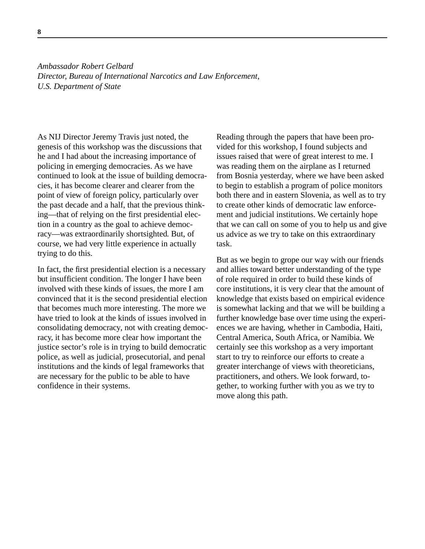*Ambassador Robert Gelbard Director, Bureau of International Narcotics and Law Enforcement, U.S. Department of State*

As NIJ Director Jeremy Travis just noted, the genesis of this workshop was the discussions that he and I had about the increasing importance of policing in emerging democracies. As we have continued to look at the issue of building democracies, it has become clearer and clearer from the point of view of foreign policy, particularly over the past decade and a half, that the previous thinking—that of relying on the first presidential election in a country as the goal to achieve democracy—was extraordinarily shortsighted. But, of course, we had very little experience in actually trying to do this.

In fact, the first presidential election is a necessary but insufficient condition. The longer I have been involved with these kinds of issues, the more I am convinced that it is the second presidential election that becomes much more interesting. The more we have tried to look at the kinds of issues involved in consolidating democracy, not with creating democracy, it has become more clear how important the justice sector's role is in trying to build democratic police, as well as judicial, prosecutorial, and penal institutions and the kinds of legal frameworks that are necessary for the public to be able to have confidence in their systems.

Reading through the papers that have been provided for this workshop, I found subjects and issues raised that were of great interest to me. I was reading them on the airplane as I returned from Bosnia yesterday, where we have been asked to begin to establish a program of police monitors both there and in eastern Slovenia, as well as to try to create other kinds of democratic law enforcement and judicial institutions. We certainly hope that we can call on some of you to help us and give us advice as we try to take on this extraordinary task.

But as we begin to grope our way with our friends and allies toward better understanding of the type of role required in order to build these kinds of core institutions, it is very clear that the amount of knowledge that exists based on empirical evidence is somewhat lacking and that we will be building a further knowledge base over time using the experiences we are having, whether in Cambodia, Haiti, Central America, South Africa, or Namibia. We certainly see this workshop as a very important start to try to reinforce our efforts to create a greater interchange of views with theoreticians, practitioners, and others. We look forward, together, to working further with you as we try to move along this path.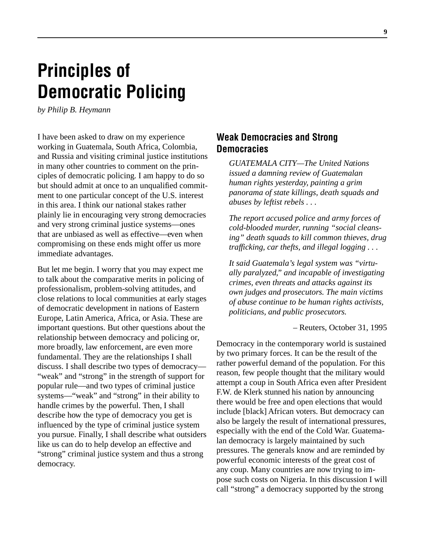# **Principles of Democratic Policing**

*by Philip B. Heymann*

I have been asked to draw on my experience working in Guatemala, South Africa, Colombia, and Russia and visiting criminal justice institutions in many other countries to comment on the principles of democratic policing. I am happy to do so but should admit at once to an unqualified commitment to one particular concept of the U.S. interest in this area. I think our national stakes rather plainly lie in encouraging very strong democracies and very strong criminal justice systems—ones that are unbiased as well as effective—even when compromising on these ends might offer us more immediate advantages.

But let me begin. I worry that you may expect me to talk about the comparative merits in policing of professionalism, problem-solving attitudes, and close relations to local communities at early stages of democratic development in nations of Eastern Europe, Latin America, Africa, or Asia. These are important questions. But other questions about the relationship between democracy and policing or, more broadly, law enforcement, are even more fundamental. They are the relationships I shall discuss. I shall describe two types of democracy— "weak" and "strong" in the strength of support for popular rule—and two types of criminal justice systems—"weak" and "strong" in their ability to handle crimes by the powerful. Then, I shall describe how the type of democracy you get is influenced by the type of criminal justice system you pursue. Finally, I shall describe what outsiders like us can do to help develop an effective and "strong" criminal justice system and thus a strong democracy.

### **Weak Democracies and Strong Democracies**

*GUATEMALA CITY—The United Nations issued a damning review of Guatemalan human rights yesterday, painting a grim panorama of state killings, death squads and abuses by leftist rebels . . .*

*The report accused police and army forces of cold-blooded murder, running "social cleansing" death squads to kill common thieves, drug trafficking, car thefts, and illegal logging . . .*

*It said Guatemala's legal system was "virtually paralyzed," and incapable of investigating crimes, even threats and attacks against its own judges and prosecutors. The main victims of abuse continue to be human rights activists, politicians, and public prosecutors.*

– Reuters, October 31, 1995

Democracy in the contemporary world is sustained by two primary forces. It can be the result of the rather powerful demand of the population. For this reason, few people thought that the military would attempt a coup in South Africa even after President F.W. de Klerk stunned his nation by announcing there would be free and open elections that would include [black] African voters. But democracy can also be largely the result of international pressures, especially with the end of the Cold War. Guatemalan democracy is largely maintained by such pressures. The generals know and are reminded by powerful economic interests of the great cost of any coup. Many countries are now trying to impose such costs on Nigeria. In this discussion I will call "strong" a democracy supported by the strong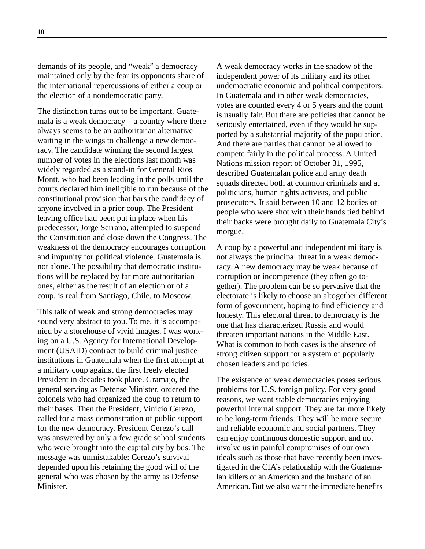demands of its people, and "weak" a democracy maintained only by the fear its opponents share of the international repercussions of either a coup or the election of a nondemocratic party.

The distinction turns out to be important. Guatemala is a weak democracy—a country where there always seems to be an authoritarian alternative waiting in the wings to challenge a new democracy. The candidate winning the second largest number of votes in the elections last month was widely regarded as a stand-in for General Rios Montt, who had been leading in the polls until the courts declared him ineligible to run because of the constitutional provision that bars the candidacy of anyone involved in a prior coup. The President leaving office had been put in place when his predecessor, Jorge Serrano, attempted to suspend the Constitution and close down the Congress. The weakness of the democracy encourages corruption and impunity for political violence. Guatemala is not alone. The possibility that democratic institutions will be replaced by far more authoritarian ones, either as the result of an election or of a coup, is real from Santiago, Chile, to Moscow.

This talk of weak and strong democracies may sound very abstract to you. To me, it is accompanied by a storehouse of vivid images. I was working on a U.S. Agency for International Development (USAID) contract to build criminal justice institutions in Guatemala when the first attempt at a military coup against the first freely elected President in decades took place. Gramajo, the general serving as Defense Minister, ordered the colonels who had organized the coup to return to their bases. Then the President, Vinicio Cerezo, called for a mass demonstration of public support for the new democracy. President Cerezo's call was answered by only a few grade school students who were brought into the capital city by bus. The message was unmistakable: Cerezo's survival depended upon his retaining the good will of the general who was chosen by the army as Defense Minister.

A weak democracy works in the shadow of the independent power of its military and its other undemocratic economic and political competitors. In Guatemala and in other weak democracies, votes are counted every 4 or 5 years and the count is usually fair. But there are policies that cannot be seriously entertained, even if they would be supported by a substantial majority of the population. And there are parties that cannot be allowed to compete fairly in the political process. A United Nations mission report of October 31, 1995, described Guatemalan police and army death squads directed both at common criminals and at politicians, human rights activists, and public prosecutors. It said between 10 and 12 bodies of people who were shot with their hands tied behind their backs were brought daily to Guatemala City's morgue.

A coup by a powerful and independent military is not always the principal threat in a weak democracy. A new democracy may be weak because of corruption or incompetence (they often go together). The problem can be so pervasive that the electorate is likely to choose an altogether different form of government, hoping to find efficiency and honesty. This electoral threat to democracy is the one that has characterized Russia and would threaten important nations in the Middle East. What is common to both cases is the absence of strong citizen support for a system of popularly chosen leaders and policies.

The existence of weak democracies poses serious problems for U.S. foreign policy. For very good reasons, we want stable democracies enjoying powerful internal support. They are far more likely to be long-term friends. They will be more secure and reliable economic and social partners. They can enjoy continuous domestic support and not involve us in painful compromises of our own ideals such as those that have recently been investigated in the CIA's relationship with the Guatemalan killers of an American and the husband of an American. But we also want the immediate benefits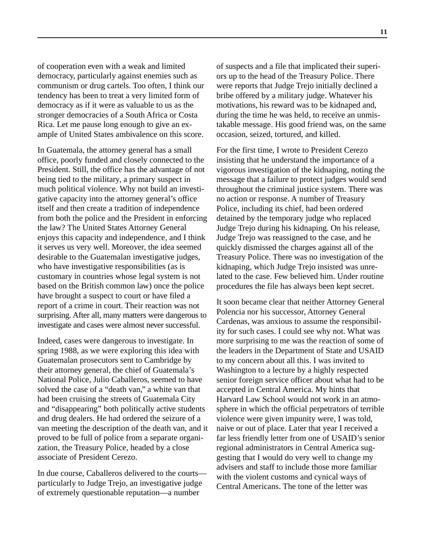of cooperation even with a weak and limited democracy, particularly against enemies such as communism or drug cartels. Too often, I think our tendency has been to treat a very limited form of democracy as if it were as valuable to us as the stronger democracies of a South Africa or Costa Rica. Let me pause long enough to give an example of United States ambivalence on this score.

In Guatemala, the attorney general has a small office, poorly funded and closely connected to the President. Still, the office has the advantage of not being tied to the military, a primary suspect in much political violence. Why not build an investigative capacity into the attorney general's office itself and then create a tradition of independence from both the police and the President in enforcing the law? The United States Attorney General enjoys this capacity and independence, and I think it serves us very well. Moreover, the idea seemed desirable to the Guatemalan investigative judges, who have investigative responsibilities (as is customary in countries whose legal system is not based on the British common law) once the police have brought a suspect to court or have filed a report of a crime in court. Their reaction was not surprising. After all, many matters were dangerous to investigate and cases were almost never successful.

Indeed, cases were dangerous to investigate. In spring 1988, as we were exploring this idea with Guatemalan prosecutors sent to Cambridge by their attorney general, the chief of Guatemala's National Police, Julio Caballeros, seemed to have solved the case of a "death van," a white van that had been cruising the streets of Guatemala City and "disappearing" both politically active students and drug dealers. He had ordered the seizure of a van meeting the description of the death van, and it proved to be full of police from a separate organization, the Treasury Police, headed by a close associate of President Cerezo.

In due course, Caballeros delivered to the courts particularly to Judge Trejo, an investigative judge of extremely questionable reputation—a number

of suspects and a file that implicated their superiors up to the head of the Treasury Police. There were reports that Judge Trejo initially declined a bribe offered by a military judge. Whatever his motivations, his reward was to be kidnaped and, during the time he was held, to receive an unmistakable message. His good friend was, on the same occasion, seized, tortured, and killed.

For the first time, I wrote to President Cerezo insisting that he understand the importance of a vigorous investigation of the kidnaping, noting the message that a failure to protect judges would send throughout the criminal justice system. There was no action or response. A number of Treasury Police, including its chief, had been ordered detained by the temporary judge who replaced Judge Trejo during his kidnaping. On his release, Judge Trejo was reassigned to the case, and he quickly dismissed the charges against all of the Treasury Police. There was no investigation of the kidnaping, which Judge Trejo insisted was unrelated to the case. Few believed him. Under routine procedures the file has always been kept secret.

It soon became clear that neither Attorney General Polencia nor his successor, Attorney General Cardenas, was anxious to assume the responsibility for such cases. I could see why not. What was more surprising to me was the reaction of some of the leaders in the Department of State and USAID to my concern about all this. I was invited to Washington to a lecture by a highly respected senior foreign service officer about what had to be accepted in Central America. My hints that Harvard Law School would not work in an atmosphere in which the official perpetrators of terrible violence were given impunity were, I was told, naive or out of place. Later that year I received a far less friendly letter from one of USAID's senior regional administrators in Central America suggesting that I would do very well to change my advisers and staff to include those more familiar with the violent customs and cynical ways of Central Americans. The tone of the letter was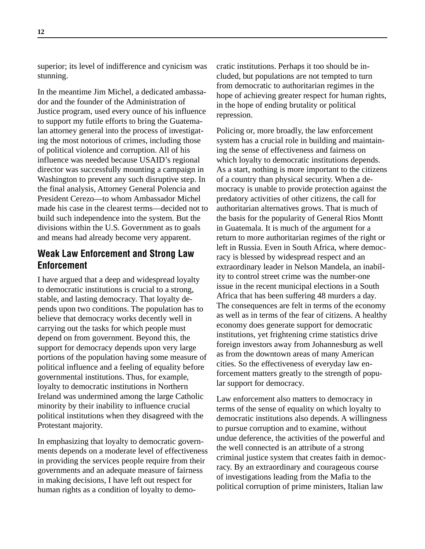superior; its level of indifference and cynicism was stunning.

In the meantime Jim Michel, a dedicated ambassador and the founder of the Administration of Justice program, used every ounce of his influence to support my futile efforts to bring the Guatemalan attorney general into the process of investigating the most notorious of crimes, including those of political violence and corruption. All of his influence was needed because USAID's regional director was successfully mounting a campaign in Washington to prevent any such disruptive step. In the final analysis, Attorney General Polencia and President Cerezo—to whom Ambassador Michel made his case in the clearest terms—decided not to build such independence into the system. But the divisions within the U.S. Government as to goals and means had already become very apparent.

### **Weak Law Enforcement and Strong Law Enforcement**

I have argued that a deep and widespread loyalty to democratic institutions is crucial to a strong, stable, and lasting democracy. That loyalty depends upon two conditions. The population has to believe that democracy works decently well in carrying out the tasks for which people must depend on from government. Beyond this, the support for democracy depends upon very large portions of the population having some measure of political influence and a feeling of equality before governmental institutions. Thus, for example, loyalty to democratic institutions in Northern Ireland was undermined among the large Catholic minority by their inability to influence crucial political institutions when they disagreed with the Protestant majority.

In emphasizing that loyalty to democratic governments depends on a moderate level of effectiveness in providing the services people require from their governments and an adequate measure of fairness in making decisions, I have left out respect for human rights as a condition of loyalty to democratic institutions. Perhaps it too should be included, but populations are not tempted to turn from democratic to authoritarian regimes in the hope of achieving greater respect for human rights, in the hope of ending brutality or political repression.

Policing or, more broadly, the law enforcement system has a crucial role in building and maintaining the sense of effectiveness and fairness on which loyalty to democratic institutions depends. As a start, nothing is more important to the citizens of a country than physical security. When a democracy is unable to provide protection against the predatory activities of other citizens, the call for authoritarian alternatives grows. That is much of the basis for the popularity of General Rios Montt in Guatemala. It is much of the argument for a return to more authoritarian regimes of the right or left in Russia. Even in South Africa, where democracy is blessed by widespread respect and an extraordinary leader in Nelson Mandela, an inability to control street crime was the number-one issue in the recent municipal elections in a South Africa that has been suffering 48 murders a day. The consequences are felt in terms of the economy as well as in terms of the fear of citizens. A healthy economy does generate support for democratic institutions, yet frightening crime statistics drive foreign investors away from Johannesburg as well as from the downtown areas of many American cities. So the effectiveness of everyday law enforcement matters greatly to the strength of popular support for democracy.

Law enforcement also matters to democracy in terms of the sense of equality on which loyalty to democratic institutions also depends. A willingness to pursue corruption and to examine, without undue deference, the activities of the powerful and the well connected is an attribute of a strong criminal justice system that creates faith in democracy. By an extraordinary and courageous course of investigations leading from the Mafia to the political corruption of prime ministers, Italian law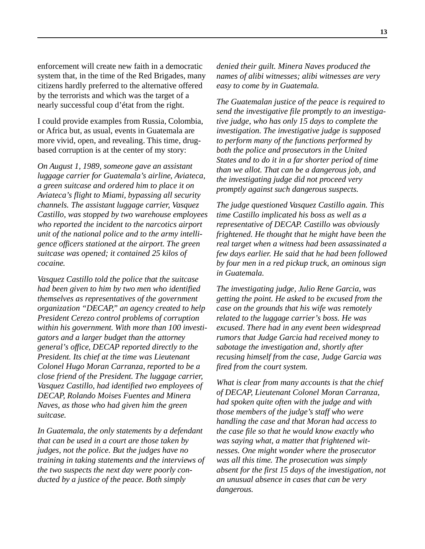enforcement will create new faith in a democratic system that, in the time of the Red Brigades, many citizens hardly preferred to the alternative offered by the terrorists and which was the target of a nearly successful coup d'état from the right.

I could provide examples from Russia, Colombia, or Africa but, as usual, events in Guatemala are more vivid, open, and revealing. This time, drugbased corruption is at the center of my story:

*On August 1, 1989, someone gave an assistant luggage carrier for Guatemala's airline, Aviateca, a green suitcase and ordered him to place it on Aviateca's flight to Miami, bypassing all security channels. The assistant luggage carrier, Vasquez Castillo, was stopped by two warehouse employees who reported the incident to the narcotics airport unit of the national police and to the army intelligence officers stationed at the airport. The green suitcase was opened; it contained 25 kilos of cocaine.*

*Vasquez Castillo told the police that the suitcase had been given to him by two men who identified themselves as representatives of the government organization "DECAP," an agency created to help President Cerezo control problems of corruption within his government. With more than 100 investigators and a larger budget than the attorney general's office, DECAP reported directly to the President. Its chief at the time was Lieutenant Colonel Hugo Moran Carranza, reported to be a close friend of the President. The luggage carrier, Vasquez Castillo, had identified two employees of DECAP, Rolando Moises Fuentes and Minera Naves, as those who had given him the green suitcase.*

*In Guatemala, the only statements by a defendant that can be used in a court are those taken by judges, not the police. But the judges have no training in taking statements and the interviews of the two suspects the next day were poorly conducted by a justice of the peace. Both simply*

*denied their guilt. Minera Naves produced the names of alibi witnesses; alibi witnesses are very easy to come by in Guatemala.*

*The Guatemalan justice of the peace is required to send the investigative file promptly to an investigative judge, who has only 15 days to complete the investigation. The investigative judge is supposed to perform many of the functions performed by both the police and prosecutors in the United States and to do it in a far shorter period of time than we allot. That can be a dangerous job, and the investigating judge did not proceed very promptly against such dangerous suspects.*

*The judge questioned Vasquez Castillo again. This time Castillo implicated his boss as well as a representative of DECAP. Castillo was obviously frightened. He thought that he might have been the real target when a witness had been assassinated a few days earlier. He said that he had been followed by four men in a red pickup truck, an ominous sign in Guatemala.*

*The investigating judge, Julio Rene Garcia, was getting the point. He asked to be excused from the case on the grounds that his wife was remotely related to the luggage carrier's boss. He was excused. There had in any event been widespread rumors that Judge Garcia had received money to sabotage the investigation and, shortly after recusing himself from the case, Judge Garcia was fired from the court system.*

*What is clear from many accounts is that the chief of DECAP, Lieutenant Colonel Moran Carranza, had spoken quite often with the judge and with those members of the judge's staff who were handling the case and that Moran had access to the case file so that he would know exactly who was saying what, a matter that frightened witnesses. One might wonder where the prosecutor was all this time. The prosecution was simply absent for the first 15 days of the investigation, not an unusual absence in cases that can be very dangerous.*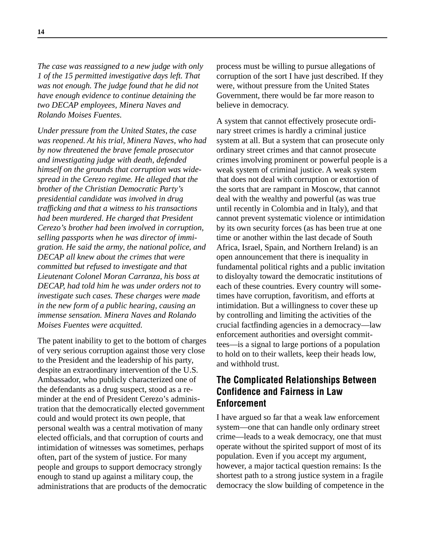*The case was reassigned to a new judge with only 1 of the 15 permitted investigative days left. That was not enough. The judge found that he did not have enough evidence to continue detaining the two DECAP employees, Minera Naves and Rolando Moises Fuentes.*

*Under pressure from the United States, the case was reopened. At his trial, Minera Naves, who had by now threatened the brave female prosecutor and investigating judge with death, defended himself on the grounds that corruption was widespread in the Cerezo regime. He alleged that the brother of the Christian Democratic Party's presidential candidate was involved in drug trafficking and that a witness to his transactions had been murdered. He charged that President Cerezo's brother had been involved in corruption, selling passports when he was director of immigration. He said the army, the national police, and DECAP all knew about the crimes that were committed but refused to investigate and that Lieutenant Colonel Moran Carranza, his boss at DECAP, had told him he was under orders not to investigate such cases. These charges were made in the new form of a public hearing, causing an immense sensation. Minera Naves and Rolando Moises Fuentes were acquitted.*

The patent inability to get to the bottom of charges of very serious corruption against those very close to the President and the leadership of his party, despite an extraordinary intervention of the U.S. Ambassador, who publicly characterized one of the defendants as a drug suspect, stood as a reminder at the end of President Cerezo's administration that the democratically elected government could and would protect its own people, that personal wealth was a central motivation of many elected officials, and that corruption of courts and intimidation of witnesses was sometimes, perhaps often, part of the system of justice. For many people and groups to support democracy strongly enough to stand up against a military coup, the administrations that are products of the democratic process must be willing to pursue allegations of corruption of the sort I have just described. If they were, without pressure from the United States Government, there would be far more reason to believe in democracy.

A system that cannot effectively prosecute ordinary street crimes is hardly a criminal justice system at all. But a system that can prosecute only ordinary street crimes and that cannot prosecute crimes involving prominent or powerful people is a weak system of criminal justice. A weak system that does not deal with corruption or extortion of the sorts that are rampant in Moscow, that cannot deal with the wealthy and powerful (as was true until recently in Colombia and in Italy), and that cannot prevent systematic violence or intimidation by its own security forces (as has been true at one time or another within the last decade of South Africa, Israel, Spain, and Northern Ireland) is an open announcement that there is inequality in fundamental political rights and a public invitation to disloyalty toward the democratic institutions of each of these countries. Every country will sometimes have corruption, favoritism, and efforts at intimidation. But a willingness to cover these up by controlling and limiting the activities of the crucial factfinding agencies in a democracy—law enforcement authorities and oversight committees—is a signal to large portions of a population to hold on to their wallets, keep their heads low, and withhold trust.

# **The Complicated Relationships Between Confidence and Fairness in Law Enforcement**

I have argued so far that a weak law enforcement system—one that can handle only ordinary street crime—leads to a weak democracy, one that must operate without the spirited support of most of its population. Even if you accept my argument, however, a major tactical question remains: Is the shortest path to a strong justice system in a fragile democracy the slow building of competence in the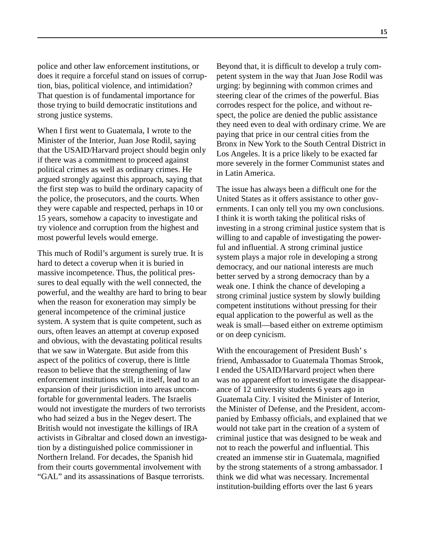police and other law enforcement institutions, or does it require a forceful stand on issues of corruption, bias, political violence, and intimidation? That question is of fundamental importance for those trying to build democratic institutions and strong justice systems.

When I first went to Guatemala, I wrote to the Minister of the Interior, Juan Jose Rodil, saying that the USAID/Harvard project should begin only if there was a commitment to proceed against political crimes as well as ordinary crimes. He argued strongly against this approach, saying that the first step was to build the ordinary capacity of the police, the prosecutors, and the courts. When they were capable and respected, perhaps in 10 or 15 years, somehow a capacity to investigate and try violence and corruption from the highest and most powerful levels would emerge.

This much of Rodil's argument is surely true. It is hard to detect a coverup when it is buried in massive incompetence. Thus, the political pressures to deal equally with the well connected, the powerful, and the wealthy are hard to bring to bear when the reason for exoneration may simply be general incompetence of the criminal justice system. A system that is quite competent, such as ours, often leaves an attempt at coverup exposed and obvious, with the devastating political results that we saw in Watergate. But aside from this aspect of the politics of coverup, there is little reason to believe that the strengthening of law enforcement institutions will, in itself, lead to an expansion of their jurisdiction into areas uncomfortable for governmental leaders. The Israelis would not investigate the murders of two terrorists who had seized a bus in the Negev desert. The British would not investigate the killings of IRA activists in Gibraltar and closed down an investigation by a distinguished police commissioner in Northern Ireland. For decades, the Spanish hid from their courts governmental involvement with "GAL" and its assassinations of Basque terrorists.

Beyond that, it is difficult to develop a truly competent system in the way that Juan Jose Rodil was urging: by beginning with common crimes and steering clear of the crimes of the powerful. Bias corrodes respect for the police, and without respect, the police are denied the public assistance they need even to deal with ordinary crime. We are paying that price in our central cities from the Bronx in New York to the South Central District in Los Angeles. It is a price likely to be exacted far more severely in the former Communist states and in Latin America.

The issue has always been a difficult one for the United States as it offers assistance to other governments. I can only tell you my own conclusions. I think it is worth taking the political risks of investing in a strong criminal justice system that is willing to and capable of investigating the powerful and influential. A strong criminal justice system plays a major role in developing a strong democracy, and our national interests are much better served by a strong democracy than by a weak one. I think the chance of developing a strong criminal justice system by slowly building competent institutions without pressing for their equal application to the powerful as well as the weak is small—based either on extreme optimism or on deep cynicism.

With the encouragement of President Bush' s friend, Ambassador to Guatemala Thomas Strook, I ended the USAID/Harvard project when there was no apparent effort to investigate the disappearance of 12 university students 6 years ago in Guatemala City. I visited the Minister of Interior, the Minister of Defense, and the President, accompanied by Embassy officials, and explained that we would not take part in the creation of a system of criminal justice that was designed to be weak and not to reach the powerful and influential. This created an immense stir in Guatemala, magnified by the strong statements of a strong ambassador. I think we did what was necessary. Incremental institution-building efforts over the last 6 years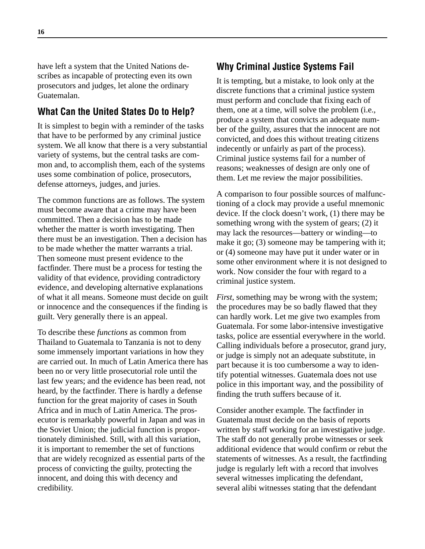have left a system that the United Nations describes as incapable of protecting even its own prosecutors and judges, let alone the ordinary Guatemalan.

### **What Can the United States Do to Help?**

It is simplest to begin with a reminder of the tasks that have to be performed by any criminal justice system. We all know that there is a very substantial variety of systems, but the central tasks are common and, to accomplish them, each of the systems uses some combination of police, prosecutors, defense attorneys, judges, and juries.

The common functions are as follows. The system must become aware that a crime may have been committed. Then a decision has to be made whether the matter is worth investigating. Then there must be an investigation. Then a decision has to be made whether the matter warrants a trial. Then someone must present evidence to the factfinder. There must be a process for testing the validity of that evidence, providing contradictory evidence, and developing alternative explanations of what it all means. Someone must decide on guilt or innocence and the consequences if the finding is guilt. Very generally there is an appeal.

To describe these *functions* as common from Thailand to Guatemala to Tanzania is not to deny some immensely important variations in how they are carried out. In much of Latin America there has been no or very little prosecutorial role until the last few years; and the evidence has been read, not heard, by the factfinder. There is hardly a defense function for the great majority of cases in South Africa and in much of Latin America. The prosecutor is remarkably powerful in Japan and was in the Soviet Union; the judicial function is proportionately diminished. Still, with all this variation, it is important to remember the set of functions that are widely recognized as essential parts of the process of convicting the guilty, protecting the innocent, and doing this with decency and credibility.

### **Why Criminal Justice Systems Fail**

It is tempting, but a mistake, to look only at the discrete functions that a criminal justice system must perform and conclude that fixing each of them, one at a time, will solve the problem (i.e., produce a system that convicts an adequate number of the guilty, assures that the innocent are not convicted, and does this without treating citizens indecently or unfairly as part of the process). Criminal justice systems fail for a number of reasons; weaknesses of design are only one of them. Let me review the major possibilities.

A comparison to four possible sources of malfunctioning of a clock may provide a useful mnemonic device. If the clock doesn't work, (1) there may be something wrong with the system of gears; (2) it may lack the resources—battery or winding—to make it go; (3) someone may be tampering with it; or (4) someone may have put it under water or in some other environment where it is not designed to work. Now consider the four with regard to a criminal justice system.

*First*, something may be wrong with the system; the procedures may be so badly flawed that they can hardly work. Let me give two examples from Guatemala. For some labor-intensive investigative tasks, police are essential everywhere in the world. Calling individuals before a prosecutor, grand jury, or judge is simply not an adequate substitute, in part because it is too cumbersome a way to identify potential witnesses. Guatemala does not use police in this important way, and the possibility of finding the truth suffers because of it.

Consider another example. The factfinder in Guatemala must decide on the basis of reports written by staff working for an investigative judge. The staff do not generally probe witnesses or seek additional evidence that would confirm or rebut the statements of witnesses. As a result, the factfinding judge is regularly left with a record that involves several witnesses implicating the defendant, several alibi witnesses stating that the defendant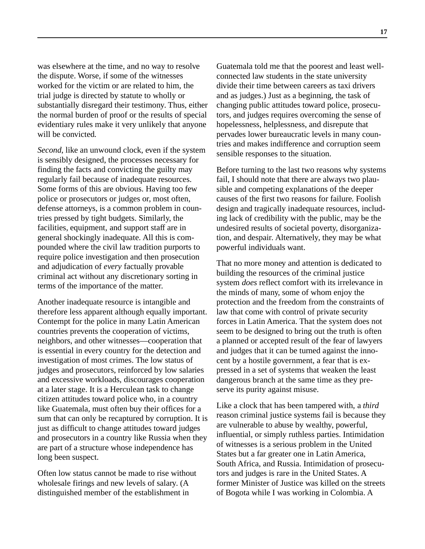was elsewhere at the time, and no way to resolve the dispute. Worse, if some of the witnesses worked for the victim or are related to him, the trial judge is directed by statute to wholly or substantially disregard their testimony. Thus, either the normal burden of proof or the results of special evidentiary rules make it very unlikely that anyone will be convicted.

*Second*, like an unwound clock, even if the system is sensibly designed, the processes necessary for finding the facts and convicting the guilty may regularly fail because of inadequate resources. Some forms of this are obvious. Having too few police or prosecutors or judges or, most often, defense attorneys, is a common problem in countries pressed by tight budgets. Similarly, the facilities, equipment, and support staff are in general shockingly inadequate. All this is compounded where the civil law tradition purports to require police investigation and then prosecution and adjudication of *every* factually provable criminal act without any discretionary sorting in terms of the importance of the matter.

Another inadequate resource is intangible and therefore less apparent although equally important. Contempt for the police in many Latin American countries prevents the cooperation of victims, neighbors, and other witnesses—cooperation that is essential in every country for the detection and investigation of most crimes. The low status of judges and prosecutors, reinforced by low salaries and excessive workloads, discourages cooperation at a later stage. It is a Herculean task to change citizen attitudes toward police who, in a country like Guatemala, must often buy their offices for a sum that can only be recaptured by corruption. It is just as difficult to change attitudes toward judges and prosecutors in a country like Russia when they are part of a structure whose independence has long been suspect.

Often low status cannot be made to rise without wholesale firings and new levels of salary. (A distinguished member of the establishment in

Guatemala told me that the poorest and least wellconnected law students in the state university divide their time between careers as taxi drivers and as judges.) Just as a beginning, the task of changing public attitudes toward police, prosecutors, and judges requires overcoming the sense of hopelessness, helplessness, and disrepute that pervades lower bureaucratic levels in many countries and makes indifference and corruption seem sensible responses to the situation.

Before turning to the last two reasons why systems fail, I should note that there are always two plausible and competing explanations of the deeper causes of the first two reasons for failure. Foolish design and tragically inadequate resources, including lack of credibility with the public, may be the undesired results of societal poverty, disorganization, and despair. Alternatively, they may be what powerful individuals want.

That no more money and attention is dedicated to building the resources of the criminal justice system *does* reflect comfort with its irrelevance in the minds of many, some of whom enjoy the protection and the freedom from the constraints of law that come with control of private security forces in Latin America. That the system does not seem to be designed to bring out the truth is often a planned or accepted result of the fear of lawyers and judges that it can be turned against the innocent by a hostile government, a fear that is expressed in a set of systems that weaken the least dangerous branch at the same time as they preserve its purity against misuse.

Like a clock that has been tampered with, a *third* reason criminal justice systems fail is because they are vulnerable to abuse by wealthy, powerful, influential, or simply ruthless parties. Intimidation of witnesses is a serious problem in the United States but a far greater one in Latin America, South Africa, and Russia. Intimidation of prosecutors and judges is rare in the United States. A former Minister of Justice was killed on the streets of Bogota while I was working in Colombia. A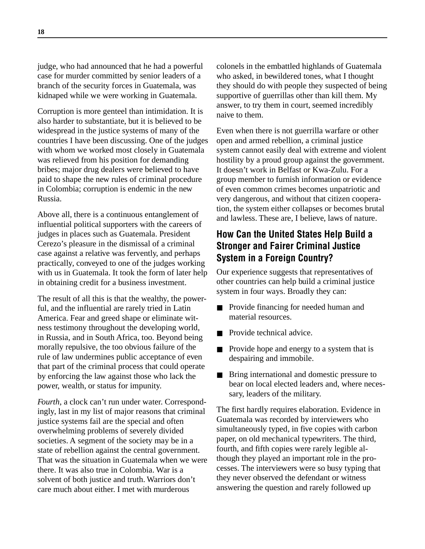judge, who had announced that he had a powerful case for murder committed by senior leaders of a branch of the security forces in Guatemala, was kidnaped while we were working in Guatemala.

Corruption is more genteel than intimidation. It is also harder to substantiate, but it is believed to be widespread in the justice systems of many of the countries I have been discussing. One of the judges with whom we worked most closely in Guatemala was relieved from his position for demanding bribes; major drug dealers were believed to have paid to shape the new rules of criminal procedure in Colombia; corruption is endemic in the new Russia.

Above all, there is a continuous entanglement of influential political supporters with the careers of judges in places such as Guatemala. President Cerezo's pleasure in the dismissal of a criminal case against a relative was fervently, and perhaps practically, conveyed to one of the judges working with us in Guatemala. It took the form of later help in obtaining credit for a business investment.

The result of all this is that the wealthy, the powerful, and the influential are rarely tried in Latin America. Fear and greed shape or eliminate witness testimony throughout the developing world, in Russia, and in South Africa, too. Beyond being morally repulsive, the too obvious failure of the rule of law undermines public acceptance of even that part of the criminal process that could operate by enforcing the law against those who lack the power, wealth, or status for impunity.

*Fourth*, a clock can't run under water. Correspondingly, last in my list of major reasons that criminal justice systems fail are the special and often overwhelming problems of severely divided societies. A segment of the society may be in a state of rebellion against the central government. That was the situation in Guatemala when we were there. It was also true in Colombia. War is a solvent of both justice and truth. Warriors don't care much about either. I met with murderous

colonels in the embattled highlands of Guatemala who asked, in bewildered tones, what I thought they should do with people they suspected of being supportive of guerrillas other than kill them. My answer, to try them in court, seemed incredibly naive to them.

Even when there is not guerrilla warfare or other open and armed rebellion, a criminal justice system cannot easily deal with extreme and violent hostility by a proud group against the government. It doesn't work in Belfast or Kwa-Zulu. For a group member to furnish information or evidence of even common crimes becomes unpatriotic and very dangerous, and without that citizen cooperation, the system either collapses or becomes brutal and lawless. These are, I believe, laws of nature.

# **How Can the United States Help Build a Stronger and Fairer Criminal Justice System in a Foreign Country?**

Our experience suggests that representatives of other countries can help build a criminal justice system in four ways. Broadly they can:

- Provide financing for needed human and material resources.
- Provide technical advice.
- Provide hope and energy to a system that is despairing and immobile.
- Bring international and domestic pressure to bear on local elected leaders and, where necessary, leaders of the military.

The first hardly requires elaboration. Evidence in Guatemala was recorded by interviewers who simultaneously typed, in five copies with carbon paper, on old mechanical typewriters. The third, fourth, and fifth copies were rarely legible although they played an important role in the processes. The interviewers were so busy typing that they never observed the defendant or witness answering the question and rarely followed up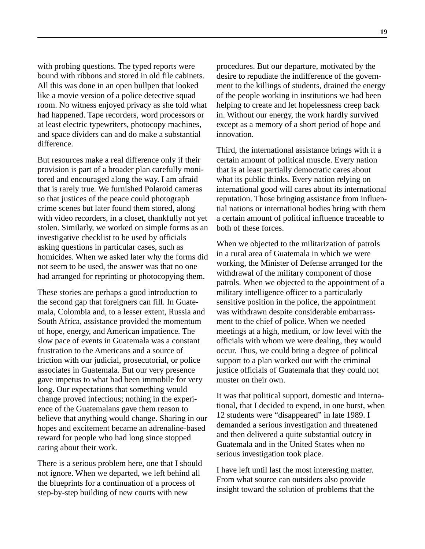with probing questions. The typed reports were bound with ribbons and stored in old file cabinets. All this was done in an open bullpen that looked like a movie version of a police detective squad room. No witness enjoyed privacy as she told what had happened. Tape recorders, word processors or at least electric typewriters, photocopy machines, and space dividers can and do make a substantial difference.

But resources make a real difference only if their provision is part of a broader plan carefully monitored and encouraged along the way. I am afraid that is rarely true. We furnished Polaroid cameras so that justices of the peace could photograph crime scenes but later found them stored, along with video recorders, in a closet, thankfully not yet stolen. Similarly, we worked on simple forms as an investigative checklist to be used by officials asking questions in particular cases, such as homicides. When we asked later why the forms did not seem to be used, the answer was that no one had arranged for reprinting or photocopying them.

These stories are perhaps a good introduction to the second gap that foreigners can fill. In Guatemala, Colombia and, to a lesser extent, Russia and South Africa, assistance provided the momentum of hope, energy, and American impatience. The slow pace of events in Guatemala was a constant frustration to the Americans and a source of friction with our judicial, prosecutorial, or police associates in Guatemala. But our very presence gave impetus to what had been immobile for very long. Our expectations that something would change proved infectious; nothing in the experience of the Guatemalans gave them reason to believe that anything would change. Sharing in our hopes and excitement became an adrenaline-based reward for people who had long since stopped caring about their work.

There is a serious problem here, one that I should not ignore. When we departed, we left behind all the blueprints for a continuation of a process of step-by-step building of new courts with new

procedures. But our departure, motivated by the desire to repudiate the indifference of the government to the killings of students, drained the energy of the people working in institutions we had been helping to create and let hopelessness creep back in. Without our energy, the work hardly survived except as a memory of a short period of hope and innovation.

Third, the international assistance brings with it a certain amount of political muscle. Every nation that is at least partially democratic cares about what its public thinks. Every nation relying on international good will cares about its international reputation. Those bringing assistance from influential nations or international bodies bring with them a certain amount of political influence traceable to both of these forces.

When we objected to the militarization of patrols in a rural area of Guatemala in which we were working, the Minister of Defense arranged for the withdrawal of the military component of those patrols. When we objected to the appointment of a military intelligence officer to a particularly sensitive position in the police, the appointment was withdrawn despite considerable embarrassment to the chief of police. When we needed meetings at a high, medium, or low level with the officials with whom we were dealing, they would occur. Thus, we could bring a degree of political support to a plan worked out with the criminal justice officials of Guatemala that they could not muster on their own.

It was that political support, domestic and international, that I decided to expend, in one burst, when 12 students were "disappeared" in late 1989. I demanded a serious investigation and threatened and then delivered a quite substantial outcry in Guatemala and in the United States when no serious investigation took place.

I have left until last the most interesting matter. From what source can outsiders also provide insight toward the solution of problems that the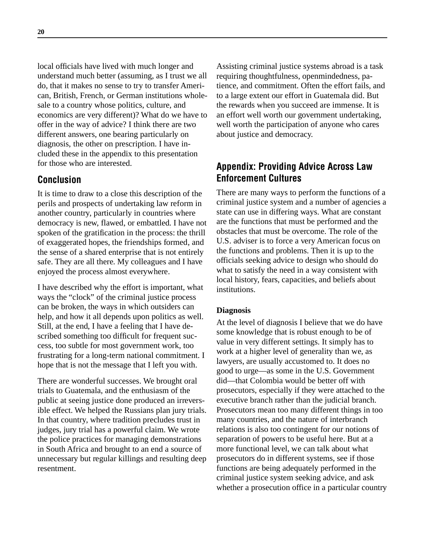local officials have lived with much longer and understand much better (assuming, as I trust we all do, that it makes no sense to try to transfer American, British, French, or German institutions wholesale to a country whose politics, culture, and economics are very different)? What do we have to offer in the way of advice? I think there are two different answers, one bearing particularly on diagnosis, the other on prescription. I have included these in the appendix to this presentation for those who are interested.

### **Conclusion**

It is time to draw to a close this description of the perils and prospects of undertaking law reform in another country, particularly in countries where democracy is new, flawed, or embattled. I have not spoken of the gratification in the process: the thrill of exaggerated hopes, the friendships formed, and the sense of a shared enterprise that is not entirely safe. They are all there. My colleagues and I have enjoyed the process almost everywhere.

I have described why the effort is important, what ways the "clock" of the criminal justice process can be broken, the ways in which outsiders can help, and how it all depends upon politics as well. Still, at the end, I have a feeling that I have described something too difficult for frequent success, too subtle for most government work, too frustrating for a long-term national commitment. I hope that is not the message that I left you with.

There are wonderful successes. We brought oral trials to Guatemala, and the enthusiasm of the public at seeing justice done produced an irreversible effect. We helped the Russians plan jury trials. In that country, where tradition precludes trust in judges, jury trial has a powerful claim. We wrote the police practices for managing demonstrations in South Africa and brought to an end a source of unnecessary but regular killings and resulting deep resentment.

Assisting criminal justice systems abroad is a task requiring thoughtfulness, openmindedness, patience, and commitment. Often the effort fails, and to a large extent our effort in Guatemala did. But the rewards when you succeed are immense. It is an effort well worth our government undertaking, well worth the participation of anyone who cares about justice and democracy.

## **Appendix: Providing Advice Across Law Enforcement Cultures**

There are many ways to perform the functions of a criminal justice system and a number of agencies a state can use in differing ways. What are constant are the functions that must be performed and the obstacles that must be overcome. The role of the U.S. adviser is to force a very American focus on the functions and problems. Then it is up to the officials seeking advice to design who should do what to satisfy the need in a way consistent with local history, fears, capacities, and beliefs about institutions.

#### **Diagnosis**

At the level of diagnosis I believe that we do have some knowledge that is robust enough to be of value in very different settings. It simply has to work at a higher level of generality than we, as lawyers, are usually accustomed to. It does no good to urge—as some in the U.S. Government did—that Colombia would be better off with prosecutors, especially if they were attached to the executive branch rather than the judicial branch. Prosecutors mean too many different things in too many countries, and the nature of interbranch relations is also too contingent for our notions of separation of powers to be useful here. But at a more functional level, we can talk about what prosecutors do in different systems, see if those functions are being adequately performed in the criminal justice system seeking advice, and ask whether a prosecution office in a particular country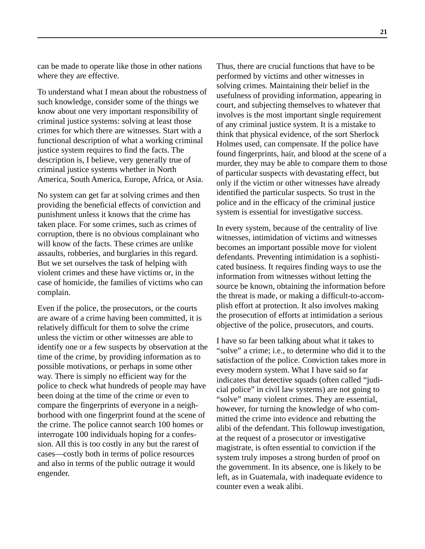can be made to operate like those in other nations where they are effective.

To understand what I mean about the robustness of such knowledge, consider some of the things we know about one very important responsibility of criminal justice systems: solving at least those crimes for which there are witnesses. Start with a functional description of what a working criminal justice system requires to find the facts. The description is, I believe, very generally true of criminal justice systems whether in North America, South America, Europe, Africa, or Asia.

No system can get far at solving crimes and then providing the beneficial effects of conviction and punishment unless it knows that the crime has taken place. For some crimes, such as crimes of corruption, there is no obvious complainant who will know of the facts. These crimes are unlike assaults, robberies, and burglaries in this regard. But we set ourselves the task of helping with violent crimes and these have victims or, in the case of homicide, the families of victims who can complain.

Even if the police, the prosecutors, or the courts are aware of a crime having been committed, it is relatively difficult for them to solve the crime unless the victim or other witnesses are able to identify one or a few suspects by observation at the time of the crime, by providing information as to possible motivations, or perhaps in some other way. There is simply no efficient way for the police to check what hundreds of people may have been doing at the time of the crime or even to compare the fingerprints of everyone in a neighborhood with one fingerprint found at the scene of the crime. The police cannot search 100 homes or interrogate 100 individuals hoping for a confession. All this is too costly in any but the rarest of cases—costly both in terms of police resources and also in terms of the public outrage it would engender.

Thus, there are crucial functions that have to be performed by victims and other witnesses in solving crimes. Maintaining their belief in the usefulness of providing information, appearing in court, and subjecting themselves to whatever that involves is the most important single requirement of any criminal justice system. It is a mistake to think that physical evidence, of the sort Sherlock Holmes used, can compensate. If the police have found fingerprints, hair, and blood at the scene of a murder, they may be able to compare them to those of particular suspects with devastating effect, but only if the victim or other witnesses have already identified the particular suspects. So trust in the police and in the efficacy of the criminal justice system is essential for investigative success.

In every system, because of the centrality of live witnesses, intimidation of victims and witnesses becomes an important possible move for violent defendants. Preventing intimidation is a sophisticated business. It requires finding ways to use the information from witnesses without letting the source be known, obtaining the information before the threat is made, or making a difficult-to-accomplish effort at protection. It also involves making the prosecution of efforts at intimidation a serious objective of the police, prosecutors, and courts.

I have so far been talking about what it takes to "solve" a crime; i.e., to determine who did it to the satisfaction of the police. Conviction takes more in every modern system. What I have said so far indicates that detective squads (often called "judicial police" in civil law systems) are not going to "solve" many violent crimes. They are essential, however, for turning the knowledge of who committed the crime into evidence and rebutting the alibi of the defendant. This followup investigation, at the request of a prosecutor or investigative magistrate, is often essential to conviction if the system truly imposes a strong burden of proof on the government. In its absence, one is likely to be left, as in Guatemala, with inadequate evidence to counter even a weak alibi.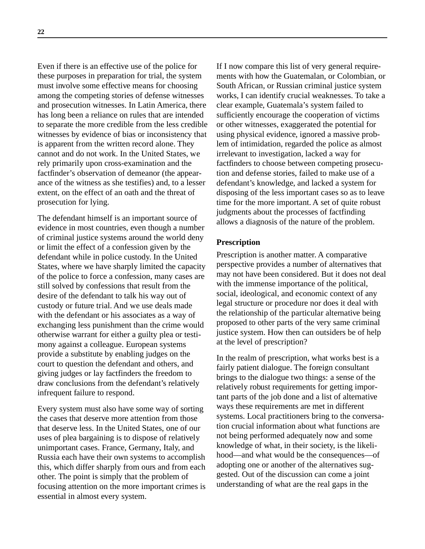Even if there is an effective use of the police for these purposes in preparation for trial, the system must involve some effective means for choosing among the competing stories of defense witnesses and prosecution witnesses. In Latin America, there has long been a reliance on rules that are intended to separate the more credible from the less credible witnesses by evidence of bias or inconsistency that is apparent from the written record alone. They cannot and do not work. In the United States, we rely primarily upon cross-examination and the factfinder's observation of demeanor (the appearance of the witness as she testifies) and, to a lesser extent, on the effect of an oath and the threat of prosecution for lying.

The defendant himself is an important source of evidence in most countries, even though a number of criminal justice systems around the world deny or limit the effect of a confession given by the defendant while in police custody. In the United States, where we have sharply limited the capacity of the police to force a confession, many cases are still solved by confessions that result from the desire of the defendant to talk his way out of custody or future trial. And we use deals made with the defendant or his associates as a way of exchanging less punishment than the crime would otherwise warrant for either a guilty plea or testimony against a colleague. European systems provide a substitute by enabling judges on the court to question the defendant and others, and giving judges or lay factfinders the freedom to draw conclusions from the defendant's relatively infrequent failure to respond.

Every system must also have some way of sorting the cases that deserve more attention from those that deserve less. In the United States, one of our uses of plea bargaining is to dispose of relatively unimportant cases. France, Germany, Italy, and Russia each have their own systems to accomplish this, which differ sharply from ours and from each other. The point is simply that the problem of focusing attention on the more important crimes is essential in almost every system.

If I now compare this list of very general requirements with how the Guatemalan, or Colombian, or South African, or Russian criminal justice system works, I can identify crucial weaknesses. To take a clear example, Guatemala's system failed to sufficiently encourage the cooperation of victims or other witnesses, exaggerated the potential for using physical evidence, ignored a massive problem of intimidation, regarded the police as almost irrelevant to investigation, lacked a way for factfinders to choose between competing prosecution and defense stories, failed to make use of a defendant's knowledge, and lacked a system for disposing of the less important cases so as to leave time for the more important. A set of quite robust judgments about the processes of factfinding allows a diagnosis of the nature of the problem.

#### **Prescription**

Prescription is another matter. A comparative perspective provides a number of alternatives that may not have been considered. But it does not deal with the immense importance of the political, social, ideological, and economic context of any legal structure or procedure nor does it deal with the relationship of the particular alternative being proposed to other parts of the very same criminal justice system. How then can outsiders be of help at the level of prescription?

In the realm of prescription, what works best is a fairly patient dialogue. The foreign consultant brings to the dialogue two things: a sense of the relatively robust requirements for getting important parts of the job done and a list of alternative ways these requirements are met in different systems. Local practitioners bring to the conversation crucial information about what functions are not being performed adequately now and some knowledge of what, in their society, is the likelihood—and what would be the consequences—of adopting one or another of the alternatives suggested. Out of the discussion can come a joint understanding of what are the real gaps in the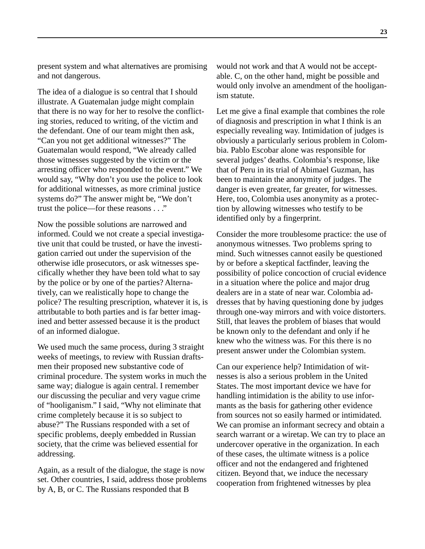present system and what alternatives are promising and not dangerous.

The idea of a dialogue is so central that I should illustrate. A Guatemalan judge might complain that there is no way for her to resolve the conflicting stories, reduced to writing, of the victim and the defendant. One of our team might then ask, "Can you not get additional witnesses?" The Guatemalan would respond, "We already called those witnesses suggested by the victim or the arresting officer who responded to the event." We would say, "Why don't you use the police to look for additional witnesses, as more criminal justice systems do?" The answer might be, "We don't trust the police—for these reasons . . ."

Now the possible solutions are narrowed and informed. Could we not create a special investigative unit that could be trusted, or have the investigation carried out under the supervision of the otherwise idle prosecutors, or ask witnesses specifically whether they have been told what to say by the police or by one of the parties? Alternatively, can we realistically hope to change the police? The resulting prescription, whatever it is, is attributable to both parties and is far better imagined and better assessed because it is the product of an informed dialogue.

We used much the same process, during 3 straight weeks of meetings, to review with Russian draftsmen their proposed new substantive code of criminal procedure. The system works in much the same way; dialogue is again central. I remember our discussing the peculiar and very vague crime of "hooliganism." I said, "Why not eliminate that crime completely because it is so subject to abuse?" The Russians responded with a set of specific problems, deeply embedded in Russian society, that the crime was believed essential for addressing.

Again, as a result of the dialogue, the stage is now set. Other countries, I said, address those problems by A, B, or C. The Russians responded that B

would not work and that A would not be acceptable. C, on the other hand, might be possible and would only involve an amendment of the hooliganism statute.

Let me give a final example that combines the role of diagnosis and prescription in what I think is an especially revealing way. Intimidation of judges is obviously a particularly serious problem in Colombia. Pablo Escobar alone was responsible for several judges' deaths. Colombia's response, like that of Peru in its trial of Abimael Guzman, has been to maintain the anonymity of judges. The danger is even greater, far greater, for witnesses. Here, too, Colombia uses anonymity as a protection by allowing witnesses who testify to be identified only by a fingerprint.

Consider the more troublesome practice: the use of anonymous witnesses. Two problems spring to mind. Such witnesses cannot easily be questioned by or before a skeptical factfinder, leaving the possibility of police concoction of crucial evidence in a situation where the police and major drug dealers are in a state of near war. Colombia addresses that by having questioning done by judges through one-way mirrors and with voice distorters. Still, that leaves the problem of biases that would be known only to the defendant and only if he knew who the witness was. For this there is no present answer under the Colombian system.

Can our experience help? Intimidation of witnesses is also a serious problem in the United States. The most important device we have for handling intimidation is the ability to use informants as the basis for gathering other evidence from sources not so easily harmed or intimidated. We can promise an informant secrecy and obtain a search warrant or a wiretap. We can try to place an undercover operative in the organization. In each of these cases, the ultimate witness is a police officer and not the endangered and frightened citizen. Beyond that, we induce the necessary cooperation from frightened witnesses by plea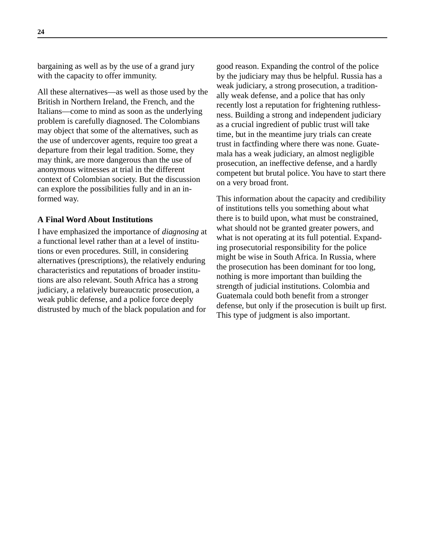bargaining as well as by the use of a grand jury with the capacity to offer immunity.

All these alternatives—as well as those used by the British in Northern Ireland, the French, and the Italians—come to mind as soon as the underlying problem is carefully diagnosed. The Colombians may object that some of the alternatives, such as the use of undercover agents, require too great a departure from their legal tradition. Some, they may think, are more dangerous than the use of anonymous witnesses at trial in the different context of Colombian society. But the discussion can explore the possibilities fully and in an informed way.

#### **A Final Word About Institutions**

I have emphasized the importance of *diagnosing* at a functional level rather than at a level of institutions or even procedures. Still, in considering alternatives (prescriptions), the relatively enduring characteristics and reputations of broader institutions are also relevant. South Africa has a strong judiciary, a relatively bureaucratic prosecution, a weak public defense, and a police force deeply distrusted by much of the black population and for

good reason. Expanding the control of the police by the judiciary may thus be helpful. Russia has a weak judiciary, a strong prosecution, a traditionally weak defense, and a police that has only recently lost a reputation for frightening ruthlessness. Building a strong and independent judiciary as a crucial ingredient of public trust will take time, but in the meantime jury trials can create trust in factfinding where there was none. Guatemala has a weak judiciary, an almost negligible prosecution, an ineffective defense, and a hardly competent but brutal police. You have to start there on a very broad front.

This information about the capacity and credibility of institutions tells you something about what there is to build upon, what must be constrained, what should not be granted greater powers, and what is not operating at its full potential. Expanding prosecutorial responsibility for the police might be wise in South Africa. In Russia, where the prosecution has been dominant for too long, nothing is more important than building the strength of judicial institutions. Colombia and Guatemala could both benefit from a stronger defense, but only if the prosecution is built up first. This type of judgment is also important.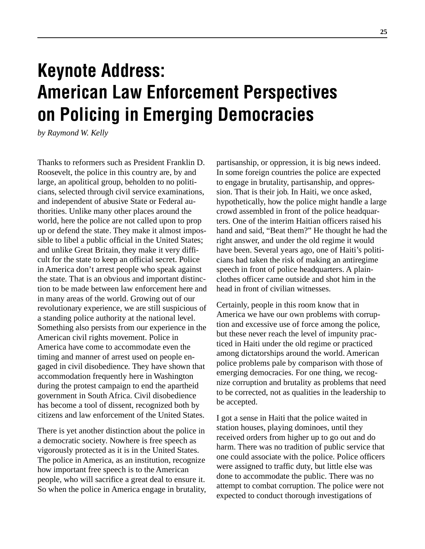# **Keynote Address: American Law Enforcement Perspectives on Policing in Emerging Democracies**

*by Raymond W. Kelly*

Thanks to reformers such as President Franklin D. Roosevelt, the police in this country are, by and large, an apolitical group, beholden to no politicians, selected through civil service examinations, and independent of abusive State or Federal authorities. Unlike many other places around the world, here the police are not called upon to prop up or defend the state. They make it almost impossible to libel a public official in the United States; and unlike Great Britain, they make it very difficult for the state to keep an official secret. Police in America don't arrest people who speak against the state. That is an obvious and important distinction to be made between law enforcement here and in many areas of the world. Growing out of our revolutionary experience, we are still suspicious of a standing police authority at the national level. Something also persists from our experience in the American civil rights movement. Police in America have come to accommodate even the timing and manner of arrest used on people engaged in civil disobedience. They have shown that accommodation frequently here in Washington during the protest campaign to end the apartheid government in South Africa. Civil disobedience has become a tool of dissent, recognized both by citizens and law enforcement of the United States.

There is yet another distinction about the police in a democratic society. Nowhere is free speech as vigorously protected as it is in the United States. The police in America, as an institution, recognize how important free speech is to the American people, who will sacrifice a great deal to ensure it. So when the police in America engage in brutality,

partisanship, or oppression, it is big news indeed. In some foreign countries the police are expected to engage in brutality, partisanship, and oppression. That is their job. In Haiti, we once asked, hypothetically, how the police might handle a large crowd assembled in front of the police headquarters. One of the interim Haitian officers raised his hand and said, "Beat them?" He thought he had the right answer, and under the old regime it would have been. Several years ago, one of Haiti's politicians had taken the risk of making an antiregime speech in front of police headquarters. A plainclothes officer came outside and shot him in the head in front of civilian witnesses.

Certainly, people in this room know that in America we have our own problems with corruption and excessive use of force among the police, but these never reach the level of impunity practiced in Haiti under the old regime or practiced among dictatorships around the world. American police problems pale by comparison with those of emerging democracies. For one thing, we recognize corruption and brutality as problems that need to be corrected, not as qualities in the leadership to be accepted.

I got a sense in Haiti that the police waited in station houses, playing dominoes, until they received orders from higher up to go out and do harm. There was no tradition of public service that one could associate with the police. Police officers were assigned to traffic duty, but little else was done to accommodate the public. There was no attempt to combat corruption. The police were not expected to conduct thorough investigations of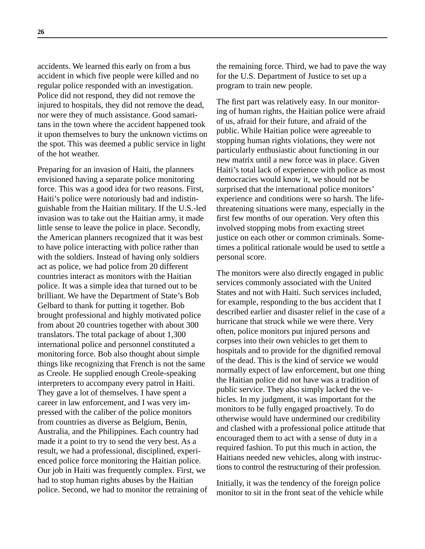accidents. We learned this early on from a bus accident in which five people were killed and no regular police responded with an investigation. Police did not respond, they did not remove the injured to hospitals, they did not remove the dead, nor were they of much assistance. Good samaritans in the town where the accident happened took it upon themselves to bury the unknown victims on the spot. This was deemed a public service in light of the hot weather.

Preparing for an invasion of Haiti, the planners envisioned having a separate police monitoring force. This was a good idea for two reasons. First, Haiti's police were notoriously bad and indistinguishable from the Haitian military. If the U.S.-led invasion was to take out the Haitian army, it made little sense to leave the police in place. Secondly, the American planners recognized that it was best to have police interacting with police rather than with the soldiers. Instead of having only soldiers act as police, we had police from 20 different countries interact as monitors with the Haitian police. It was a simple idea that turned out to be brilliant. We have the Department of State's Bob Gelbard to thank for putting it together. Bob brought professional and highly motivated police from about 20 countries together with about 300 translators. The total package of about 1,300 international police and personnel constituted a monitoring force. Bob also thought about simple things like recognizing that French is not the same as Creole. He supplied enough Creole-speaking interpreters to accompany every patrol in Haiti. They gave a lot of themselves. I have spent a career in law enforcement, and I was very impressed with the caliber of the police monitors from countries as diverse as Belgium, Benin, Australia, and the Philippines. Each country had made it a point to try to send the very best. As a result, we had a professional, disciplined, experienced police force monitoring the Haitian police. Our job in Haiti was frequently complex. First, we had to stop human rights abuses by the Haitian police. Second, we had to monitor the retraining of the remaining force. Third, we had to pave the way for the U.S. Department of Justice to set up a program to train new people.

The first part was relatively easy. In our monitoring of human rights, the Haitian police were afraid of us, afraid for their future, and afraid of the public. While Haitian police were agreeable to stopping human rights violations, they were not particularly enthusiastic about functioning in our new matrix until a new force was in place. Given Haiti's total lack of experience with police as most democracies would know it, we should not be surprised that the international police monitors' experience and conditions were so harsh. The lifethreatening situations were many, especially in the first few months of our operation. Very often this involved stopping mobs from exacting street justice on each other or common criminals. Sometimes a political rationale would be used to settle a personal score.

The monitors were also directly engaged in public services commonly associated with the United States and not with Haiti. Such services included, for example, responding to the bus accident that I described earlier and disaster relief in the case of a hurricane that struck while we were there. Very often, police monitors put injured persons and corpses into their own vehicles to get them to hospitals and to provide for the dignified removal of the dead. This is the kind of service we would normally expect of law enforcement, but one thing the Haitian police did not have was a tradition of public service. They also simply lacked the vehicles. In my judgment, it was important for the monitors to be fully engaged proactively. To do otherwise would have undermined our credibility and clashed with a professional police attitude that encouraged them to act with a sense of duty in a required fashion. To put this much in action, the Haitians needed new vehicles, along with instructions to control the restructuring of their profession.

Initially, it was the tendency of the foreign police monitor to sit in the front seat of the vehicle while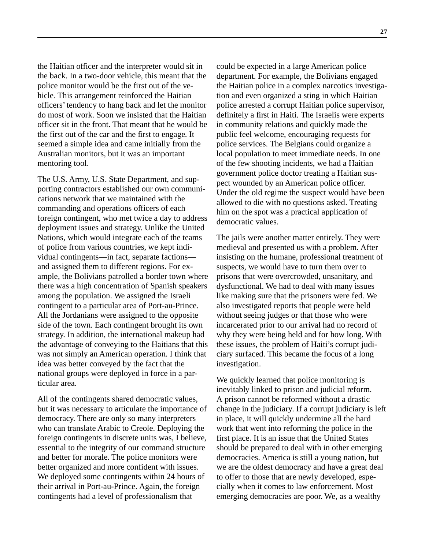the Haitian officer and the interpreter would sit in the back. In a two-door vehicle, this meant that the police monitor would be the first out of the vehicle. This arrangement reinforced the Haitian officers' tendency to hang back and let the monitor do most of work. Soon we insisted that the Haitian officer sit in the front. That meant that he would be the first out of the car and the first to engage. It seemed a simple idea and came initially from the Australian monitors, but it was an important mentoring tool.

The U.S. Army, U.S. State Department, and supporting contractors established our own communications network that we maintained with the commanding and operations officers of each foreign contingent, who met twice a day to address deployment issues and strategy. Unlike the United Nations, which would integrate each of the teams of police from various countries, we kept individual contingents—in fact, separate factions and assigned them to different regions. For example, the Bolivians patrolled a border town where there was a high concentration of Spanish speakers among the population. We assigned the Israeli contingent to a particular area of Port-au-Prince. All the Jordanians were assigned to the opposite side of the town. Each contingent brought its own strategy. In addition, the international makeup had the advantage of conveying to the Haitians that this was not simply an American operation. I think that idea was better conveyed by the fact that the national groups were deployed in force in a particular area.

All of the contingents shared democratic values, but it was necessary to articulate the importance of democracy. There are only so many interpreters who can translate Arabic to Creole. Deploying the foreign contingents in discrete units was, I believe, essential to the integrity of our command structure and better for morale. The police monitors were better organized and more confident with issues. We deployed some contingents within 24 hours of their arrival in Port-au-Prince. Again, the foreign contingents had a level of professionalism that

could be expected in a large American police department. For example, the Bolivians engaged the Haitian police in a complex narcotics investigation and even organized a sting in which Haitian police arrested a corrupt Haitian police supervisor, definitely a first in Haiti. The Israelis were experts in community relations and quickly made the public feel welcome, encouraging requests for police services. The Belgians could organize a local population to meet immediate needs. In one of the few shooting incidents, we had a Haitian government police doctor treating a Haitian suspect wounded by an American police officer. Under the old regime the suspect would have been allowed to die with no questions asked. Treating him on the spot was a practical application of democratic values.

The jails were another matter entirely. They were medieval and presented us with a problem. After insisting on the humane, professional treatment of suspects, we would have to turn them over to prisons that were overcrowded, unsanitary, and dysfunctional. We had to deal with many issues like making sure that the prisoners were fed. We also investigated reports that people were held without seeing judges or that those who were incarcerated prior to our arrival had no record of why they were being held and for how long. With these issues, the problem of Haiti's corrupt judiciary surfaced. This became the focus of a long investigation.

We quickly learned that police monitoring is inevitably linked to prison and judicial reform. A prison cannot be reformed without a drastic change in the judiciary. If a corrupt judiciary is left in place, it will quickly undermine all the hard work that went into reforming the police in the first place. It is an issue that the United States should be prepared to deal with in other emerging democracies. America is still a young nation, but we are the oldest democracy and have a great deal to offer to those that are newly developed, especially when it comes to law enforcement. Most emerging democracies are poor. We, as a wealthy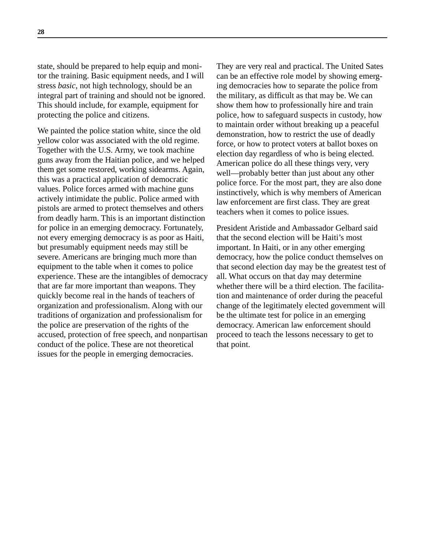state, should be prepared to help equip and monitor the training. Basic equipment needs, and I will stress *basic*, not high technology, should be an integral part of training and should not be ignored. This should include, for example, equipment for protecting the police and citizens.

We painted the police station white, since the old yellow color was associated with the old regime. Together with the U.S. Army, we took machine guns away from the Haitian police, and we helped them get some restored, working sidearms. Again, this was a practical application of democratic values. Police forces armed with machine guns actively intimidate the public. Police armed with pistols are armed to protect themselves and others from deadly harm. This is an important distinction for police in an emerging democracy. Fortunately, not every emerging democracy is as poor as Haiti, but presumably equipment needs may still be severe. Americans are bringing much more than equipment to the table when it comes to police experience. These are the intangibles of democracy that are far more important than weapons. They quickly become real in the hands of teachers of organization and professionalism. Along with our traditions of organization and professionalism for the police are preservation of the rights of the accused, protection of free speech, and nonpartisan conduct of the police. These are not theoretical issues for the people in emerging democracies.

They are very real and practical. The United Sates can be an effective role model by showing emerging democracies how to separate the police from the military, as difficult as that may be. We can show them how to professionally hire and train police, how to safeguard suspects in custody, how to maintain order without breaking up a peaceful demonstration, how to restrict the use of deadly force, or how to protect voters at ballot boxes on election day regardless of who is being elected. American police do all these things very, very well—probably better than just about any other police force. For the most part, they are also done instinctively, which is why members of American law enforcement are first class. They are great teachers when it comes to police issues.

President Aristide and Ambassador Gelbard said that the second election will be Haiti's most important. In Haiti, or in any other emerging democracy, how the police conduct themselves on that second election day may be the greatest test of all. What occurs on that day may determine whether there will be a third election. The facilitation and maintenance of order during the peaceful change of the legitimately elected government will be the ultimate test for police in an emerging democracy. American law enforcement should proceed to teach the lessons necessary to get to that point.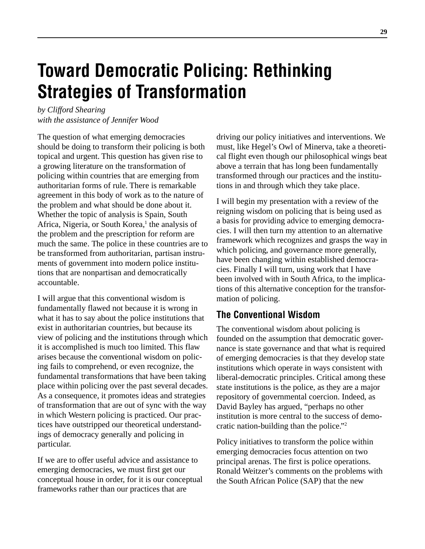# **Toward Democratic Policing: Rethinking Strategies of Transformation**

*by Clifford Shearing with the assistance of Jennifer Wood*

The question of what emerging democracies should be doing to transform their policing is both topical and urgent. This question has given rise to a growing literature on the transformation of policing within countries that are emerging from authoritarian forms of rule. There is remarkable agreement in this body of work as to the nature of the problem and what should be done about it. Whether the topic of analysis is Spain, South Africa, Nigeria, or South Korea,<sup>1</sup> the analysis of the problem and the prescription for reform are much the same. The police in these countries are to be transformed from authoritarian, partisan instruments of government into modern police institutions that are nonpartisan and democratically accountable.

I will argue that this conventional wisdom is fundamentally flawed not because it is wrong in what it has to say about the police institutions that exist in authoritarian countries, but because its view of policing and the institutions through which it is accomplished is much too limited. This flaw arises because the conventional wisdom on policing fails to comprehend, or even recognize, the fundamental transformations that have been taking place within policing over the past several decades. As a consequence, it promotes ideas and strategies of transformation that are out of sync with the way in which Western policing is practiced. Our practices have outstripped our theoretical understandings of democracy generally and policing in particular.

If we are to offer useful advice and assistance to emerging democracies, we must first get our conceptual house in order, for it is our conceptual frameworks rather than our practices that are

driving our policy initiatives and interventions. We must, like Hegel's Owl of Minerva, take a theoretical flight even though our philosophical wings beat above a terrain that has long been fundamentally transformed through our practices and the institutions in and through which they take place.

I will begin my presentation with a review of the reigning wisdom on policing that is being used as a basis for providing advice to emerging democracies. I will then turn my attention to an alternative framework which recognizes and grasps the way in which policing, and governance more generally, have been changing within established democracies. Finally I will turn, using work that I have been involved with in South Africa, to the implications of this alternative conception for the transformation of policing.

### **The Conventional Wisdom**

The conventional wisdom about policing is founded on the assumption that democratic governance is state governance and that what is required of emerging democracies is that they develop state institutions which operate in ways consistent with liberal-democratic principles. Critical among these state institutions is the police, as they are a major repository of governmental coercion. Indeed, as David Bayley has argued, "perhaps no other institution is more central to the success of democratic nation-building than the police."2

Policy initiatives to transform the police within emerging democracies focus attention on two principal arenas. The first is police operations. Ronald Weitzer's comments on the problems with the South African Police (SAP) that the new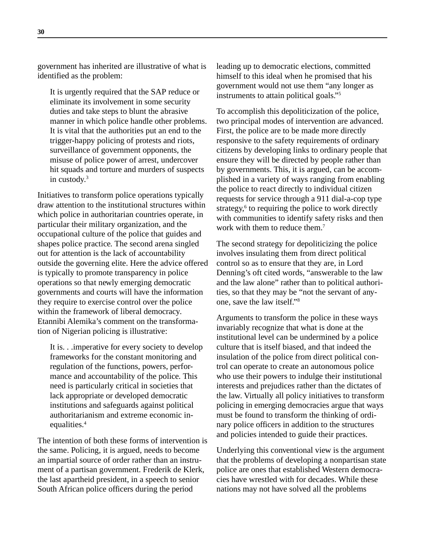government has inherited are illustrative of what is identified as the problem:

It is urgently required that the SAP reduce or eliminate its involvement in some security duties and take steps to blunt the abrasive manner in which police handle other problems. It is vital that the authorities put an end to the trigger-happy policing of protests and riots, surveillance of government opponents, the misuse of police power of arrest, undercover hit squads and torture and murders of suspects in custody.3

Initiatives to transform police operations typically draw attention to the institutional structures within which police in authoritarian countries operate, in particular their military organization, and the occupational culture of the police that guides and shapes police practice. The second arena singled out for attention is the lack of accountability outside the governing elite. Here the advice offered is typically to promote transparency in police operations so that newly emerging democratic governments and courts will have the information they require to exercise control over the police within the framework of liberal democracy. Etannibi Alemika's comment on the transformation of Nigerian policing is illustrative:

It is. . .imperative for every society to develop frameworks for the constant monitoring and regulation of the functions, powers, performance and accountability of the police. This need is particularly critical in societies that lack appropriate or developed democratic institutions and safeguards against political authoritarianism and extreme economic inequalities.<sup>4</sup>

The intention of both these forms of intervention is the same. Policing, it is argued, needs to become an impartial source of order rather than an instrument of a partisan government. Frederik de Klerk, the last apartheid president, in a speech to senior South African police officers during the period

leading up to democratic elections, committed himself to this ideal when he promised that his government would not use them "any longer as instruments to attain political goals."5

To accomplish this depoliticization of the police, two principal modes of intervention are advanced. First, the police are to be made more directly responsive to the safety requirements of ordinary citizens by developing links to ordinary people that ensure they will be directed by people rather than by governments. This, it is argued, can be accomplished in a variety of ways ranging from enabling the police to react directly to individual citizen requests for service through a 911 dial-a-cop type strategy,<sup>6</sup> to requiring the police to work directly with communities to identify safety risks and then work with them to reduce them.<sup>7</sup>

The second strategy for depoliticizing the police involves insulating them from direct political control so as to ensure that they are, in Lord Denning's oft cited words, "answerable to the law and the law alone" rather than to political authorities, so that they may be "not the servant of anyone, save the law itself."8

Arguments to transform the police in these ways invariably recognize that what is done at the institutional level can be undermined by a police culture that is itself biased, and that indeed the insulation of the police from direct political control can operate to create an autonomous police who use their powers to indulge their institutional interests and prejudices rather than the dictates of the law. Virtually all policy initiatives to transform policing in emerging democracies argue that ways must be found to transform the thinking of ordinary police officers in addition to the structures and policies intended to guide their practices.

Underlying this conventional view is the argument that the problems of developing a nonpartisan state police are ones that established Western democracies have wrestled with for decades. While these nations may not have solved all the problems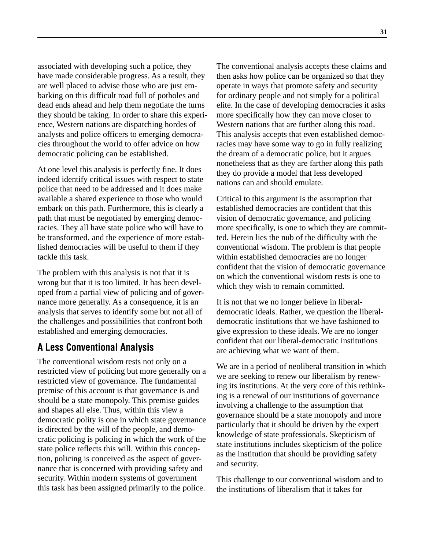associated with developing such a police, they have made considerable progress. As a result, they are well placed to advise those who are just embarking on this difficult road full of potholes and dead ends ahead and help them negotiate the turns they should be taking. In order to share this experience, Western nations are dispatching hordes of analysts and police officers to emerging democracies throughout the world to offer advice on how democratic policing can be established.

At one level this analysis is perfectly fine. It does indeed identify critical issues with respect to state police that need to be addressed and it does make available a shared experience to those who would embark on this path. Furthermore, this is clearly a path that must be negotiated by emerging democracies. They all have state police who will have to be transformed, and the experience of more established democracies will be useful to them if they tackle this task.

The problem with this analysis is not that it is wrong but that it is too limited. It has been developed from a partial view of policing and of governance more generally. As a consequence, it is an analysis that serves to identify some but not all of the challenges and possibilities that confront both established and emerging democracies.

### **A Less Conventional Analysis**

The conventional wisdom rests not only on a restricted view of policing but more generally on a restricted view of governance. The fundamental premise of this account is that governance is and should be a state monopoly. This premise guides and shapes all else. Thus, within this view a democratic polity is one in which state governance is directed by the will of the people, and democratic policing is policing in which the work of the state police reflects this will. Within this conception, policing is conceived as the aspect of governance that is concerned with providing safety and security. Within modern systems of government this task has been assigned primarily to the police.

The conventional analysis accepts these claims and then asks how police can be organized so that they operate in ways that promote safety and security for ordinary people and not simply for a political elite. In the case of developing democracies it asks more specifically how they can move closer to Western nations that are further along this road. This analysis accepts that even established democracies may have some way to go in fully realizing the dream of a democratic police, but it argues nonetheless that as they are farther along this path they do provide a model that less developed nations can and should emulate.

Critical to this argument is the assumption that established democracies are confident that this vision of democratic governance, and policing more specifically, is one to which they are committed. Herein lies the nub of the difficulty with the conventional wisdom. The problem is that people within established democracies are no longer confident that the vision of democratic governance on which the conventional wisdom rests is one to which they wish to remain committed.

It is not that we no longer believe in liberaldemocratic ideals. Rather, we question the liberaldemocratic institutions that we have fashioned to give expression to these ideals. We are no longer confident that our liberal-democratic institutions are achieving what we want of them.

We are in a period of neoliberal transition in which we are seeking to renew our liberalism by renewing its institutions. At the very core of this rethinking is a renewal of our institutions of governance involving a challenge to the assumption that governance should be a state monopoly and more particularly that it should be driven by the expert knowledge of state professionals. Skepticism of state institutions includes skepticism of the police as the institution that should be providing safety and security.

This challenge to our conventional wisdom and to the institutions of liberalism that it takes for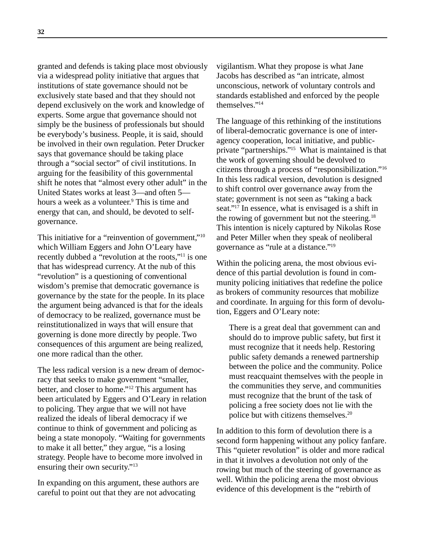granted and defends is taking place most obviously via a widespread polity initiative that argues that institutions of state governance should not be exclusively state based and that they should not depend exclusively on the work and knowledge of experts. Some argue that governance should not simply be the business of professionals but should be everybody's business. People, it is said, should be involved in their own regulation. Peter Drucker says that governance should be taking place through a "social sector" of civil institutions. In arguing for the feasibility of this governmental shift he notes that "almost every other adult" in the United States works at least 3—and often 5 hours a week as a volunteer.<sup>9</sup> This is time and energy that can, and should, be devoted to selfgovernance.

This initiative for a "reinvention of government,"<sup>10</sup> which William Eggers and John O'Leary have recently dubbed a "revolution at the roots,"11 is one that has widespread currency. At the nub of this "revolution" is a questioning of conventional wisdom's premise that democratic governance is governance by the state for the people. In its place the argument being advanced is that for the ideals of democracy to be realized, governance must be reinstitutionalized in ways that will ensure that governing is done more directly by people. Two consequences of this argument are being realized, one more radical than the other.

The less radical version is a new dream of democracy that seeks to make government "smaller, better, and closer to home."12 This argument has been articulated by Eggers and O'Leary in relation to policing. They argue that we will not have realized the ideals of liberal democracy if we continue to think of government and policing as being a state monopoly. "Waiting for governments to make it all better," they argue, "is a losing strategy. People have to become more involved in ensuring their own security."<sup>13</sup>

In expanding on this argument, these authors are careful to point out that they are not advocating

vigilantism. What they propose is what Jane Jacobs has described as "an intricate, almost unconscious, network of voluntary controls and standards established and enforced by the people themselves."14

The language of this rethinking of the institutions of liberal-democratic governance is one of interagency cooperation, local initiative, and publicprivate "partnerships."15 What is maintained is that the work of governing should be devolved to citizens through a process of "responsibilization."16 In this less radical version, devolution is designed to shift control over governance away from the state; government is not seen as "taking a back seat."17 In essence, what is envisaged is a shift in the rowing of government but not the steering.18 This intention is nicely captured by Nikolas Rose and Peter Miller when they speak of neoliberal governance as "rule at a distance."19

Within the policing arena, the most obvious evidence of this partial devolution is found in community policing initiatives that redefine the police as brokers of community resources that mobilize and coordinate. In arguing for this form of devolution, Eggers and O'Leary note:

There is a great deal that government can and should do to improve public safety, but first it must recognize that it needs help. Restoring public safety demands a renewed partnership between the police and the community. Police must reacquaint themselves with the people in the communities they serve, and communities must recognize that the brunt of the task of policing a free society does not lie with the police but with citizens themselves.20

In addition to this form of devolution there is a second form happening without any policy fanfare. This "quieter revolution" is older and more radical in that it involves a devolution not only of the rowing but much of the steering of governance as well. Within the policing arena the most obvious evidence of this development is the "rebirth of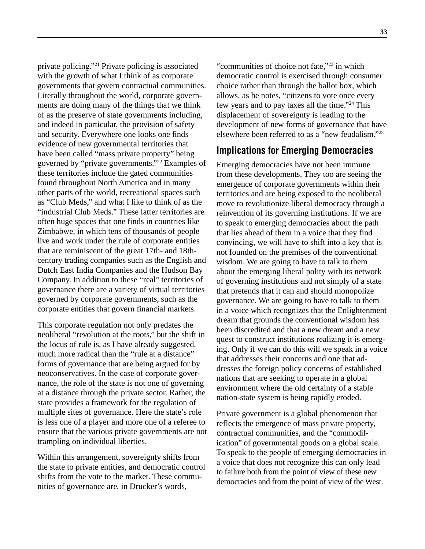private policing."21 Private policing is associated with the growth of what I think of as corporate governments that govern contractual communities. Literally throughout the world, corporate governments are doing many of the things that we think of as the preserve of state governments including, and indeed in particular, the provision of safety and security. Everywhere one looks one finds evidence of new governmental territories that have been called "mass private property" being governed by "private governments."22 Examples of these territories include the gated communities found throughout North America and in many other parts of the world, recreational spaces such as "Club Meds," and what I like to think of as the "industrial Club Meds." These latter territories are often huge spaces that one finds in countries like Zimbabwe, in which tens of thousands of people live and work under the rule of corporate entities that are reminiscent of the great 17th- and 18thcentury trading companies such as the English and Dutch East India Companies and the Hudson Bay Company. In addition to these "real" territories of governance there are a variety of virtual territories governed by corporate governments, such as the corporate entities that govern financial markets.

This corporate regulation not only predates the neoliberal "revolution at the roots," but the shift in the locus of rule is, as I have already suggested, much more radical than the "rule at a distance" forms of governance that are being argued for by neoconservatives. In the case of corporate governance, the role of the state is not one of governing at a distance through the private sector. Rather, the state provides a framework for the regulation of multiple sites of governance. Here the state's role is less one of a player and more one of a referee to ensure that the various private governments are not trampling on individual liberties.

Within this arrangement, sovereignty shifts from the state to private entities, and democratic control shifts from the vote to the market. These communities of governance are, in Drucker's words,

"communities of choice not fate,"23 in which democratic control is exercised through consumer choice rather than through the ballot box, which allows, as he notes, "citizens to vote once every few years and to pay taxes all the time."24 This displacement of sovereignty is leading to the development of new forms of governance that have elsewhere been referred to as a "new feudalism."25

#### **Implications for Emerging Democracies**

Emerging democracies have not been immune from these developments. They too are seeing the emergence of corporate governments within their territories and are being exposed to the neoliberal move to revolutionize liberal democracy through a reinvention of its governing institutions. If we are to speak to emerging democracies about the path that lies ahead of them in a voice that they find convincing, we will have to shift into a key that is not founded on the premises of the conventional wisdom. We are going to have to talk to them about the emerging liberal polity with its network of governing institutions and not simply of a state that pretends that it can and should monopolize governance. We are going to have to talk to them in a voice which recognizes that the Enlightenment dream that grounds the conventional wisdom has been discredited and that a new dream and a new quest to construct institutions realizing it is emerging. Only if we can do this will we speak in a voice that addresses their concerns and one that addresses the foreign policy concerns of established nations that are seeking to operate in a global environment where the old certainty of a stable nation-state system is being rapidly eroded.

Private government is a global phenomenon that reflects the emergence of mass private property, contractual communities, and the "commodification" of governmental goods on a global scale. To speak to the people of emerging democracies in a voice that does not recognize this can only lead to failure both from the point of view of these new democracies and from the point of view of the West.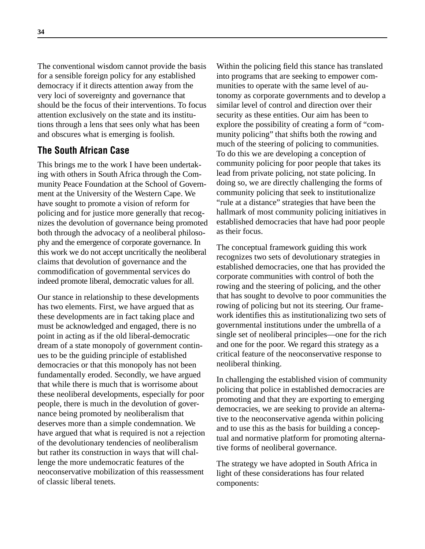The conventional wisdom cannot provide the basis for a sensible foreign policy for any established democracy if it directs attention away from the very loci of sovereignty and governance that should be the focus of their interventions. To focus attention exclusively on the state and its institutions through a lens that sees only what has been and obscures what is emerging is foolish.

## **The South African Case**

This brings me to the work I have been undertaking with others in South Africa through the Community Peace Foundation at the School of Government at the University of the Western Cape. We have sought to promote a vision of reform for policing and for justice more generally that recognizes the devolution of governance being promoted both through the advocacy of a neoliberal philosophy and the emergence of corporate governance. In this work we do not accept uncritically the neoliberal claims that devolution of governance and the commodification of governmental services do indeed promote liberal, democratic values for all.

Our stance in relationship to these developments has two elements. First, we have argued that as these developments are in fact taking place and must be acknowledged and engaged, there is no point in acting as if the old liberal-democratic dream of a state monopoly of government continues to be the guiding principle of established democracies or that this monopoly has not been fundamentally eroded. Secondly, we have argued that while there is much that is worrisome about these neoliberal developments, especially for poor people, there is much in the devolution of governance being promoted by neoliberalism that deserves more than a simple condemnation. We have argued that what is required is not a rejection of the devolutionary tendencies of neoliberalism but rather its construction in ways that will challenge the more undemocratic features of the neoconservative mobilization of this reassessment of classic liberal tenets.

Within the policing field this stance has translated into programs that are seeking to empower communities to operate with the same level of autonomy as corporate governments and to develop a similar level of control and direction over their security as these entities. Our aim has been to explore the possibility of creating a form of "community policing" that shifts both the rowing and much of the steering of policing to communities. To do this we are developing a conception of community policing for poor people that takes its lead from private policing, not state policing. In doing so, we are directly challenging the forms of community policing that seek to institutionalize "rule at a distance" strategies that have been the hallmark of most community policing initiatives in established democracies that have had poor people as their focus.

The conceptual framework guiding this work recognizes two sets of devolutionary strategies in established democracies, one that has provided the corporate communities with control of both the rowing and the steering of policing, and the other that has sought to devolve to poor communities the rowing of policing but not its steering. Our framework identifies this as institutionalizing two sets of governmental institutions under the umbrella of a single set of neoliberal principles—one for the rich and one for the poor. We regard this strategy as a critical feature of the neoconservative response to neoliberal thinking.

In challenging the established vision of community policing that police in established democracies are promoting and that they are exporting to emerging democracies, we are seeking to provide an alternative to the neoconservative agenda within policing and to use this as the basis for building a conceptual and normative platform for promoting alternative forms of neoliberal governance.

The strategy we have adopted in South Africa in light of these considerations has four related components: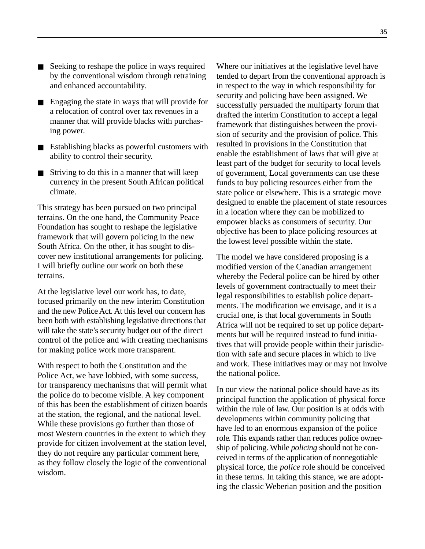- Seeking to reshape the police in ways required by the conventional wisdom through retraining and enhanced accountability.
- Engaging the state in ways that will provide for a relocation of control over tax revenues in a manner that will provide blacks with purchasing power.
- Establishing blacks as powerful customers with ability to control their security.
- Striving to do this in a manner that will keep currency in the present South African political climate.

This strategy has been pursued on two principal terrains. On the one hand, the Community Peace Foundation has sought to reshape the legislative framework that will govern policing in the new South Africa. On the other, it has sought to discover new institutional arrangements for policing. I will briefly outline our work on both these terrains.

At the legislative level our work has, to date, focused primarily on the new interim Constitution and the new Police Act. At this level our concern has been both with establishing legislative directions that will take the state's security budget out of the direct control of the police and with creating mechanisms for making police work more transparent.

With respect to both the Constitution and the Police Act, we have lobbied, with some success, for transparency mechanisms that will permit what the police do to become visible. A key component of this has been the establishment of citizen boards at the station, the regional, and the national level. While these provisions go further than those of most Western countries in the extent to which they provide for citizen involvement at the station level, they do not require any particular comment here, as they follow closely the logic of the conventional wisdom.

Where our initiatives at the legislative level have tended to depart from the conventional approach is in respect to the way in which responsibility for security and policing have been assigned. We successfully persuaded the multiparty forum that drafted the interim Constitution to accept a legal framework that distinguishes between the provision of security and the provision of police. This resulted in provisions in the Constitution that enable the establishment of laws that will give at least part of the budget for security to local levels of government, Local governments can use these funds to buy policing resources either from the state police or elsewhere. This is a strategic move designed to enable the placement of state resources in a location where they can be mobilized to empower blacks as consumers of security. Our objective has been to place policing resources at the lowest level possible within the state.

The model we have considered proposing is a modified version of the Canadian arrangement whereby the Federal police can be hired by other levels of government contractually to meet their legal responsibilities to establish police departments. The modification we envisage, and it is a crucial one, is that local governments in South Africa will not be required to set up police departments but will be required instead to fund initiatives that will provide people within their jurisdiction with safe and secure places in which to live and work. These initiatives may or may not involve the national police.

In our view the national police should have as its principal function the application of physical force within the rule of law. Our position is at odds with developments within community policing that have led to an enormous expansion of the police role. This expands rather than reduces police ownership of policing. While *policing* should not be conceived in terms of the application of nonnegotiable physical force, the *police* role should be conceived in these terms. In taking this stance, we are adopting the classic Weberian position and the position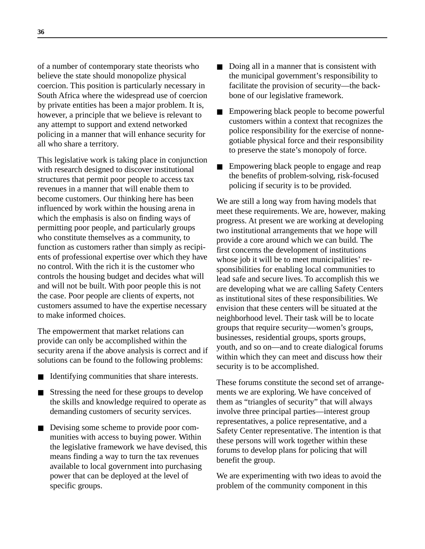of a number of contemporary state theorists who believe the state should monopolize physical coercion. This position is particularly necessary in South Africa where the widespread use of coercion by private entities has been a major problem. It is, however, a principle that we believe is relevant to any attempt to support and extend networked policing in a manner that will enhance security for all who share a territory.

This legislative work is taking place in conjunction with research designed to discover institutional structures that permit poor people to access tax revenues in a manner that will enable them to become customers. Our thinking here has been influenced by work within the housing arena in which the emphasis is also on finding ways of permitting poor people, and particularly groups who constitute themselves as a community, to function as customers rather than simply as recipients of professional expertise over which they have no control. With the rich it is the customer who controls the housing budget and decides what will and will not be built. With poor people this is not the case. Poor people are clients of experts, not customers assumed to have the expertise necessary to make informed choices.

The empowerment that market relations can provide can only be accomplished within the security arena if the above analysis is correct and if solutions can be found to the following problems:

- Identifying communities that share interests.
- Stressing the need for these groups to develop the skills and knowledge required to operate as demanding customers of security services.
- Devising some scheme to provide poor communities with access to buying power. Within the legislative framework we have devised, this means finding a way to turn the tax revenues available to local government into purchasing power that can be deployed at the level of specific groups.
- Doing all in a manner that is consistent with the municipal government's responsibility to facilitate the provision of security—the backbone of our legislative framework.
- Empowering black people to become powerful customers within a context that recognizes the police responsibility for the exercise of nonnegotiable physical force and their responsibility to preserve the state's monopoly of force.
- Empowering black people to engage and reap the benefits of problem-solving, risk-focused policing if security is to be provided.

We are still a long way from having models that meet these requirements. We are, however, making progress. At present we are working at developing two institutional arrangements that we hope will provide a core around which we can build. The first concerns the development of institutions whose job it will be to meet municipalities' responsibilities for enabling local communities to lead safe and secure lives. To accomplish this we are developing what we are calling Safety Centers as institutional sites of these responsibilities. We envision that these centers will be situated at the neighborhood level. Their task will be to locate groups that require security—women's groups, businesses, residential groups, sports groups, youth, and so on—and to create dialogical forums within which they can meet and discuss how their security is to be accomplished.

These forums constitute the second set of arrangements we are exploring. We have conceived of them as "triangles of security" that will always involve three principal parties—interest group representatives, a police representative, and a Safety Center representative. The intention is that these persons will work together within these forums to develop plans for policing that will benefit the group.

We are experimenting with two ideas to avoid the problem of the community component in this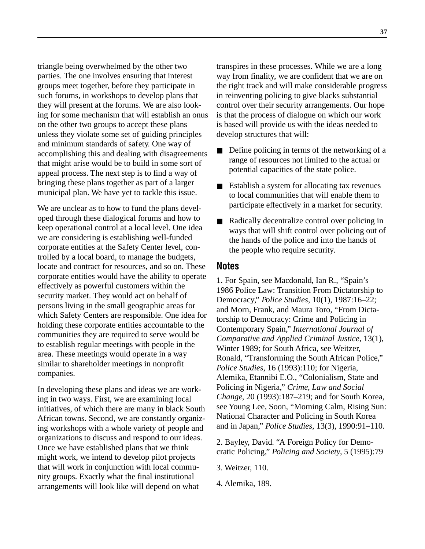triangle being overwhelmed by the other two parties. The one involves ensuring that interest groups meet together, before they participate in such forums, in workshops to develop plans that they will present at the forums. We are also looking for some mechanism that will establish an onus on the other two groups to accept these plans unless they violate some set of guiding principles and minimum standards of safety. One way of accomplishing this and dealing with disagreements that might arise would be to build in some sort of appeal process. The next step is to find a way of bringing these plans together as part of a larger municipal plan. We have yet to tackle this issue.

We are unclear as to how to fund the plans developed through these dialogical forums and how to keep operational control at a local level. One idea we are considering is establishing well-funded corporate entities at the Safety Center level, controlled by a local board, to manage the budgets, locate and contract for resources, and so on. These corporate entities would have the ability to operate effectively as powerful customers within the security market. They would act on behalf of persons living in the small geographic areas for which Safety Centers are responsible. One idea for holding these corporate entities accountable to the communities they are required to serve would be to establish regular meetings with people in the area. These meetings would operate in a way similar to shareholder meetings in nonprofit companies.

In developing these plans and ideas we are working in two ways. First, we are examining local initiatives, of which there are many in black South African towns. Second, we are constantly organizing workshops with a whole variety of people and organizations to discuss and respond to our ideas. Once we have established plans that we think might work, we intend to develop pilot projects that will work in conjunction with local community groups. Exactly what the final institutional arrangements will look like will depend on what

transpires in these processes. While we are a long way from finality, we are confident that we are on the right track and will make considerable progress in reinventing policing to give blacks substantial control over their security arrangements. Our hope is that the process of dialogue on which our work is based will provide us with the ideas needed to develop structures that will:

- Define policing in terms of the networking of a range of resources not limited to the actual or potential capacities of the state police.
- Establish a system for allocating tax revenues to local communities that will enable them to participate effectively in a market for security.
- Radically decentralize control over policing in ways that will shift control over policing out of the hands of the police and into the hands of the people who require security.

#### **Notes**

1. For Spain, see Macdonald, Ian R., "Spain's 1986 Police Law: Transition From Dictatorship to Democracy," *Police Studies*, 10(1), 1987:16–22; and Morn, Frank, and Maura Toro, "From Dictatorship to Democracy: Crime and Policing in Contemporary Spain," *International Journal of Comparative and Applied Criminal Justice*, 13(1), Winter 1989; for South Africa, see Weitzer, Ronald, "Transforming the South African Police," *Police Studies*, 16 (1993):110; for Nigeria, Alemika, Etannibi E.O., "Colonialism, State and Policing in Nigeria," *Crime, Law and Social Change*, 20 (1993):187–219; and for South Korea, see Young Lee, Soon, "Morning Calm, Rising Sun: National Character and Policing in South Korea and in Japan," *Police Studies*, 13(3), 1990:91–110.

2. Bayley, David. "A Foreign Policy for Democratic Policing," *Policing and Society*, 5 (1995):79

3. Weitzer, 110.

4. Alemika, 189.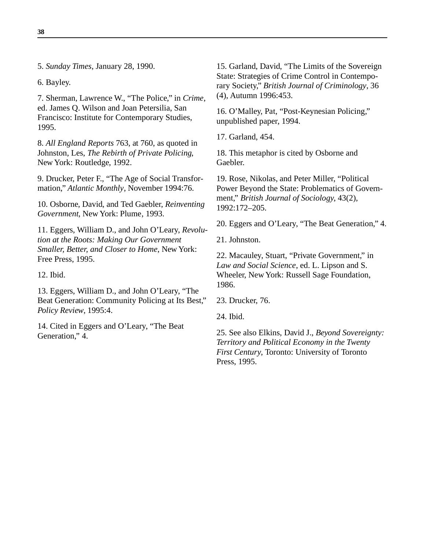5. *Sunday Times*, January 28, 1990.

6. Bayley.

**38**

7. Sherman, Lawrence W., "The Police," in *Crime*, ed. James Q. Wilson and Joan Petersilia, San Francisco: Institute for Contemporary Studies, 1995.

8. *All England Reports* 763, at 760, as quoted in Johnston, Les, *The Rebirth of Private Policing*, New York: Routledge, 1992.

9. Drucker, Peter F., "The Age of Social Transformation," *Atlantic Monthly*, November 1994:76.

10. Osborne, David, and Ted Gaebler, *Reinventing Government*, New York: Plume, 1993.

11. Eggers, William D., and John O'Leary, *Revolution at the Roots: Making Our Government Smaller, Better, and Closer to Home*, New York: Free Press, 1995.

12. Ibid.

13. Eggers, William D., and John O'Leary, "The Beat Generation: Community Policing at Its Best," *Policy Review*, 1995:4.

14. Cited in Eggers and O'Leary, "The Beat Generation," 4.

15. Garland, David, "The Limits of the Sovereign State: Strategies of Crime Control in Contemporary Society," *British Journal of Criminology*, 36 (4), Autumn 1996:453.

16. O'Malley, Pat, "Post-Keynesian Policing," unpublished paper, 1994.

17. Garland, 454.

18. This metaphor is cited by Osborne and Gaebler.

19. Rose, Nikolas, and Peter Miller, "Political Power Beyond the State: Problematics of Government," *British Journal of Sociology*, 43(2), 1992:172–205.

20. Eggers and O'Leary, "The Beat Generation," 4.

21. Johnston.

22. Macauley, Stuart, "Private Government," in *Law and Social Science*, ed. L. Lipson and S. Wheeler, New York: Russell Sage Foundation, 1986.

23. Drucker, 76.

24. Ibid.

25. See also Elkins, David J., *Beyond Sovereignty: Territory and Political Economy in the Twenty First Century*, Toronto: University of Toronto Press, 1995.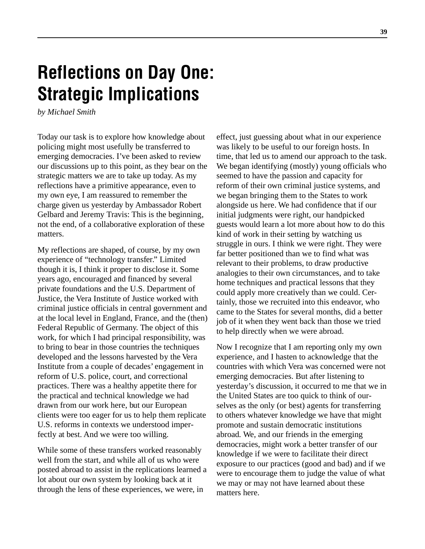# **Reflections on Day One: Strategic Implications**

*by Michael Smith*

Today our task is to explore how knowledge about policing might most usefully be transferred to emerging democracies. I've been asked to review our discussions up to this point, as they bear on the strategic matters we are to take up today. As my reflections have a primitive appearance, even to my own eye, I am reassured to remember the charge given us yesterday by Ambassador Robert Gelbard and Jeremy Travis: This is the beginning, not the end, of a collaborative exploration of these matters.

My reflections are shaped, of course, by my own experience of "technology transfer." Limited though it is, I think it proper to disclose it. Some years ago, encouraged and financed by several private foundations and the U.S. Department of Justice, the Vera Institute of Justice worked with criminal justice officials in central government and at the local level in England, France, and the (then) Federal Republic of Germany. The object of this work, for which I had principal responsibility, was to bring to bear in those countries the techniques developed and the lessons harvested by the Vera Institute from a couple of decades' engagement in reform of U.S. police, court, and correctional practices. There was a healthy appetite there for the practical and technical knowledge we had drawn from our work here, but our European clients were too eager for us to help them replicate U.S. reforms in contexts we understood imperfectly at best. And we were too willing.

While some of these transfers worked reasonably well from the start, and while all of us who were posted abroad to assist in the replications learned a lot about our own system by looking back at it through the lens of these experiences, we were, in

effect, just guessing about what in our experience was likely to be useful to our foreign hosts. In time, that led us to amend our approach to the task. We began identifying (mostly) young officials who seemed to have the passion and capacity for reform of their own criminal justice systems, and we began bringing them to the States to work alongside us here. We had confidence that if our initial judgments were right, our handpicked guests would learn a lot more about how to do this kind of work in their setting by watching us struggle in ours. I think we were right. They were far better positioned than we to find what was relevant to their problems, to draw productive analogies to their own circumstances, and to take home techniques and practical lessons that they could apply more creatively than we could. Certainly, those we recruited into this endeavor, who came to the States for several months, did a better job of it when they went back than those we tried to help directly when we were abroad.

Now I recognize that I am reporting only my own experience, and I hasten to acknowledge that the countries with which Vera was concerned were not emerging democracies. But after listening to yesterday's discussion, it occurred to me that we in the United States are too quick to think of ourselves as the only (or best) agents for transferring to others whatever knowledge we have that might promote and sustain democratic institutions abroad. We, and our friends in the emerging democracies, might work a better transfer of our knowledge if we were to facilitate their direct exposure to our practices (good and bad) and if we were to encourage them to judge the value of what we may or may not have learned about these matters here.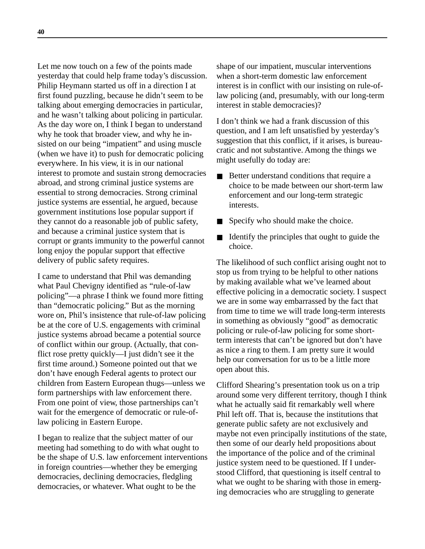Let me now touch on a few of the points made yesterday that could help frame today's discussion. Philip Heymann started us off in a direction I at first found puzzling, because he didn't seem to be talking about emerging democracies in particular, and he wasn't talking about policing in particular. As the day wore on, I think I began to understand why he took that broader view, and why he insisted on our being "impatient" and using muscle (when we have it) to push for democratic policing everywhere. In his view, it is in our national interest to promote and sustain strong democracies abroad, and strong criminal justice systems are essential to strong democracies. Strong criminal justice systems are essential, he argued, because government institutions lose popular support if they cannot do a reasonable job of public safety, and because a criminal justice system that is corrupt or grants immunity to the powerful cannot long enjoy the popular support that effective delivery of public safety requires.

I came to understand that Phil was demanding what Paul Chevigny identified as "rule-of-law policing"—a phrase I think we found more fitting than "democratic policing." But as the morning wore on, Phil's insistence that rule-of-law policing be at the core of U.S. engagements with criminal justice systems abroad became a potential source of conflict within our group. (Actually, that conflict rose pretty quickly—I just didn't see it the first time around.) Someone pointed out that we don't have enough Federal agents to protect our children from Eastern European thugs—unless we form partnerships with law enforcement there. From one point of view, those partnerships can't wait for the emergence of democratic or rule-oflaw policing in Eastern Europe.

I began to realize that the subject matter of our meeting had something to do with what ought to be the shape of U.S. law enforcement interventions in foreign countries—whether they be emerging democracies, declining democracies, fledgling democracies, or whatever. What ought to be the

shape of our impatient, muscular interventions when a short-term domestic law enforcement interest is in conflict with our insisting on rule-oflaw policing (and, presumably, with our long-term interest in stable democracies)?

I don't think we had a frank discussion of this question, and I am left unsatisfied by yesterday's suggestion that this conflict, if it arises, is bureaucratic and not substantive. Among the things we might usefully do today are:

- Better understand conditions that require a choice to be made between our short-term law enforcement and our long-term strategic interests.
- Specify who should make the choice.
- Identify the principles that ought to guide the choice.

The likelihood of such conflict arising ought not to stop us from trying to be helpful to other nations by making available what we've learned about effective policing in a democratic society. I suspect we are in some way embarrassed by the fact that from time to time we will trade long-term interests in something as obviously "good" as democratic policing or rule-of-law policing for some shortterm interests that can't be ignored but don't have as nice a ring to them. I am pretty sure it would help our conversation for us to be a little more open about this.

Clifford Shearing's presentation took us on a trip around some very different territory, though I think what he actually said fit remarkably well where Phil left off. That is, because the institutions that generate public safety are not exclusively and maybe not even principally institutions of the state, then some of our dearly held propositions about the importance of the police and of the criminal justice system need to be questioned. If I understood Clifford, that questioning is itself central to what we ought to be sharing with those in emerging democracies who are struggling to generate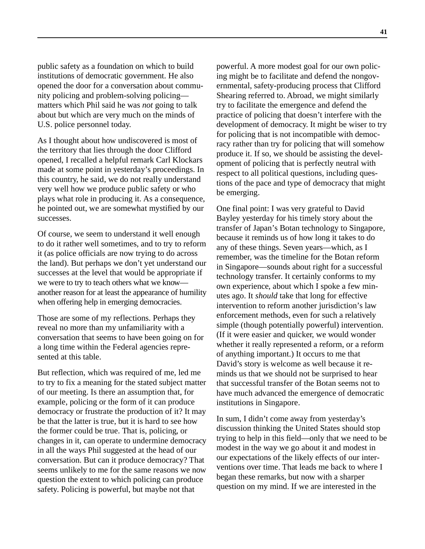public safety as a foundation on which to build institutions of democratic government. He also opened the door for a conversation about community policing and problem-solving policing matters which Phil said he was *not* going to talk about but which are very much on the minds of U.S. police personnel today.

As I thought about how undiscovered is most of the territory that lies through the door Clifford opened, I recalled a helpful remark Carl Klockars made at some point in yesterday's proceedings. In this country, he said, we do not really understand very well how we produce public safety or who plays what role in producing it. As a consequence, he pointed out, we are somewhat mystified by our successes.

Of course, we seem to understand it well enough to do it rather well sometimes, and to try to reform it (as police officials are now trying to do across the land). But perhaps we don't yet understand our successes at the level that would be appropriate if we were to try to teach others what we know another reason for at least the appearance of humility when offering help in emerging democracies.

Those are some of my reflections. Perhaps they reveal no more than my unfamiliarity with a conversation that seems to have been going on for a long time within the Federal agencies represented at this table.

But reflection, which was required of me, led me to try to fix a meaning for the stated subject matter of our meeting. Is there an assumption that, for example, policing or the form of it can produce democracy or frustrate the production of it? It may be that the latter is true, but it is hard to see how the former could be true. That is, policing, or changes in it, can operate to undermine democracy in all the ways Phil suggested at the head of our conversation. But can it produce democracy? That seems unlikely to me for the same reasons we now question the extent to which policing can produce safety. Policing is powerful, but maybe not that

powerful. A more modest goal for our own policing might be to facilitate and defend the nongovernmental, safety-producing process that Clifford Shearing referred to. Abroad, we might similarly try to facilitate the emergence and defend the practice of policing that doesn't interfere with the development of democracy. It might be wiser to try for policing that is not incompatible with democracy rather than try for policing that will somehow produce it. If so, we should be assisting the development of policing that is perfectly neutral with respect to all political questions, including questions of the pace and type of democracy that might be emerging.

One final point: I was very grateful to David Bayley yesterday for his timely story about the transfer of Japan's Botan technology to Singapore, because it reminds us of how long it takes to do any of these things. Seven years—which, as I remember, was the timeline for the Botan reform in Singapore—sounds about right for a successful technology transfer. It certainly conforms to my own experience, about which I spoke a few minutes ago. It *should* take that long for effective intervention to reform another jurisdiction's law enforcement methods, even for such a relatively simple (though potentially powerful) intervention. (If it were easier and quicker, we would wonder whether it really represented a reform, or a reform of anything important.) It occurs to me that David's story is welcome as well because it reminds us that we should not be surprised to hear that successful transfer of the Botan seems not to have much advanced the emergence of democratic institutions in Singapore.

In sum, I didn't come away from yesterday's discussion thinking the United States should stop trying to help in this field—only that we need to be modest in the way we go about it and modest in our expectations of the likely effects of our interventions over time. That leads me back to where I began these remarks, but now with a sharper question on my mind. If we are interested in the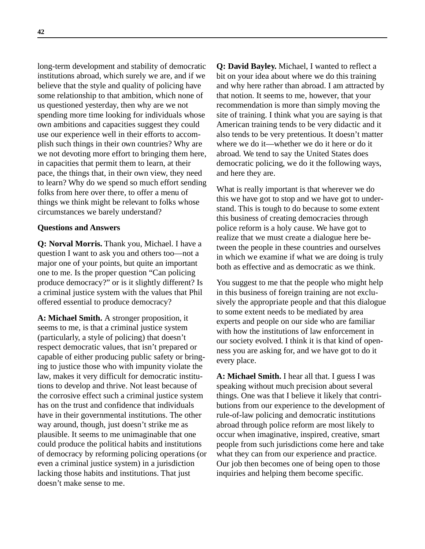long-term development and stability of democratic institutions abroad, which surely we are, and if we believe that the style and quality of policing have some relationship to that ambition, which none of us questioned yesterday, then why are we not spending more time looking for individuals whose own ambitions and capacities suggest they could use our experience well in their efforts to accomplish such things in their own countries? Why are we not devoting more effort to bringing them here, in capacities that permit them to learn, at their pace, the things that, in their own view, they need to learn? Why do we spend so much effort sending folks from here over there, to offer a menu of things we think might be relevant to folks whose circumstances we barely understand?

#### **Questions and Answers**

**Q: Norval Morris.** Thank you, Michael. I have a question I want to ask you and others too—not a major one of your points, but quite an important one to me. Is the proper question "Can policing produce democracy?" or is it slightly different? Is a criminal justice system with the values that Phil offered essential to produce democracy?

**A: Michael Smith.** A stronger proposition, it seems to me, is that a criminal justice system (particularly, a style of policing) that doesn't respect democratic values, that isn't prepared or capable of either producing public safety or bringing to justice those who with impunity violate the law, makes it very difficult for democratic institutions to develop and thrive. Not least because of the corrosive effect such a criminal justice system has on the trust and confidence that individuals have in their governmental institutions. The other way around, though, just doesn't strike me as plausible. It seems to me unimaginable that one could produce the political habits and institutions of democracy by reforming policing operations (or even a criminal justice system) in a jurisdiction lacking those habits and institutions. That just doesn't make sense to me.

**Q: David Bayley.** Michael, I wanted to reflect a bit on your idea about where we do this training and why here rather than abroad. I am attracted by that notion. It seems to me, however, that your recommendation is more than simply moving the site of training. I think what you are saying is that American training tends to be very didactic and it also tends to be very pretentious. It doesn't matter where we do it—whether we do it here or do it abroad. We tend to say the United States does democratic policing, we do it the following ways, and here they are.

What is really important is that wherever we do this we have got to stop and we have got to understand. This is tough to do because to some extent this business of creating democracies through police reform is a holy cause. We have got to realize that we must create a dialogue here between the people in these countries and ourselves in which we examine if what we are doing is truly both as effective and as democratic as we think.

You suggest to me that the people who might help in this business of foreign training are not exclusively the appropriate people and that this dialogue to some extent needs to be mediated by area experts and people on our side who are familiar with how the institutions of law enforcement in our society evolved. I think it is that kind of openness you are asking for, and we have got to do it every place.

**A: Michael Smith.** I hear all that. I guess I was speaking without much precision about several things. One was that I believe it likely that contributions from our experience to the development of rule-of-law policing and democratic institutions abroad through police reform are most likely to occur when imaginative, inspired, creative, smart people from such jurisdictions come here and take what they can from our experience and practice. Our job then becomes one of being open to those inquiries and helping them become specific.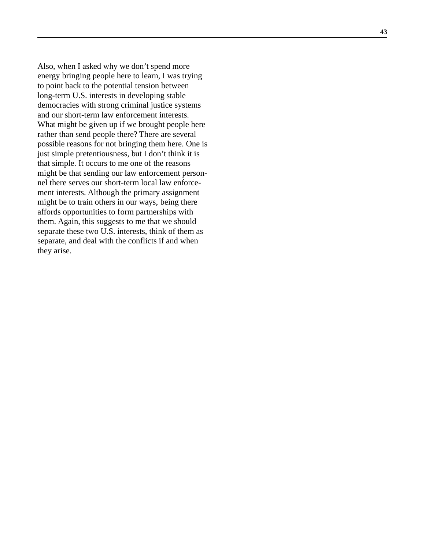Also, when I asked why we don't spend more energy bringing people here to learn, I was trying to point back to the potential tension between long-term U.S. interests in developing stable democracies with strong criminal justice systems and our short-term law enforcement interests. What might be given up if we brought people here rather than send people there? There are several possible reasons for not bringing them here. One is just simple pretentiousness, but I don't think it is that simple. It occurs to me one of the reasons might be that sending our law enforcement personnel there serves our short-term local law enforcement interests. Although the primary assignment might be to train others in our ways, being there affords opportunities to form partnerships with them. Again, this suggests to me that we should separate these two U.S. interests, think of them as separate, and deal with the conflicts if and when they arise.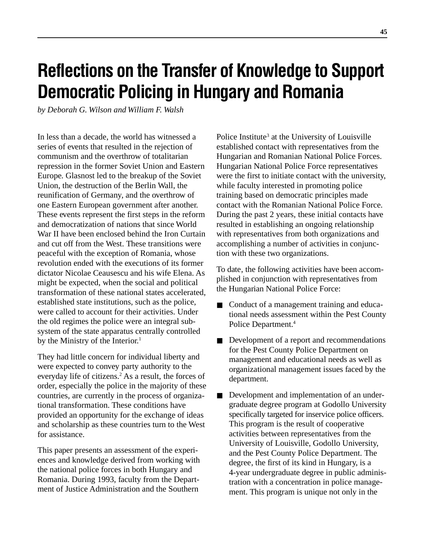# **Reflections on the Transfer of Knowledge to Support Democratic Policing in Hungary and Romania**

*by Deborah G. Wilson and William F. Walsh*

In less than a decade, the world has witnessed a series of events that resulted in the rejection of communism and the overthrow of totalitarian repression in the former Soviet Union and Eastern Europe. Glasnost led to the breakup of the Soviet Union, the destruction of the Berlin Wall, the reunification of Germany, and the overthrow of one Eastern European government after another. These events represent the first steps in the reform and democratization of nations that since World War II have been enclosed behind the Iron Curtain and cut off from the West. These transitions were peaceful with the exception of Romania, whose revolution ended with the executions of its former dictator Nicolae Ceausescu and his wife Elena. As might be expected, when the social and political transformation of these national states accelerated, established state institutions, such as the police, were called to account for their activities. Under the old regimes the police were an integral subsystem of the state apparatus centrally controlled by the Ministry of the Interior.<sup>1</sup>

They had little concern for individual liberty and were expected to convey party authority to the everyday life of citizens.<sup>2</sup> As a result, the forces of order, especially the police in the majority of these countries, are currently in the process of organizational transformation. These conditions have provided an opportunity for the exchange of ideas and scholarship as these countries turn to the West for assistance.

This paper presents an assessment of the experiences and knowledge derived from working with the national police forces in both Hungary and Romania. During 1993, faculty from the Department of Justice Administration and the Southern

Police Institute<sup>3</sup> at the University of Louisville established contact with representatives from the Hungarian and Romanian National Police Forces. Hungarian National Police Force representatives were the first to initiate contact with the university, while faculty interested in promoting police training based on democratic principles made contact with the Romanian National Police Force. During the past 2 years, these initial contacts have resulted in establishing an ongoing relationship with representatives from both organizations and accomplishing a number of activities in conjunction with these two organizations.

To date, the following activities have been accomplished in conjunction with representatives from the Hungarian National Police Force:

- Conduct of a management training and educational needs assessment within the Pest County Police Department.<sup>4</sup>
- Development of a report and recommendations for the Pest County Police Department on management and educational needs as well as organizational management issues faced by the department.
- Development and implementation of an undergraduate degree program at Godollo University specifically targeted for inservice police officers. This program is the result of cooperative activities between representatives from the University of Louisville, Godollo University, and the Pest County Police Department. The degree, the first of its kind in Hungary, is a 4-year undergraduate degree in public administration with a concentration in police management. This program is unique not only in the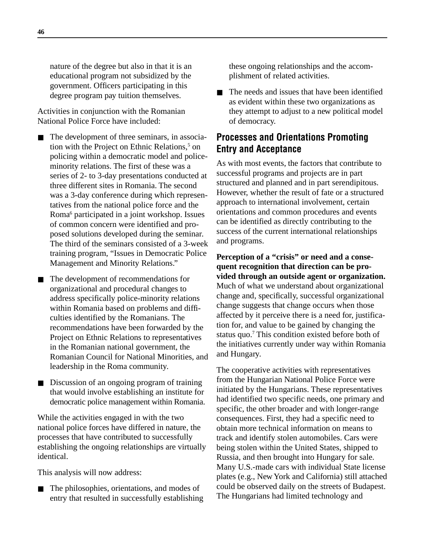nature of the degree but also in that it is an educational program not subsidized by the government. Officers participating in this degree program pay tuition themselves.

Activities in conjunction with the Romanian National Police Force have included:

- The development of three seminars, in association with the Project on Ethnic Relations,<sup>5</sup> on policing within a democratic model and policeminority relations. The first of these was a series of 2- to 3-day presentations conducted at three different sites in Romania. The second was a 3-day conference during which representatives from the national police force and the Roma<sup>6</sup> participated in a joint workshop. Issues of common concern were identified and proposed solutions developed during the seminar. The third of the seminars consisted of a 3-week training program, "Issues in Democratic Police Management and Minority Relations."
- The development of recommendations for organizational and procedural changes to address specifically police-minority relations within Romania based on problems and difficulties identified by the Romanians. The recommendations have been forwarded by the Project on Ethnic Relations to representatives in the Romanian national government, the Romanian Council for National Minorities, and leadership in the Roma community.
- Discussion of an ongoing program of training that would involve establishing an institute for democratic police management within Romania.

While the activities engaged in with the two national police forces have differed in nature, the processes that have contributed to successfully establishing the ongoing relationships are virtually identical.

This analysis will now address:

The philosophies, orientations, and modes of entry that resulted in successfully establishing these ongoing relationships and the accomplishment of related activities.

■ The needs and issues that have been identified as evident within these two organizations as they attempt to adjust to a new political model of democracy.

## **Processes and Orientations Promoting Entry and Acceptance**

As with most events, the factors that contribute to successful programs and projects are in part structured and planned and in part serendipitous. However, whether the result of fate or a structured approach to international involvement, certain orientations and common procedures and events can be identified as directly contributing to the success of the current international relationships and programs.

**Perception of a "crisis" or need and a consequent recognition that direction can be provided through an outside agent or organization.** Much of what we understand about organizational change and, specifically, successful organizational change suggests that change occurs when those affected by it perceive there is a need for, justification for, and value to be gained by changing the status quo.<sup>7</sup> This condition existed before both of the initiatives currently under way within Romania and Hungary.

The cooperative activities with representatives from the Hungarian National Police Force were initiated by the Hungarians. These representatives had identified two specific needs, one primary and specific, the other broader and with longer-range consequences. First, they had a specific need to obtain more technical information on means to track and identify stolen automobiles. Cars were being stolen within the United States, shipped to Russia, and then brought into Hungary for sale. Many U.S.-made cars with individual State license plates (e.g., New York and California) still attached could be observed daily on the streets of Budapest. The Hungarians had limited technology and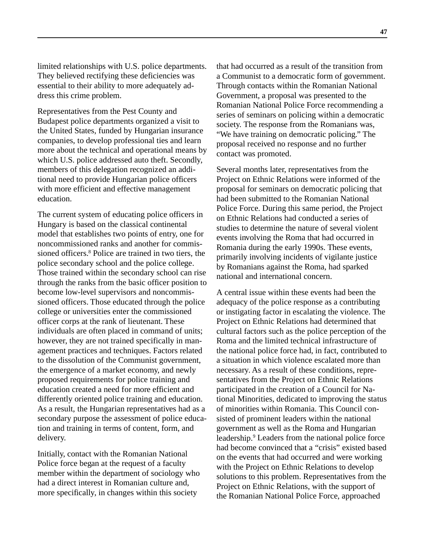limited relationships with U.S. police departments. They believed rectifying these deficiencies was essential to their ability to more adequately address this crime problem.

Representatives from the Pest County and Budapest police departments organized a visit to the United States, funded by Hungarian insurance companies, to develop professional ties and learn more about the technical and operational means by which U.S. police addressed auto theft. Secondly, members of this delegation recognized an additional need to provide Hungarian police officers with more efficient and effective management education.

The current system of educating police officers in Hungary is based on the classical continental model that establishes two points of entry, one for noncommissioned ranks and another for commissioned officers.<sup>8</sup> Police are trained in two tiers, the police secondary school and the police college. Those trained within the secondary school can rise through the ranks from the basic officer position to become low-level supervisors and noncommissioned officers. Those educated through the police college or universities enter the commissioned officer corps at the rank of lieutenant. These individuals are often placed in command of units; however, they are not trained specifically in management practices and techniques. Factors related to the dissolution of the Communist government, the emergence of a market economy, and newly proposed requirements for police training and education created a need for more efficient and differently oriented police training and education. As a result, the Hungarian representatives had as a secondary purpose the assessment of police education and training in terms of content, form, and delivery.

Initially, contact with the Romanian National Police force began at the request of a faculty member within the department of sociology who had a direct interest in Romanian culture and, more specifically, in changes within this society

that had occurred as a result of the transition from a Communist to a democratic form of government. Through contacts within the Romanian National Government, a proposal was presented to the Romanian National Police Force recommending a series of seminars on policing within a democratic society. The response from the Romanians was, "We have training on democratic policing." The proposal received no response and no further contact was promoted.

Several months later, representatives from the Project on Ethnic Relations were informed of the proposal for seminars on democratic policing that had been submitted to the Romanian National Police Force. During this same period, the Project on Ethnic Relations had conducted a series of studies to determine the nature of several violent events involving the Roma that had occurred in Romania during the early 1990s. These events, primarily involving incidents of vigilante justice by Romanians against the Roma, had sparked national and international concern.

A central issue within these events had been the adequacy of the police response as a contributing or instigating factor in escalating the violence. The Project on Ethnic Relations had determined that cultural factors such as the police perception of the Roma and the limited technical infrastructure of the national police force had, in fact, contributed to a situation in which violence escalated more than necessary. As a result of these conditions, representatives from the Project on Ethnic Relations participated in the creation of a Council for National Minorities, dedicated to improving the status of minorities within Romania. This Council consisted of prominent leaders within the national government as well as the Roma and Hungarian leadership.<sup>9</sup> Leaders from the national police force had become convinced that a "crisis" existed based on the events that had occurred and were working with the Project on Ethnic Relations to develop solutions to this problem. Representatives from the Project on Ethnic Relations, with the support of the Romanian National Police Force, approached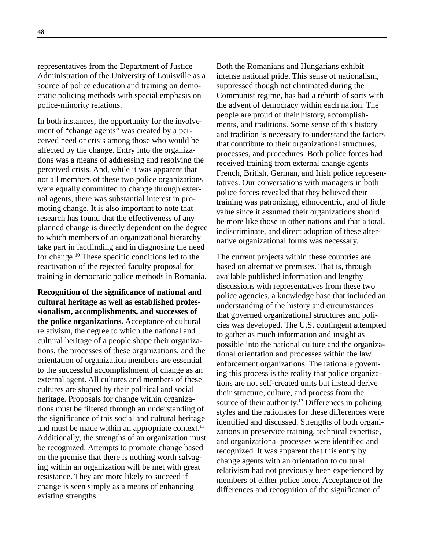representatives from the Department of Justice Administration of the University of Louisville as a source of police education and training on democratic policing methods with special emphasis on police-minority relations.

In both instances, the opportunity for the involvement of "change agents" was created by a perceived need or crisis among those who would be affected by the change. Entry into the organizations was a means of addressing and resolving the perceived crisis. And, while it was apparent that not all members of these two police organizations were equally committed to change through external agents, there was substantial interest in promoting change. It is also important to note that research has found that the effectiveness of any planned change is directly dependent on the degree to which members of an organizational hierarchy take part in factfinding and in diagnosing the need for change.10 These specific conditions led to the reactivation of the rejected faculty proposal for training in democratic police methods in Romania.

**Recognition of the significance of national and cultural heritage as well as established professionalism, accomplishments, and successes of the police organizations.** Acceptance of cultural relativism, the degree to which the national and cultural heritage of a people shape their organizations, the processes of these organizations, and the orientation of organization members are essential to the successful accomplishment of change as an external agent. All cultures and members of these cultures are shaped by their political and social heritage. Proposals for change within organizations must be filtered through an understanding of the significance of this social and cultural heritage and must be made within an appropriate context. $11$ Additionally, the strengths of an organization must be recognized. Attempts to promote change based on the premise that there is nothing worth salvaging within an organization will be met with great resistance. They are more likely to succeed if change is seen simply as a means of enhancing existing strengths.

Both the Romanians and Hungarians exhibit intense national pride. This sense of nationalism, suppressed though not eliminated during the Communist regime, has had a rebirth of sorts with the advent of democracy within each nation. The people are proud of their history, accomplishments, and traditions. Some sense of this history and tradition is necessary to understand the factors that contribute to their organizational structures, processes, and procedures. Both police forces had received training from external change agents— French, British, German, and Irish police representatives. Our conversations with managers in both police forces revealed that they believed their training was patronizing, ethnocentric, and of little value since it assumed their organizations should be more like those in other nations and that a total, indiscriminate, and direct adoption of these alternative organizational forms was necessary.

The current projects within these countries are based on alternative premises. That is, through available published information and lengthy discussions with representatives from these two police agencies, a knowledge base that included an understanding of the history and circumstances that governed organizational structures and policies was developed. The U.S. contingent attempted to gather as much information and insight as possible into the national culture and the organizational orientation and processes within the law enforcement organizations. The rationale governing this process is the reality that police organizations are not self-created units but instead derive their structure, culture, and process from the source of their authority.<sup>12</sup> Differences in policing styles and the rationales for these differences were identified and discussed. Strengths of both organizations in preservice training, technical expertise, and organizational processes were identified and recognized. It was apparent that this entry by change agents with an orientation to cultural relativism had not previously been experienced by members of either police force. Acceptance of the differences and recognition of the significance of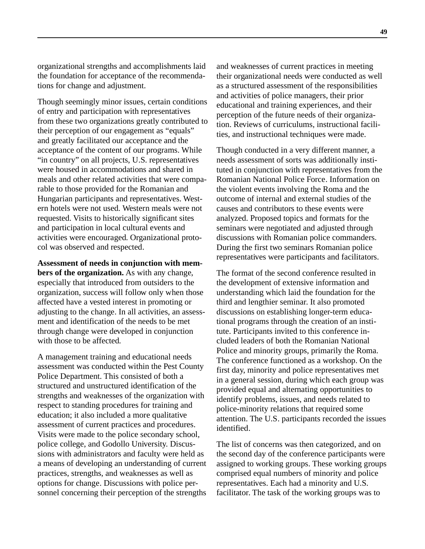organizational strengths and accomplishments laid the foundation for acceptance of the recommendations for change and adjustment.

Though seemingly minor issues, certain conditions of entry and participation with representatives from these two organizations greatly contributed to their perception of our engagement as "equals" and greatly facilitated our acceptance and the acceptance of the content of our programs. While "in country" on all projects, U.S. representatives were housed in accommodations and shared in meals and other related activities that were comparable to those provided for the Romanian and Hungarian participants and representatives. Western hotels were not used. Western meals were not requested. Visits to historically significant sites and participation in local cultural events and activities were encouraged. Organizational protocol was observed and respected.

**Assessment of needs in conjunction with members of the organization.** As with any change, especially that introduced from outsiders to the organization, success will follow only when those affected have a vested interest in promoting or adjusting to the change. In all activities, an assessment and identification of the needs to be met through change were developed in conjunction with those to be affected.

A management training and educational needs assessment was conducted within the Pest County Police Department. This consisted of both a structured and unstructured identification of the strengths and weaknesses of the organization with respect to standing procedures for training and education; it also included a more qualitative assessment of current practices and procedures. Visits were made to the police secondary school, police college, and Godollo University. Discussions with administrators and faculty were held as a means of developing an understanding of current practices, strengths, and weaknesses as well as options for change. Discussions with police personnel concerning their perception of the strengths

and weaknesses of current practices in meeting their organizational needs were conducted as well as a structured assessment of the responsibilities and activities of police managers, their prior educational and training experiences, and their perception of the future needs of their organization. Reviews of curriculums, instructional facilities, and instructional techniques were made.

Though conducted in a very different manner, a needs assessment of sorts was additionally instituted in conjunction with representatives from the Romanian National Police Force. Information on the violent events involving the Roma and the outcome of internal and external studies of the causes and contributors to these events were analyzed. Proposed topics and formats for the seminars were negotiated and adjusted through discussions with Romanian police commanders. During the first two seminars Romanian police representatives were participants and facilitators.

The format of the second conference resulted in the development of extensive information and understanding which laid the foundation for the third and lengthier seminar. It also promoted discussions on establishing longer-term educational programs through the creation of an institute. Participants invited to this conference included leaders of both the Romanian National Police and minority groups, primarily the Roma. The conference functioned as a workshop. On the first day, minority and police representatives met in a general session, during which each group was provided equal and alternating opportunities to identify problems, issues, and needs related to police-minority relations that required some attention. The U.S. participants recorded the issues identified.

The list of concerns was then categorized, and on the second day of the conference participants were assigned to working groups. These working groups comprised equal numbers of minority and police representatives. Each had a minority and U.S. facilitator. The task of the working groups was to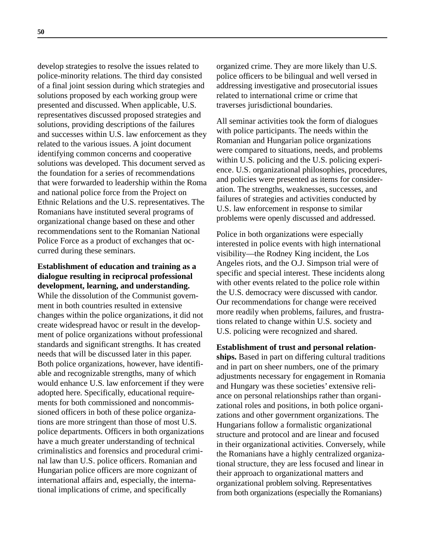develop strategies to resolve the issues related to police-minority relations. The third day consisted of a final joint session during which strategies and solutions proposed by each working group were presented and discussed. When applicable, U.S. representatives discussed proposed strategies and solutions, providing descriptions of the failures and successes within U.S. law enforcement as they related to the various issues. A joint document identifying common concerns and cooperative solutions was developed. This document served as the foundation for a series of recommendations that were forwarded to leadership within the Roma and national police force from the Project on Ethnic Relations and the U.S. representatives. The Romanians have instituted several programs of organizational change based on these and other recommendations sent to the Romanian National Police Force as a product of exchanges that occurred during these seminars.

**Establishment of education and training as a dialogue resulting in reciprocal professional development, learning, and understanding.** While the dissolution of the Communist government in both countries resulted in extensive changes within the police organizations, it did not create widespread havoc or result in the development of police organizations without professional standards and significant strengths. It has created needs that will be discussed later in this paper. Both police organizations, however, have identifiable and recognizable strengths, many of which would enhance U.S. law enforcement if they were adopted here. Specifically, educational requirements for both commissioned and noncommissioned officers in both of these police organizations are more stringent than those of most U.S. police departments. Officers in both organizations have a much greater understanding of technical criminalistics and forensics and procedural criminal law than U.S. police officers. Romanian and Hungarian police officers are more cognizant of international affairs and, especially, the international implications of crime, and specifically

organized crime. They are more likely than U.S. police officers to be bilingual and well versed in addressing investigative and prosecutorial issues related to international crime or crime that traverses jurisdictional boundaries.

All seminar activities took the form of dialogues with police participants. The needs within the Romanian and Hungarian police organizations were compared to situations, needs, and problems within U.S. policing and the U.S. policing experience. U.S. organizational philosophies, procedures, and policies were presented as items for consideration. The strengths, weaknesses, successes, and failures of strategies and activities conducted by U.S. law enforcement in response to similar problems were openly discussed and addressed.

Police in both organizations were especially interested in police events with high international visibility—the Rodney King incident, the Los Angeles riots, and the O.J. Simpson trial were of specific and special interest. These incidents along with other events related to the police role within the U.S. democracy were discussed with candor. Our recommendations for change were received more readily when problems, failures, and frustrations related to change within U.S. society and U.S. policing were recognized and shared.

**Establishment of trust and personal relationships.** Based in part on differing cultural traditions and in part on sheer numbers, one of the primary adjustments necessary for engagement in Romania and Hungary was these societies' extensive reliance on personal relationships rather than organizational roles and positions, in both police organizations and other government organizations. The Hungarians follow a formalistic organizational structure and protocol and are linear and focused in their organizational activities. Conversely, while the Romanians have a highly centralized organizational structure, they are less focused and linear in their approach to organizational matters and organizational problem solving. Representatives from both organizations (especially the Romanians)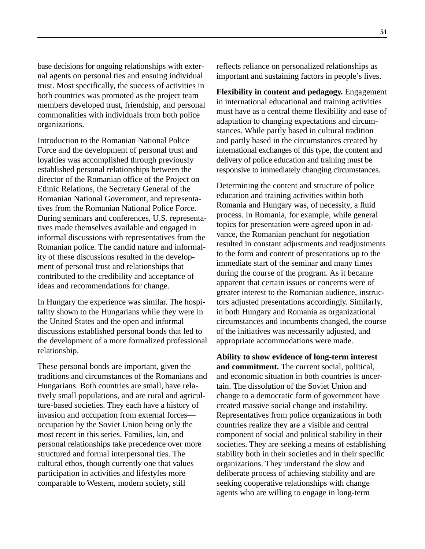base decisions for ongoing relationships with external agents on personal ties and ensuing individual trust. Most specifically, the success of activities in both countries was promoted as the project team members developed trust, friendship, and personal commonalities with individuals from both police organizations.

Introduction to the Romanian National Police Force and the development of personal trust and loyalties was accomplished through previously established personal relationships between the director of the Romanian office of the Project on Ethnic Relations, the Secretary General of the Romanian National Government, and representatives from the Romanian National Police Force. During seminars and conferences, U.S. representatives made themselves available and engaged in informal discussions with representatives from the Romanian police. The candid nature and informality of these discussions resulted in the development of personal trust and relationships that contributed to the credibility and acceptance of ideas and recommendations for change.

In Hungary the experience was similar. The hospitality shown to the Hungarians while they were in the United States and the open and informal discussions established personal bonds that led to the development of a more formalized professional relationship.

These personal bonds are important, given the traditions and circumstances of the Romanians and Hungarians. Both countries are small, have relatively small populations, and are rural and agriculture-based societies. They each have a history of invasion and occupation from external forces occupation by the Soviet Union being only the most recent in this series. Families, kin, and personal relationships take precedence over more structured and formal interpersonal ties. The cultural ethos, though currently one that values participation in activities and lifestyles more comparable to Western, modern society, still

reflects reliance on personalized relationships as important and sustaining factors in people's lives.

**Flexibility in content and pedagogy.** Engagement in international educational and training activities must have as a central theme flexibility and ease of adaptation to changing expectations and circumstances. While partly based in cultural tradition and partly based in the circumstances created by international exchanges of this type, the content and delivery of police education and training must be responsive to immediately changing circumstances.

Determining the content and structure of police education and training activities within both Romania and Hungary was, of necessity, a fluid process. In Romania, for example, while general topics for presentation were agreed upon in advance, the Romanian penchant for negotiation resulted in constant adjustments and readjustments to the form and content of presentations up to the immediate start of the seminar and many times during the course of the program. As it became apparent that certain issues or concerns were of greater interest to the Romanian audience, instructors adjusted presentations accordingly. Similarly, in both Hungary and Romania as organizational circumstances and incumbents changed, the course of the initiatives was necessarily adjusted, and appropriate accommodations were made.

**Ability to show evidence of long-term interest and commitment.** The current social, political, and economic situation in both countries is uncertain. The dissolution of the Soviet Union and change to a democratic form of government have created massive social change and instability. Representatives from police organizations in both countries realize they are a visible and central component of social and political stability in their societies. They are seeking a means of establishing stability both in their societies and in their specific organizations. They understand the slow and deliberate process of achieving stability and are seeking cooperative relationships with change agents who are willing to engage in long-term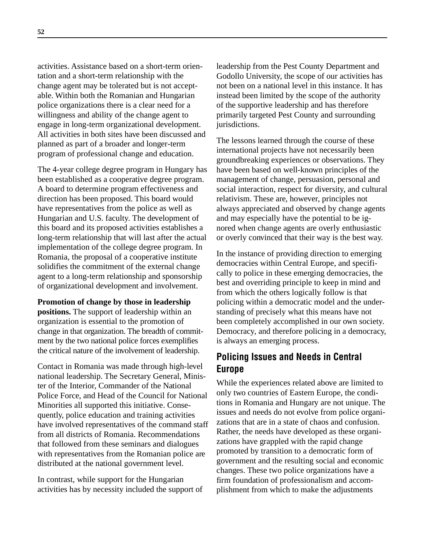activities. Assistance based on a short-term orientation and a short-term relationship with the change agent may be tolerated but is not acceptable. Within both the Romanian and Hungarian police organizations there is a clear need for a willingness and ability of the change agent to engage in long-term organizational development. All activities in both sites have been discussed and planned as part of a broader and longer-term program of professional change and education.

The 4-year college degree program in Hungary has been established as a cooperative degree program. A board to determine program effectiveness and direction has been proposed. This board would have representatives from the police as well as Hungarian and U.S. faculty. The development of this board and its proposed activities establishes a long-term relationship that will last after the actual implementation of the college degree program. In Romania, the proposal of a cooperative institute solidifies the commitment of the external change agent to a long-term relationship and sponsorship of organizational development and involvement.

**Promotion of change by those in leadership positions.** The support of leadership within an organization is essential to the promotion of change in that organization. The breadth of commitment by the two national police forces exemplifies the critical nature of the involvement of leadership.

Contact in Romania was made through high-level national leadership. The Secretary General, Minister of the Interior, Commander of the National Police Force, and Head of the Council for National Minorities all supported this initiative. Consequently, police education and training activities have involved representatives of the command staff from all districts of Romania. Recommendations that followed from these seminars and dialogues with representatives from the Romanian police are distributed at the national government level.

In contrast, while support for the Hungarian activities has by necessity included the support of

leadership from the Pest County Department and Godollo University, the scope of our activities has not been on a national level in this instance. It has instead been limited by the scope of the authority of the supportive leadership and has therefore primarily targeted Pest County and surrounding jurisdictions.

The lessons learned through the course of these international projects have not necessarily been groundbreaking experiences or observations. They have been based on well-known principles of the management of change, persuasion, personal and social interaction, respect for diversity, and cultural relativism. These are, however, principles not always appreciated and observed by change agents and may especially have the potential to be ignored when change agents are overly enthusiastic or overly convinced that their way is the best way.

In the instance of providing direction to emerging democracies within Central Europe, and specifically to police in these emerging democracies, the best and overriding principle to keep in mind and from which the others logically follow is that policing within a democratic model and the understanding of precisely what this means have not been completely accomplished in our own society. Democracy, and therefore policing in a democracy, is always an emerging process.

## **Policing Issues and Needs in Central Europe**

While the experiences related above are limited to only two countries of Eastern Europe, the conditions in Romania and Hungary are not unique. The issues and needs do not evolve from police organizations that are in a state of chaos and confusion. Rather, the needs have developed as these organizations have grappled with the rapid change promoted by transition to a democratic form of government and the resulting social and economic changes. These two police organizations have a firm foundation of professionalism and accomplishment from which to make the adjustments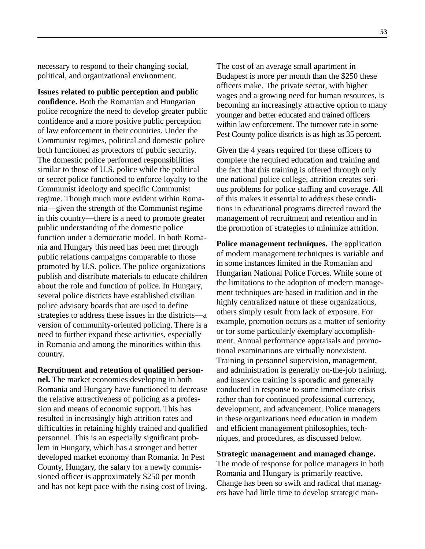necessary to respond to their changing social, political, and organizational environment.

**Issues related to public perception and public confidence.** Both the Romanian and Hungarian police recognize the need to develop greater public confidence and a more positive public perception of law enforcement in their countries. Under the Communist regimes, political and domestic police both functioned as protectors of public security. The domestic police performed responsibilities similar to those of U.S. police while the political or secret police functioned to enforce loyalty to the Communist ideology and specific Communist regime. Though much more evident within Romania—given the strength of the Communist regime in this country—there is a need to promote greater public understanding of the domestic police function under a democratic model. In both Romania and Hungary this need has been met through public relations campaigns comparable to those promoted by U.S. police. The police organizations publish and distribute materials to educate children about the role and function of police. In Hungary, several police districts have established civilian police advisory boards that are used to define strategies to address these issues in the districts—a version of community-oriented policing. There is a need to further expand these activities, especially in Romania and among the minorities within this country.

**Recruitment and retention of qualified person-**

**nel.** The market economies developing in both Romania and Hungary have functioned to decrease the relative attractiveness of policing as a profession and means of economic support. This has resulted in increasingly high attrition rates and difficulties in retaining highly trained and qualified personnel. This is an especially significant problem in Hungary, which has a stronger and better developed market economy than Romania. In Pest County, Hungary, the salary for a newly commissioned officer is approximately \$250 per month and has not kept pace with the rising cost of living.

The cost of an average small apartment in Budapest is more per month than the \$250 these officers make. The private sector, with higher wages and a growing need for human resources, is becoming an increasingly attractive option to many younger and better educated and trained officers within law enforcement. The turnover rate in some Pest County police districts is as high as 35 percent.

Given the 4 years required for these officers to complete the required education and training and the fact that this training is offered through only one national police college, attrition creates serious problems for police staffing and coverage. All of this makes it essential to address these conditions in educational programs directed toward the management of recruitment and retention and in the promotion of strategies to minimize attrition.

**Police management techniques.** The application of modern management techniques is variable and in some instances limited in the Romanian and Hungarian National Police Forces. While some of the limitations to the adoption of modern management techniques are based in tradition and in the highly centralized nature of these organizations, others simply result from lack of exposure. For example, promotion occurs as a matter of seniority or for some particularly exemplary accomplishment. Annual performance appraisals and promotional examinations are virtually nonexistent. Training in personnel supervision, management, and administration is generally on-the-job training, and inservice training is sporadic and generally conducted in response to some immediate crisis rather than for continued professional currency, development, and advancement. Police managers in these organizations need education in modern and efficient management philosophies, techniques, and procedures, as discussed below.

#### **Strategic management and managed change.**

The mode of response for police managers in both Romania and Hungary is primarily reactive. Change has been so swift and radical that managers have had little time to develop strategic man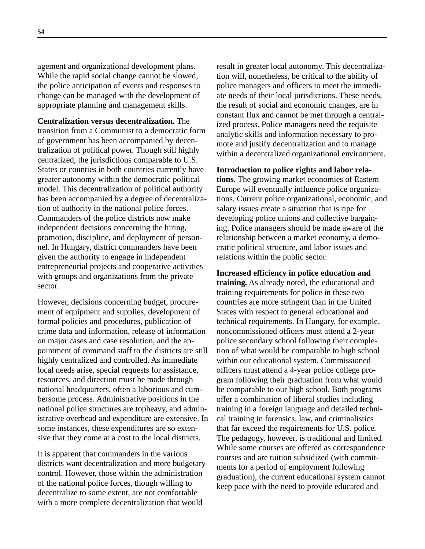agement and organizational development plans. While the rapid social change cannot be slowed, the police anticipation of events and responses to change can be managed with the development of appropriate planning and management skills.

**Centralization versus decentralization.** The transition from a Communist to a democratic form of government has been accompanied by decentralization of political power. Though still highly centralized, the jurisdictions comparable to U.S. States or counties in both countries currently have greater autonomy within the democratic political model. This decentralization of political authority has been accompanied by a degree of decentralization of authority in the national police forces. Commanders of the police districts now make independent decisions concerning the hiring, promotion, discipline, and deployment of personnel. In Hungary, district commanders have been given the authority to engage in independent entrepreneurial projects and cooperative activities with groups and organizations from the private sector.

However, decisions concerning budget, procurement of equipment and supplies, development of formal policies and procedures, publication of crime data and information, release of information on major cases and case resolution, and the appointment of command staff to the districts are still highly centralized and controlled. As immediate local needs arise, special requests for assistance, resources, and direction must be made through national headquarters, often a laborious and cumbersome process. Administrative positions in the national police structures are topheavy, and administrative overhead and expenditure are extensive. In some instances, these expenditures are so extensive that they come at a cost to the local districts.

It is apparent that commanders in the various districts want decentralization and more budgetary control. However, those within the administration of the national police forces, though willing to decentralize to some extent, are not comfortable with a more complete decentralization that would

result in greater local autonomy. This decentralization will, nonetheless, be critical to the ability of police managers and officers to meet the immediate needs of their local jurisdictions. These needs, the result of social and economic changes, are in constant flux and cannot be met through a centralized process. Police managers need the requisite analytic skills and information necessary to promote and justify decentralization and to manage within a decentralized organizational environment.

**Introduction to police rights and labor relations.** The growing market economies of Eastern Europe will eventually influence police organizations. Current police organizational, economic, and salary issues create a situation that is ripe for developing police unions and collective bargaining. Police managers should be made aware of the relationship between a market economy, a democratic political structure, and labor issues and relations within the public sector.

**Increased efficiency in police education and training.** As already noted, the educational and training requirements for police in these two countries are more stringent than in the United States with respect to general educational and technical requirements. In Hungary, for example, noncommissioned officers must attend a 2-year police secondary school following their completion of what would be comparable to high school within our educational system. Commissioned officers must attend a 4-year police college program following their graduation from what would be comparable to our high school. Both programs offer a combination of liberal studies including training in a foreign language and detailed technical training in forensics, law, and criminalistics that far exceed the requirements for U.S. police. The pedagogy, however, is traditional and limited. While some courses are offered as correspondence courses and are tuition subsidized (with commitments for a period of employment following graduation), the current educational system cannot keep pace with the need to provide educated and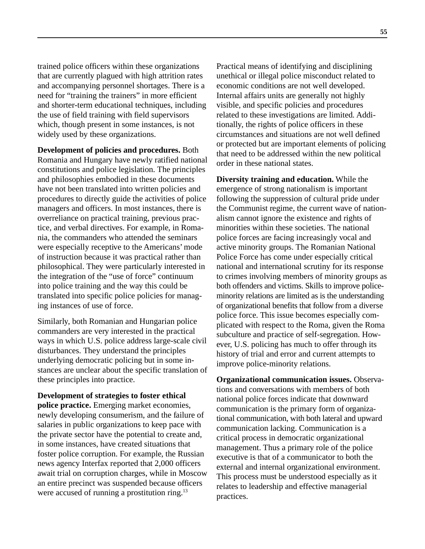trained police officers within these organizations that are currently plagued with high attrition rates and accompanying personnel shortages. There is a need for "training the trainers" in more efficient and shorter-term educational techniques, including the use of field training with field supervisors which, though present in some instances, is not widely used by these organizations.

**Development of policies and procedures.** Both Romania and Hungary have newly ratified national constitutions and police legislation. The principles and philosophies embodied in these documents have not been translated into written policies and procedures to directly guide the activities of police managers and officers. In most instances, there is overreliance on practical training, previous practice, and verbal directives. For example, in Romania, the commanders who attended the seminars were especially receptive to the Americans' mode of instruction because it was practical rather than philosophical. They were particularly interested in the integration of the "use of force" continuum into police training and the way this could be translated into specific police policies for managing instances of use of force.

Similarly, both Romanian and Hungarian police commanders are very interested in the practical ways in which U.S. police address large-scale civil disturbances. They understand the principles underlying democratic policing but in some instances are unclear about the specific translation of these principles into practice.

**Development of strategies to foster ethical**

**police practice.** Emerging market economies, newly developing consumerism, and the failure of salaries in public organizations to keep pace with the private sector have the potential to create and, in some instances, have created situations that foster police corruption. For example, the Russian news agency Interfax reported that 2,000 officers await trial on corruption charges, while in Moscow an entire precinct was suspended because officers were accused of running a prostitution ring.<sup>13</sup>

Practical means of identifying and disciplining unethical or illegal police misconduct related to economic conditions are not well developed. Internal affairs units are generally not highly visible, and specific policies and procedures related to these investigations are limited. Additionally, the rights of police officers in these circumstances and situations are not well defined or protected but are important elements of policing that need to be addressed within the new political order in these national states.

**Diversity training and education.** While the emergence of strong nationalism is important following the suppression of cultural pride under the Communist regime, the current wave of nationalism cannot ignore the existence and rights of minorities within these societies. The national police forces are facing increasingly vocal and active minority groups. The Romanian National Police Force has come under especially critical national and international scrutiny for its response to crimes involving members of minority groups as both offenders and victims. Skills to improve policeminority relations are limited as is the understanding of organizational benefits that follow from a diverse police force. This issue becomes especially complicated with respect to the Roma, given the Roma subculture and practice of self-segregation. However, U.S. policing has much to offer through its history of trial and error and current attempts to improve police-minority relations.

**Organizational communication issues.** Observations and conversations with members of both national police forces indicate that downward communication is the primary form of organizational communication, with both lateral and upward communication lacking. Communication is a critical process in democratic organizational management. Thus a primary role of the police executive is that of a communicator to both the external and internal organizational environment. This process must be understood especially as it relates to leadership and effective managerial practices.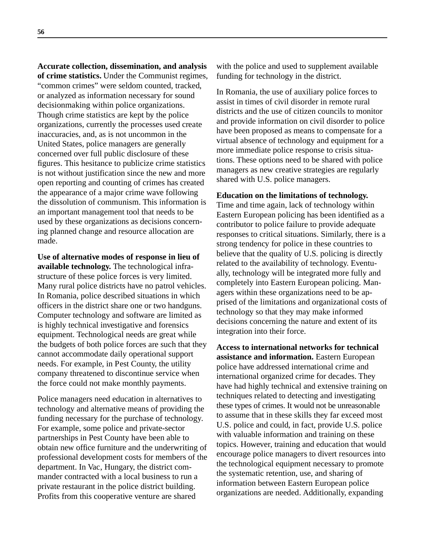**Accurate collection, dissemination, and analysis of crime statistics.** Under the Communist regimes, "common crimes" were seldom counted, tracked, or analyzed as information necessary for sound decisionmaking within police organizations. Though crime statistics are kept by the police organizations, currently the processes used create inaccuracies, and, as is not uncommon in the United States, police managers are generally concerned over full public disclosure of these figures. This hesitance to publicize crime statistics is not without justification since the new and more open reporting and counting of crimes has created the appearance of a major crime wave following the dissolution of communism. This information is an important management tool that needs to be used by these organizations as decisions concerning planned change and resource allocation are made.

**Use of alternative modes of response in lieu of available technology.** The technological infrastructure of these police forces is very limited. Many rural police districts have no patrol vehicles. In Romania, police described situations in which officers in the district share one or two handguns. Computer technology and software are limited as is highly technical investigative and forensics equipment. Technological needs are great while the budgets of both police forces are such that they cannot accommodate daily operational support needs. For example, in Pest County, the utility company threatened to discontinue service when the force could not make monthly payments.

Police managers need education in alternatives to technology and alternative means of providing the funding necessary for the purchase of technology. For example, some police and private-sector partnerships in Pest County have been able to obtain new office furniture and the underwriting of professional development costs for members of the department. In Vac, Hungary, the district commander contracted with a local business to run a private restaurant in the police district building. Profits from this cooperative venture are shared

with the police and used to supplement available funding for technology in the district.

In Romania, the use of auxiliary police forces to assist in times of civil disorder in remote rural districts and the use of citizen councils to monitor and provide information on civil disorder to police have been proposed as means to compensate for a virtual absence of technology and equipment for a more immediate police response to crisis situations. These options need to be shared with police managers as new creative strategies are regularly shared with U.S. police managers.

#### **Education on the limitations of technology.**

Time and time again, lack of technology within Eastern European policing has been identified as a contributor to police failure to provide adequate responses to critical situations. Similarly, there is a strong tendency for police in these countries to believe that the quality of U.S. policing is directly related to the availability of technology. Eventually, technology will be integrated more fully and completely into Eastern European policing. Managers within these organizations need to be apprised of the limitations and organizational costs of technology so that they may make informed decisions concerning the nature and extent of its integration into their force.

**Access to international networks for technical assistance and information.** Eastern European police have addressed international crime and international organized crime for decades. They have had highly technical and extensive training on techniques related to detecting and investigating these types of crimes. It would not be unreasonable to assume that in these skills they far exceed most U.S. police and could, in fact, provide U.S. police with valuable information and training on these topics. However, training and education that would encourage police managers to divert resources into the technological equipment necessary to promote the systematic retention, use, and sharing of information between Eastern European police organizations are needed. Additionally, expanding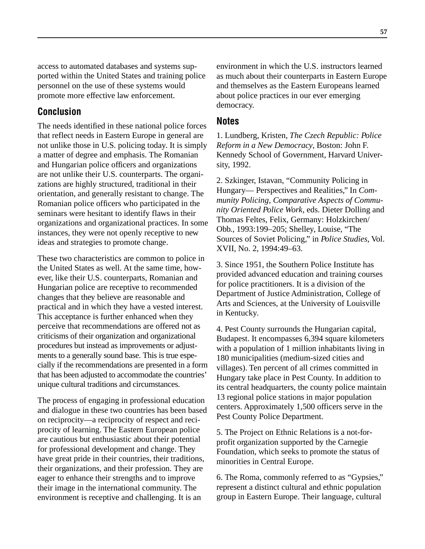access to automated databases and systems supported within the United States and training police personnel on the use of these systems would promote more effective law enforcement.

#### **Conclusion**

The needs identified in these national police forces that reflect needs in Eastern Europe in general are not unlike those in U.S. policing today. It is simply a matter of degree and emphasis. The Romanian and Hungarian police officers and organizations are not unlike their U.S. counterparts. The organizations are highly structured, traditional in their orientation, and generally resistant to change. The Romanian police officers who participated in the seminars were hesitant to identify flaws in their organizations and organizational practices. In some instances, they were not openly receptive to new ideas and strategies to promote change.

These two characteristics are common to police in the United States as well. At the same time, however, like their U.S. counterparts, Romanian and Hungarian police are receptive to recommended changes that they believe are reasonable and practical and in which they have a vested interest. This acceptance is further enhanced when they perceive that recommendations are offered not as criticisms of their organization and organizational procedures but instead as improvements or adjustments to a generally sound base. This is true especially if the recommendations are presented in a form that has been adjusted to accommodate the countries' unique cultural traditions and circumstances.

The process of engaging in professional education and dialogue in these two countries has been based on reciprocity—a reciprocity of respect and reciprocity of learning. The Eastern European police are cautious but enthusiastic about their potential for professional development and change. They have great pride in their countries, their traditions, their organizations, and their profession. They are eager to enhance their strengths and to improve their image in the international community. The environment is receptive and challenging. It is an

environment in which the U.S. instructors learned as much about their counterparts in Eastern Europe and themselves as the Eastern Europeans learned about police practices in our ever emerging democracy.

#### **Notes**

1. Lundberg, Kristen, *The Czech Republic: Police Reform in a New Democracy*, Boston: John F. Kennedy School of Government, Harvard University, 1992.

2. Szkinger, Istavan, "Community Policing in Hungary— Perspectives and Realities," In *Community Policing, Comparative Aspects of Community Oriented Police Work*, eds. Dieter Dolling and Thomas Feltes, Felix, Germany: Holzkirchen/ Obb., 1993:199–205; Shelley, Louise, "The Sources of Soviet Policing," in *Police Studies*, Vol. XVII, No. 2, 1994:49–63.

3. Since 1951, the Southern Police Institute has provided advanced education and training courses for police practitioners. It is a division of the Department of Justice Administration, College of Arts and Sciences, at the University of Louisville in Kentucky.

4. Pest County surrounds the Hungarian capital, Budapest. It encompasses 6,394 square kilometers with a population of 1 million inhabitants living in 180 municipalities (medium-sized cities and villages). Ten percent of all crimes committed in Hungary take place in Pest County. In addition to its central headquarters, the county police maintain 13 regional police stations in major population centers. Approximately 1,500 officers serve in the Pest County Police Department.

5. The Project on Ethnic Relations is a not-forprofit organization supported by the Carnegie Foundation, which seeks to promote the status of minorities in Central Europe.

6. The Roma, commonly referred to as "Gypsies," represent a distinct cultural and ethnic population group in Eastern Europe. Their language, cultural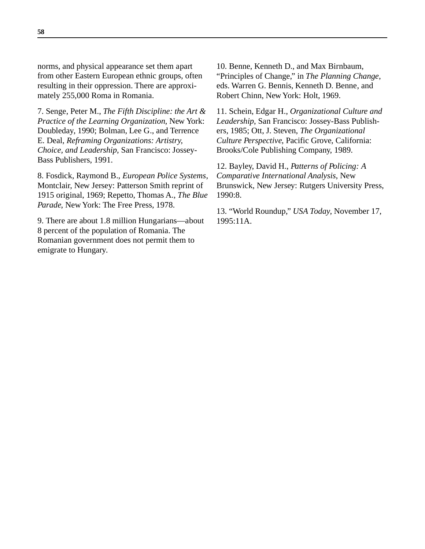norms, and physical appearance set them apart from other Eastern European ethnic groups, often resulting in their oppression. There are approximately 255,000 Roma in Romania.

7. Senge, Peter M., *The Fifth Discipline: the Art & Practice of the Learning Organization*, New York: Doubleday, 1990; Bolman, Lee G., and Terrence E. Deal, *Reframing Organizations: Artistry, Choice, and Leadership*, San Francisco: Jossey-Bass Publishers, 1991.

8. Fosdick, Raymond B., *European Police Systems*, Montclair, New Jersey: Patterson Smith reprint of 1915 original, 1969; Repetto, Thomas A., *The Blue Parade*, New York: The Free Press, 1978.

9. There are about 1.8 million Hungarians—about 8 percent of the population of Romania. The Romanian government does not permit them to emigrate to Hungary.

10. Benne, Kenneth D., and Max Birnbaum, "Principles of Change," in *The Planning Change*, eds. Warren G. Bennis, Kenneth D. Benne, and Robert Chinn, New York: Holt, 1969.

11. Schein, Edgar H., *Organizational Culture and Leadership*, San Francisco: Jossey-Bass Publishers, 1985; Ott, J. Steven, *The Organizational Culture Perspective*, Pacific Grove, California: Brooks/Cole Publishing Company, 1989.

12. Bayley, David H., *Patterns of Policing: A Comparative International Analysis*, New Brunswick, New Jersey: Rutgers University Press, 1990:8.

13. "World Roundup," *USA Today*, November 17, 1995:11A.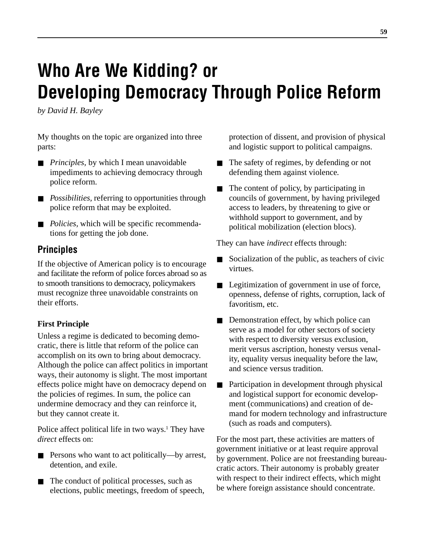# **Who Are We Kidding? or Developing Democracy Through Police Reform**

*by David H. Bayley*

My thoughts on the topic are organized into three parts:

- *Principles*, by which I mean unavoidable impediments to achieving democracy through police reform.
- *Possibilities*, referring to opportunities through police reform that may be exploited.
- *Policies*, which will be specific recommendations for getting the job done.

## **Principles**

If the objective of American policy is to encourage and facilitate the reform of police forces abroad so as to smooth transitions to democracy, policymakers must recognize three unavoidable constraints on their efforts.

#### **First Principle**

Unless a regime is dedicated to becoming democratic, there is little that reform of the police can accomplish on its own to bring about democracy. Although the police can affect politics in important ways, their autonomy is slight. The most important effects police might have on democracy depend on the policies of regimes. In sum, the police can undermine democracy and they can reinforce it, but they cannot create it.

Police affect political life in two ways.<sup>1</sup> They have *direct* effects on:

- Persons who want to act politically—by arrest, detention, and exile.
- The conduct of political processes, such as elections, public meetings, freedom of speech,

protection of dissent, and provision of physical and logistic support to political campaigns.

- The safety of regimes, by defending or not defending them against violence.
- The content of policy, by participating in councils of government, by having privileged access to leaders, by threatening to give or withhold support to government, and by political mobilization (election blocs).

They can have *indirect* effects through:

- Socialization of the public, as teachers of civic virtues.
- Legitimization of government in use of force, openness, defense of rights, corruption, lack of favoritism, etc.
- Demonstration effect, by which police can serve as a model for other sectors of society with respect to diversity versus exclusion, merit versus ascription, honesty versus venality, equality versus inequality before the law, and science versus tradition.
- Participation in development through physical and logistical support for economic development (communications) and creation of demand for modern technology and infrastructure (such as roads and computers).

For the most part, these activities are matters of government initiative or at least require approval by government. Police are not freestanding bureaucratic actors. Their autonomy is probably greater with respect to their indirect effects, which might be where foreign assistance should concentrate.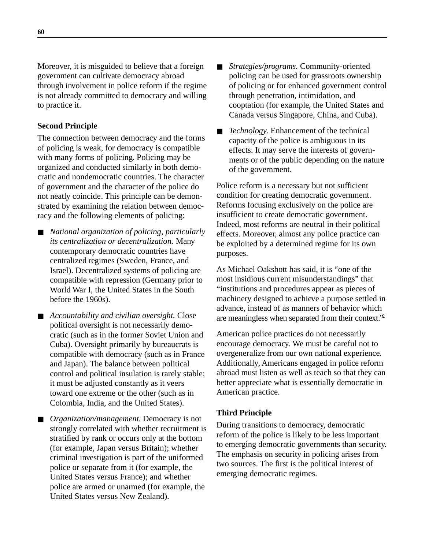Moreover, it is misguided to believe that a foreign government can cultivate democracy abroad through involvement in police reform if the regime is not already committed to democracy and willing to practice it.

#### **Second Principle**

The connection between democracy and the forms of policing is weak, for democracy is compatible with many forms of policing. Policing may be organized and conducted similarly in both democratic and nondemocratic countries. The character of government and the character of the police do not neatly coincide. This principle can be demonstrated by examining the relation between democracy and the following elements of policing:

- *National organization of policing, particularly its centralization or decentralization.* Many contemporary democratic countries have centralized regimes (Sweden, France, and Israel). Decentralized systems of policing are compatible with repression (Germany prior to World War I, the United States in the South before the 1960s).
- *Accountability and civilian oversight.* Close political oversight is not necessarily democratic (such as in the former Soviet Union and Cuba). Oversight primarily by bureaucrats is compatible with democracy (such as in France and Japan). The balance between political control and political insulation is rarely stable; it must be adjusted constantly as it veers toward one extreme or the other (such as in Colombia, India, and the United States).
- *Organization/management.* Democracy is not strongly correlated with whether recruitment is stratified by rank or occurs only at the bottom (for example, Japan versus Britain); whether criminal investigation is part of the uniformed police or separate from it (for example, the United States versus France); and whether police are armed or unarmed (for example, the United States versus New Zealand).
- *Strategies/programs.* Community-oriented policing can be used for grassroots ownership of policing or for enhanced government control through penetration, intimidation, and cooptation (for example, the United States and Canada versus Singapore, China, and Cuba).
- *Technology*. Enhancement of the technical capacity of the police is ambiguous in its effects. It may serve the interests of governments or of the public depending on the nature of the government.

Police reform is a necessary but not sufficient condition for creating democratic government. Reforms focusing exclusively on the police are insufficient to create democratic government. Indeed, most reforms are neutral in their political effects. Moreover, almost any police practice can be exploited by a determined regime for its own purposes.

As Michael Oakshott has said, it is "one of the most insidious current misunderstandings" that "institutions and procedures appear as pieces of machinery designed to achieve a purpose settled in advance, instead of as manners of behavior which are meaningless when separated from their context."2

American police practices do not necessarily encourage democracy. We must be careful not to overgeneralize from our own national experience. Additionally, Americans engaged in police reform abroad must listen as well as teach so that they can better appreciate what is essentially democratic in American practice.

#### **Third Principle**

During transitions to democracy, democratic reform of the police is likely to be less important to emerging democratic governments than security. The emphasis on security in policing arises from two sources. The first is the political interest of emerging democratic regimes.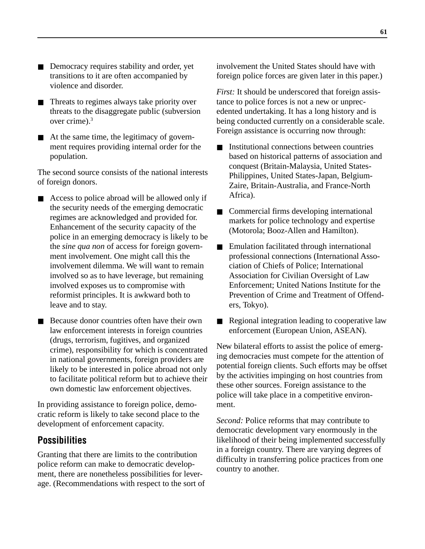- Democracy requires stability and order, yet transitions to it are often accompanied by violence and disorder.
- Threats to regimes always take priority over threats to the disaggregate public (subversion over crime).3
- At the same time, the legitimacy of government requires providing internal order for the population.

The second source consists of the national interests of foreign donors.

- Access to police abroad will be allowed only if the security needs of the emerging democratic regimes are acknowledged and provided for. Enhancement of the security capacity of the police in an emerging democracy is likely to be the *sine qua non* of access for foreign government involvement. One might call this the involvement dilemma. We will want to remain involved so as to have leverage, but remaining involved exposes us to compromise with reformist principles. It is awkward both to leave and to stay.
- Because donor countries often have their own law enforcement interests in foreign countries (drugs, terrorism, fugitives, and organized crime), responsibility for which is concentrated in national governments, foreign providers are likely to be interested in police abroad not only to facilitate political reform but to achieve their own domestic law enforcement objectives.

In providing assistance to foreign police, democratic reform is likely to take second place to the development of enforcement capacity.

## **Possibilities**

Granting that there are limits to the contribution police reform can make to democratic development, there are nonetheless possibilities for leverage. (Recommendations with respect to the sort of involvement the United States should have with foreign police forces are given later in this paper.)

*First:* It should be underscored that foreign assistance to police forces is not a new or unprecedented undertaking. It has a long history and is being conducted currently on a considerable scale. Foreign assistance is occurring now through:

- Institutional connections between countries based on historical patterns of association and conquest (Britain-Malaysia, United States-Philippines, United States-Japan, Belgium-Zaire, Britain-Australia, and France-North Africa).
- Commercial firms developing international markets for police technology and expertise (Motorola; Booz-Allen and Hamilton).
- Emulation facilitated through international professional connections (International Association of Chiefs of Police; International Association for Civilian Oversight of Law Enforcement; United Nations Institute for the Prevention of Crime and Treatment of Offenders, Tokyo).
- Regional integration leading to cooperative law enforcement (European Union, ASEAN).

New bilateral efforts to assist the police of emerging democracies must compete for the attention of potential foreign clients. Such efforts may be offset by the activities impinging on host countries from these other sources. Foreign assistance to the police will take place in a competitive environment.

*Second:* Police reforms that may contribute to democratic development vary enormously in the likelihood of their being implemented successfully in a foreign country. There are varying degrees of difficulty in transferring police practices from one country to another.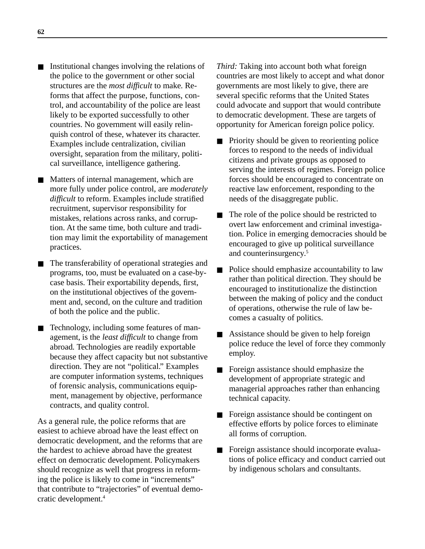- Institutional changes involving the relations of the police to the government or other social structures are the *most difficult* to make. Reforms that affect the purpose, functions, control, and accountability of the police are least likely to be exported successfully to other countries. No government will easily relinquish control of these, whatever its character. Examples include centralization, civilian oversight, separation from the military, political surveillance, intelligence gathering.
- Matters of internal management, which are more fully under police control, are *moderately difficult* to reform. Examples include stratified recruitment, supervisor responsibility for mistakes, relations across ranks, and corruption. At the same time, both culture and tradition may limit the exportability of management practices.
- The transferability of operational strategies and programs, too, must be evaluated on a case-bycase basis. Their exportability depends, first, on the institutional objectives of the government and, second, on the culture and tradition of both the police and the public.
- Technology, including some features of management, is the *least difficult* to change from abroad. Technologies are readily exportable because they affect capacity but not substantive direction. They are not "political." Examples are computer information systems, techniques of forensic analysis, communications equipment, management by objective, performance contracts, and quality control.

As a general rule, the police reforms that are easiest to achieve abroad have the least effect on democratic development, and the reforms that are the hardest to achieve abroad have the greatest effect on democratic development. Policymakers should recognize as well that progress in reforming the police is likely to come in "increments" that contribute to "trajectories" of eventual democratic development.4

*Third:* Taking into account both what foreign countries are most likely to accept and what donor governments are most likely to give, there are several specific reforms that the United States could advocate and support that would contribute to democratic development. These are targets of opportunity for American foreign police policy.

- Priority should be given to reorienting police forces to respond to the needs of individual citizens and private groups as opposed to serving the interests of regimes. Foreign police forces should be encouraged to concentrate on reactive law enforcement, responding to the needs of the disaggregate public.
- The role of the police should be restricted to overt law enforcement and criminal investigation. Police in emerging democracies should be encouraged to give up political surveillance and counterinsurgency.5
- Police should emphasize accountability to law rather than political direction. They should be encouraged to institutionalize the distinction between the making of policy and the conduct of operations, otherwise the rule of law becomes a casualty of politics.
- Assistance should be given to help foreign police reduce the level of force they commonly employ.
- Foreign assistance should emphasize the development of appropriate strategic and managerial approaches rather than enhancing technical capacity.
- Foreign assistance should be contingent on effective efforts by police forces to eliminate all forms of corruption.
- Foreign assistance should incorporate evaluations of police efficacy and conduct carried out by indigenous scholars and consultants.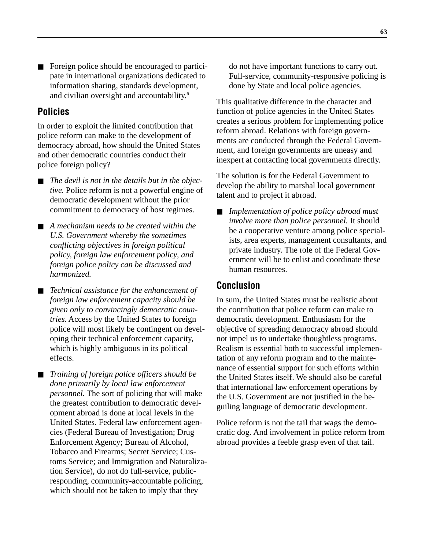Foreign police should be encouraged to participate in international organizations dedicated to information sharing, standards development, and civilian oversight and accountability.6

## **Policies**

In order to exploit the limited contribution that police reform can make to the development of democracy abroad, how should the United States and other democratic countries conduct their police foreign policy?

- The devil is not in the details but in the objec*tive.* Police reform is not a powerful engine of democratic development without the prior commitment to democracy of host regimes.
- *A mechanism needs to be created within the U.S. Government whereby the sometimes conflicting objectives in foreign political policy, foreign law enforcement policy, and foreign police policy can be discussed and harmonized.*
- *Technical assistance for the enhancement of foreign law enforcement capacity should be given only to convincingly democratic countries.* Access by the United States to foreign police will most likely be contingent on developing their technical enforcement capacity, which is highly ambiguous in its political effects.
- *Training of foreign police officers should be done primarily by local law enforcement personnel.* The sort of policing that will make the greatest contribution to democratic development abroad is done at local levels in the United States. Federal law enforcement agencies (Federal Bureau of Investigation; Drug Enforcement Agency; Bureau of Alcohol, Tobacco and Firearms; Secret Service; Customs Service; and Immigration and Naturalization Service), do not do full-service, publicresponding, community-accountable policing, which should not be taken to imply that they

do not have important functions to carry out. Full-service, community-responsive policing is done by State and local police agencies.

This qualitative difference in the character and function of police agencies in the United States creates a serious problem for implementing police reform abroad. Relations with foreign governments are conducted through the Federal Government, and foreign governments are uneasy and inexpert at contacting local governments directly.

The solution is for the Federal Government to develop the ability to marshal local government talent and to project it abroad.

■ *Implementation of police policy abroad must involve more than police personnel.* It should be a cooperative venture among police specialists, area experts, management consultants, and private industry. The role of the Federal Government will be to enlist and coordinate these human resources.

## **Conclusion**

In sum, the United States must be realistic about the contribution that police reform can make to democratic development. Enthusiasm for the objective of spreading democracy abroad should not impel us to undertake thoughtless programs. Realism is essential both to successful implementation of any reform program and to the maintenance of essential support for such efforts within the United States itself. We should also be careful that international law enforcement operations by the U.S. Government are not justified in the beguiling language of democratic development.

Police reform is not the tail that wags the democratic dog. And involvement in police reform from abroad provides a feeble grasp even of that tail.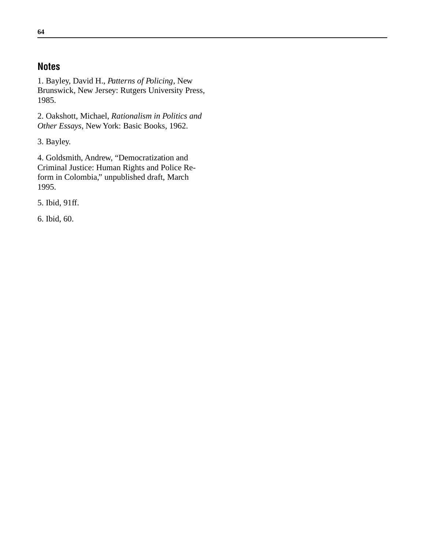## **Notes**

1. Bayley, David H., *Patterns of Policing*, New Brunswick, New Jersey: Rutgers University Press, 1985.

2. Oakshott, Michael, *Rationalism in Politics and Other Essays*, New York: Basic Books, 1962.

3. Bayley.

4. Goldsmith, Andrew, "Democratization and Criminal Justice: Human Rights and Police Reform in Colombia," unpublished draft, March 1995.

5. Ibid, 91ff.

6. Ibid, 60.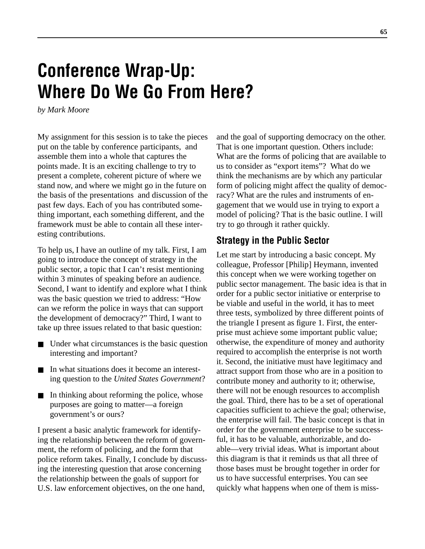# **Conference Wrap-Up: Where Do We Go From Here?**

*by Mark Moore*

My assignment for this session is to take the pieces put on the table by conference participants, and assemble them into a whole that captures the points made. It is an exciting challenge to try to present a complete, coherent picture of where we stand now, and where we might go in the future on the basis of the presentations and discussion of the past few days. Each of you has contributed something important, each something different, and the framework must be able to contain all these interesting contributions.

To help us, I have an outline of my talk. First, I am going to introduce the concept of strategy in the public sector, a topic that I can't resist mentioning within 3 minutes of speaking before an audience. Second, I want to identify and explore what I think was the basic question we tried to address: "How can we reform the police in ways that can support the development of democracy?" Third, I want to take up three issues related to that basic question:

- Under what circumstances is the basic question interesting and important?
- In what situations does it become an interesting question to the *United States Government*?
- In thinking about reforming the police, whose purposes are going to matter—a foreign government's or ours?

I present a basic analytic framework for identifying the relationship between the reform of government, the reform of policing, and the form that police reform takes. Finally, I conclude by discussing the interesting question that arose concerning the relationship between the goals of support for U.S. law enforcement objectives, on the one hand,

and the goal of supporting democracy on the other. That is one important question. Others include: What are the forms of policing that are available to us to consider as "export items"? What do we think the mechanisms are by which any particular form of policing might affect the quality of democracy? What are the rules and instruments of engagement that we would use in trying to export a model of policing? That is the basic outline. I will try to go through it rather quickly.

## **Strategy in the Public Sector**

Let me start by introducing a basic concept. My colleague, Professor [Philip] Heymann, invented this concept when we were working together on public sector management. The basic idea is that in order for a public sector initiative or enterprise to be viable and useful in the world, it has to meet three tests, symbolized by three different points of the triangle I present as figure 1. First, the enterprise must achieve some important public value; otherwise, the expenditure of money and authority required to accomplish the enterprise is not worth it. Second, the initiative must have legitimacy and attract support from those who are in a position to contribute money and authority to it; otherwise, there will not be enough resources to accomplish the goal. Third, there has to be a set of operational capacities sufficient to achieve the goal; otherwise, the enterprise will fail. The basic concept is that in order for the government enterprise to be successful, it has to be valuable, authorizable, and doable—very trivial ideas. What is important about this diagram is that it reminds us that all three of those bases must be brought together in order for us to have successful enterprises. You can see quickly what happens when one of them is miss-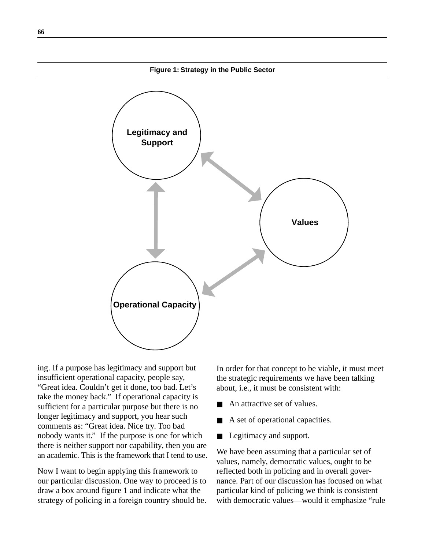

ing. If a purpose has legitimacy and support but insufficient operational capacity, people say, "Great idea. Couldn't get it done, too bad. Let's take the money back." If operational capacity is sufficient for a particular purpose but there is no longer legitimacy and support, you hear such comments as: "Great idea. Nice try. Too bad nobody wants it." If the purpose is one for which there is neither support nor capability, then you are an academic. This is the framework that I tend to use.

Now I want to begin applying this framework to our particular discussion. One way to proceed is to draw a box around figure 1 and indicate what the strategy of policing in a foreign country should be.

In order for that concept to be viable, it must meet the strategic requirements we have been talking about, i.e., it must be consistent with:

- An attractive set of values.
- A set of operational capacities.
- Legitimacy and support.

We have been assuming that a particular set of values, namely, democratic values, ought to be reflected both in policing and in overall governance. Part of our discussion has focused on what particular kind of policing we think is consistent with democratic values—would it emphasize "rule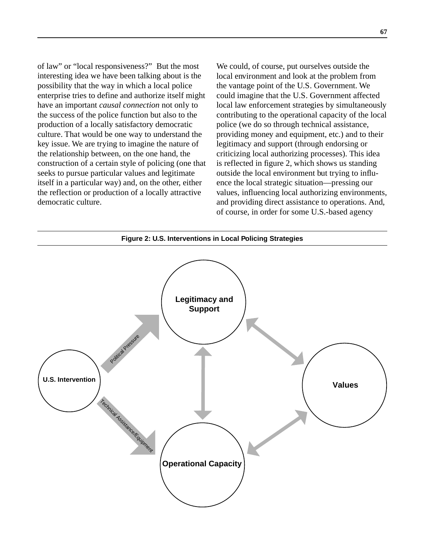of law" or "local responsiveness?" But the most interesting idea we have been talking about is the possibility that the way in which a local police enterprise tries to define and authorize itself might have an important *causal connection* not only to the success of the police function but also to the production of a locally satisfactory democratic culture. That would be one way to understand the key issue. We are trying to imagine the nature of the relationship between, on the one hand, the construction of a certain style of policing (one that seeks to pursue particular values and legitimate itself in a particular way) and, on the other, either the reflection or production of a locally attractive democratic culture.

We could, of course, put ourselves outside the local environment and look at the problem from the vantage point of the U.S. Government. We could imagine that the U.S. Government affected local law enforcement strategies by simultaneously contributing to the operational capacity of the local police (we do so through technical assistance, providing money and equipment, etc.) and to their legitimacy and support (through endorsing or criticizing local authorizing processes). This idea is reflected in figure 2, which shows us standing outside the local environment but trying to influence the local strategic situation—pressing our values, influencing local authorizing environments, and providing direct assistance to operations. And, of course, in order for some U.S.-based agency

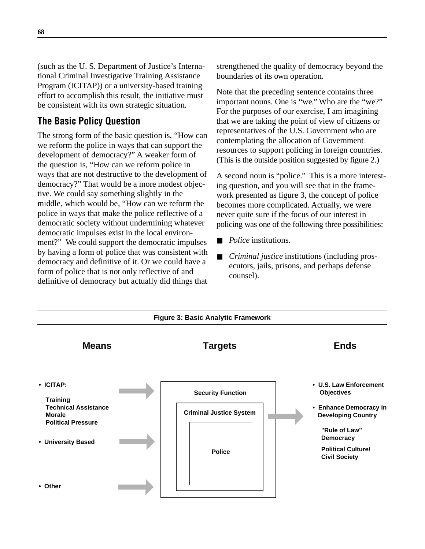(such as the U. S. Department of Justice's International Criminal Investigative Training Assistance Program (ICITAP)) or a university-based training effort to accomplish this result, the initiative must be consistent with its own strategic situation.

## **The Basic Policy Question**

The strong form of the basic question is, "How can we reform the police in ways that can support the development of democracy?" A weaker form of the question is, "How can we reform police in ways that are not destructive to the development of democracy?" That would be a more modest objective. We could say something slightly in the middle, which would be, "How can we reform the police in ways that make the police reflective of a democratic society without undermining whatever democratic impulses exist in the local environment?" We could support the democratic impulses by having a form of police that was consistent with democracy and definitive of it. Or we could have a form of police that is not only reflective of and definitive of democracy but actually did things that strengthened the quality of democracy beyond the boundaries of its own operation.

Note that the preceding sentence contains three important nouns. One is "we." Who are the "we?" For the purposes of our exercise, I am imagining that we are taking the point of view of citizens or representatives of the U.S. Government who are contemplating the allocation of Government resources to support policing in foreign countries. (This is the outside position suggested by figure 2.)

A second noun is "police." This is a more interesting question, and you will see that in the framework presented as figure 3, the concept of police becomes more complicated. Actually, we were never quite sure if the focus of our interest in policing was one of the following three possibilities:

- *Police* institutions.
- *Criminal justice* institutions (including prosecutors, jails, prisons, and perhaps defense counsel).

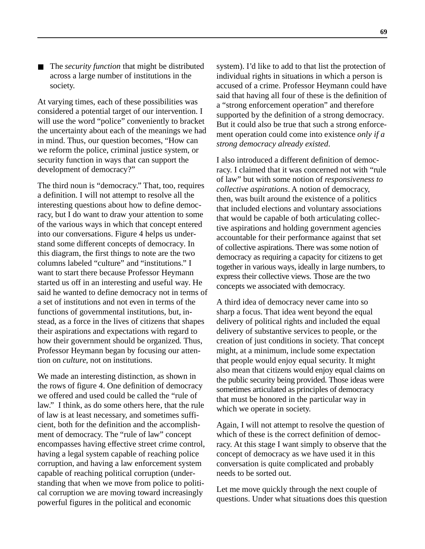The *security function* that might be distributed across a large number of institutions in the society.

At varying times, each of these possibilities was considered a potential target of our intervention. I will use the word "police" conveniently to bracket the uncertainty about each of the meanings we had in mind. Thus, our question becomes, "How can we reform the police, criminal justice system, or security function in ways that can support the development of democracy?"

The third noun is "democracy." That, too, requires a definition. I will not attempt to resolve all the interesting questions about how to define democracy, but I do want to draw your attention to some of the various ways in which that concept entered into our conversations. Figure 4 helps us understand some different concepts of democracy. In this diagram, the first things to note are the two columns labeled "culture" and "institutions." I want to start there because Professor Heymann started us off in an interesting and useful way. He said he wanted to define democracy not in terms of a set of institutions and not even in terms of the functions of governmental institutions, but, instead, as a force in the lives of citizens that shapes their aspirations and expectations with regard to how their government should be organized. Thus, Professor Heymann began by focusing our attention on *culture*, not on institutions.

We made an interesting distinction, as shown in the rows of figure 4. One definition of democracy we offered and used could be called the "rule of law." I think, as do some others here, that the rule of law is at least necessary, and sometimes sufficient, both for the definition and the accomplishment of democracy. The "rule of law" concept encompasses having effective street crime control, having a legal system capable of reaching police corruption, and having a law enforcement system capable of reaching political corruption (understanding that when we move from police to political corruption we are moving toward increasingly powerful figures in the political and economic

system). I'd like to add to that list the protection of individual rights in situations in which a person is accused of a crime. Professor Heymann could have said that having all four of these is the definition of a "strong enforcement operation" and therefore supported by the definition of a strong democracy. But it could also be true that such a strong enforcement operation could come into existence *only if a strong democracy already existed*.

I also introduced a different definition of democracy. I claimed that it was concerned not with "rule of law" but with some notion of *responsiveness to collective aspirations*. A notion of democracy, then, was built around the existence of a politics that included elections and voluntary associations that would be capable of both articulating collective aspirations and holding government agencies accountable for their performance against that set of collective aspirations. There was some notion of democracy as requiring a capacity for citizens to get together in various ways, ideally in large numbers, to express their collective views. Those are the two concepts we associated with democracy.

A third idea of democracy never came into so sharp a focus. That idea went beyond the equal delivery of political rights and included the equal delivery of substantive services to people, or the creation of just conditions in society. That concept might, at a minimum, include some expectation that people would enjoy equal security. It might also mean that citizens would enjoy equal claims on the public security being provided. Those ideas were sometimes articulated as principles of democracy that must be honored in the particular way in which we operate in society.

Again, I will not attempt to resolve the question of which of these is the correct definition of democracy. At this stage I want simply to observe that the concept of democracy as we have used it in this conversation is quite complicated and probably needs to be sorted out.

Let me move quickly through the next couple of questions. Under what situations does this question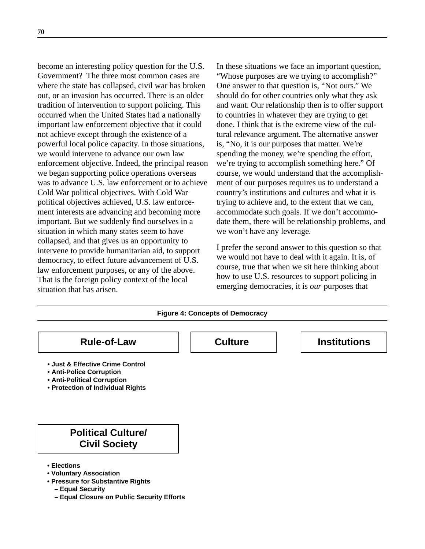become an interesting policy question for the U.S. Government? The three most common cases are where the state has collapsed, civil war has broken out, or an invasion has occurred. There is an older tradition of intervention to support policing. This occurred when the United States had a nationally important law enforcement objective that it could not achieve except through the existence of a powerful local police capacity. In those situations, we would intervene to advance our own law enforcement objective. Indeed, the principal reason we began supporting police operations overseas was to advance U.S. law enforcement or to achieve Cold War political objectives. With Cold War political objectives achieved, U.S. law enforcement interests are advancing and becoming more important. But we suddenly find ourselves in a situation in which many states seem to have collapsed, and that gives us an opportunity to intervene to provide humanitarian aid, to support democracy, to effect future advancement of U.S. law enforcement purposes, or any of the above. That is the foreign policy context of the local situation that has arisen.

In these situations we face an important question, "Whose purposes are we trying to accomplish?" One answer to that question is, "Not ours." We should do for other countries only what they ask and want. Our relationship then is to offer support to countries in whatever they are trying to get done. I think that is the extreme view of the cultural relevance argument. The alternative answer is, "No, it is our purposes that matter. We're spending the money, we're spending the effort, we're trying to accomplish something here." Of course, we would understand that the accomplishment of our purposes requires us to understand a country's institutions and cultures and what it is trying to achieve and, to the extent that we can, accommodate such goals. If we don't accommodate them, there will be relationship problems, and we won't have any leverage.

I prefer the second answer to this question so that we would not have to deal with it again. It is, of course, true that when we sit here thinking about how to use U.S. resources to support policing in emerging democracies, it is *our* purposes that

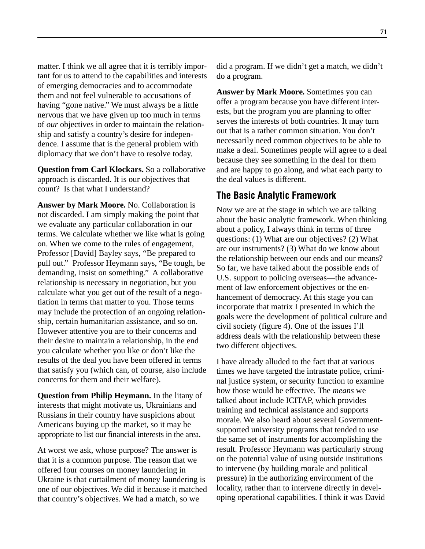matter. I think we all agree that it is terribly important for us to attend to the capabilities and interests of emerging democracies and to accommodate them and not feel vulnerable to accusations of having "gone native." We must always be a little nervous that we have given up too much in terms of *our* objectives in order to maintain the relationship and satisfy a country's desire for independence. I assume that is the general problem with diplomacy that we don't have to resolve today.

**Question from Carl Klockars.** So a collaborative approach is discarded. It is our objectives that count? Is that what I understand?

**Answer by Mark Moore.** No. Collaboration is not discarded. I am simply making the point that we evaluate any particular collaboration in our terms. We calculate whether we like what is going on. When we come to the rules of engagement, Professor [David] Bayley says, "Be prepared to pull out." Professor Heymann says, "Be tough, be demanding, insist on something." A collaborative relationship is necessary in negotiation, but you calculate what you get out of the result of a negotiation in terms that matter to you. Those terms may include the protection of an ongoing relationship, certain humanitarian assistance, and so on. However attentive you are to their concerns and their desire to maintain a relationship, in the end you calculate whether you like or don't like the results of the deal you have been offered in terms that satisfy you (which can, of course, also include concerns for them and their welfare).

**Question from Philip Heymann.** In the litany of interests that might motivate us, Ukrainians and Russians in their country have suspicions about Americans buying up the market, so it may be appropriate to list our financial interests in the area.

At worst we ask, whose purpose? The answer is that it is a common purpose. The reason that we offered four courses on money laundering in Ukraine is that curtailment of money laundering is one of our objectives. We did it because it matched that country's objectives. We had a match, so we

did a program. If we didn't get a match, we didn't do a program.

**Answer by Mark Moore.** Sometimes you can offer a program because you have different interests, but the program you are planning to offer serves the interests of both countries. It may turn out that is a rather common situation. You don't necessarily need common objectives to be able to make a deal. Sometimes people will agree to a deal because they see something in the deal for them and are happy to go along, and what each party to the deal values is different.

# **The Basic Analytic Framework**

Now we are at the stage in which we are talking about the basic analytic framework. When thinking about a policy, I always think in terms of three questions: (1) What are our objectives? (2) What are our instruments? (3) What do we know about the relationship between our ends and our means? So far, we have talked about the possible ends of U.S. support to policing overseas—the advancement of law enforcement objectives or the enhancement of democracy. At this stage you can incorporate that matrix I presented in which the goals were the development of political culture and civil society (figure 4). One of the issues I'll address deals with the relationship between these two different objectives.

I have already alluded to the fact that at various times we have targeted the intrastate police, criminal justice system, or security function to examine how those would be effective. The *means* we talked about include ICITAP, which provides training and technical assistance and supports morale. We also heard about several Governmentsupported university programs that tended to use the same set of instruments for accomplishing the result. Professor Heymann was particularly strong on the potential value of using outside institutions to intervene (by building morale and political pressure) in the authorizing environment of the locality, rather than to intervene directly in developing operational capabilities. I think it was David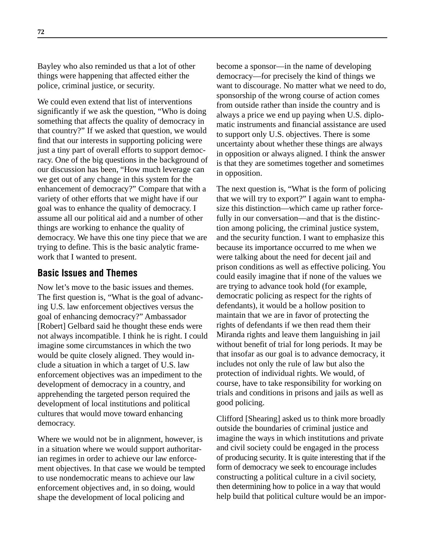Bayley who also reminded us that a lot of other things were happening that affected either the police, criminal justice, or security.

We could even extend that list of interventions significantly if we ask the question, "Who is doing something that affects the quality of democracy in that country?" If we asked that question, we would find that our interests in supporting policing were just a tiny part of overall efforts to support democracy. One of the big questions in the background of our discussion has been, "How much leverage can we get out of any change in this system for the enhancement of democracy?" Compare that with a variety of other efforts that we might have if our goal was to enhance the quality of democracy. I assume all our political aid and a number of other things are working to enhance the quality of democracy. We have this one tiny piece that we are trying to define. This is the basic analytic framework that I wanted to present.

# **Basic Issues and Themes**

Now let's move to the basic issues and themes. The first question is, "What is the goal of advancing U.S. law enforcement objectives versus the goal of enhancing democracy?" Ambassador [Robert] Gelbard said he thought these ends were not always incompatible. I think he is right. I could imagine some circumstances in which the two would be quite closely aligned. They would include a situation in which a target of U.S. law enforcement objectives was an impediment to the development of democracy in a country, and apprehending the targeted person required the development of local institutions and political cultures that would move toward enhancing democracy.

Where we would not be in alignment, however, is in a situation where we would support authoritarian regimes in order to achieve our law enforcement objectives. In that case we would be tempted to use nondemocratic means to achieve our law enforcement objectives and, in so doing, would shape the development of local policing and

become a sponsor—in the name of developing democracy—for precisely the kind of things we want to discourage. No matter what we need to do, sponsorship of the wrong course of action comes from outside rather than inside the country and is always a price we end up paying when U.S. diplomatic instruments and financial assistance are used to support only U.S. objectives. There is some uncertainty about whether these things are always in opposition or always aligned. I think the answer is that they are sometimes together and sometimes in opposition.

The next question is, "What is the form of policing that we will try to export?" I again want to emphasize this distinction—which came up rather forcefully in our conversation—and that is the distinction among policing, the criminal justice system, and the security function. I want to emphasize this because its importance occurred to me when we were talking about the need for decent jail and prison conditions as well as effective policing. You could easily imagine that if none of the values we are trying to advance took hold (for example, democratic policing as respect for the rights of defendants), it would be a hollow position to maintain that we are in favor of protecting the rights of defendants if we then read them their Miranda rights and leave them languishing in jail without benefit of trial for long periods. It may be that insofar as our goal is to advance democracy, it includes not only the rule of law but also the protection of individual rights. We would, of course, have to take responsibility for working on trials and conditions in prisons and jails as well as good policing.

Clifford [Shearing] asked us to think more broadly outside the boundaries of criminal justice and imagine the ways in which institutions and private and civil society could be engaged in the process of producing security. It is quite interesting that if the form of democracy we seek to encourage includes constructing a political culture in a civil society, then determining how to police in a way that would help build that political culture would be an impor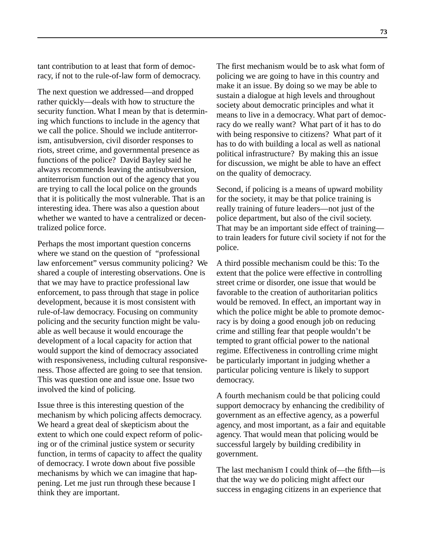tant contribution to at least that form of democracy, if not to the rule-of-law form of democracy.

The next question we addressed—and dropped rather quickly—deals with how to structure the security function. What I mean by that is determining which functions to include in the agency that we call the police. Should we include antiterrorism, antisubversion, civil disorder responses to riots, street crime, and governmental presence as functions of the police? David Bayley said he always recommends leaving the antisubversion, antiterrorism function out of the agency that you are trying to call the local police on the grounds that it is politically the most vulnerable. That is an interesting idea. There was also a question about whether we wanted to have a centralized or decentralized police force.

Perhaps the most important question concerns where we stand on the question of "professional law enforcement" versus community policing? We shared a couple of interesting observations. One is that we may have to practice professional law enforcement, to pass through that stage in police development, because it is most consistent with rule-of-law democracy. Focusing on community policing and the security function might be valuable as well because it would encourage the development of a local capacity for action that would support the kind of democracy associated with responsiveness, including cultural responsiveness. Those affected are going to see that tension. This was question one and issue one. Issue two involved the kind of policing.

Issue three is this interesting question of the mechanism by which policing affects democracy. We heard a great deal of skepticism about the extent to which one could expect reform of policing or of the criminal justice system or security function, in terms of capacity to affect the quality of democracy. I wrote down about five possible mechanisms by which we can imagine that happening. Let me just run through these because I think they are important.

The first mechanism would be to ask what form of policing we are going to have in this country and make it an issue. By doing so we may be able to sustain a dialogue at high levels and throughout society about democratic principles and what it means to live in a democracy. What part of democracy do we really want? What part of it has to do with being responsive to citizens? What part of it has to do with building a local as well as national political infrastructure? By making this an issue for discussion, we might be able to have an effect on the quality of democracy.

Second, if policing is a means of upward mobility for the society, it may be that police training is really training of future leaders—not just of the police department, but also of the civil society. That may be an important side effect of training to train leaders for future civil society if not for the police.

A third possible mechanism could be this: To the extent that the police were effective in controlling street crime or disorder, one issue that would be favorable to the creation of authoritarian politics would be removed. In effect, an important way in which the police might be able to promote democracy is by doing a good enough job on reducing crime and stilling fear that people wouldn't be tempted to grant official power to the national regime. Effectiveness in controlling crime might be particularly important in judging whether a particular policing venture is likely to support democracy.

A fourth mechanism could be that policing could support democracy by enhancing the credibility of government as an effective agency, as a powerful agency, and most important, as a fair and equitable agency. That would mean that policing would be successful largely by building credibility in government.

The last mechanism I could think of—the fifth—is that the way we do policing might affect our success in engaging citizens in an experience that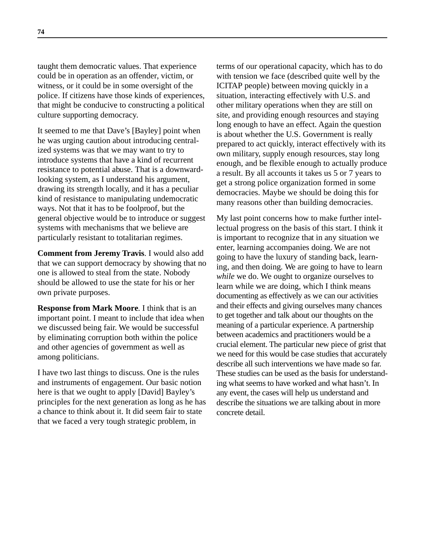taught them democratic values. That experience could be in operation as an offender, victim, or witness, or it could be in some oversight of the police. If citizens have those kinds of experiences, that might be conducive to constructing a political culture supporting democracy.

It seemed to me that Dave's [Bayley] point when he was urging caution about introducing centralized systems was that we may want to try to introduce systems that have a kind of recurrent resistance to potential abuse. That is a downwardlooking system, as I understand his argument, drawing its strength locally, and it has a peculiar kind of resistance to manipulating undemocratic ways. Not that it has to be foolproof, but the general objective would be to introduce or suggest systems with mechanisms that we believe are particularly resistant to totalitarian regimes.

**Comment from Jeremy Travis**. I would also add that we can support democracy by showing that no one is allowed to steal from the state. Nobody should be allowed to use the state for his or her own private purposes.

**Response from Mark Moore**. I think that is an important point. I meant to include that idea when we discussed being fair. We would be successful by eliminating corruption both within the police and other agencies of government as well as among politicians.

I have two last things to discuss. One is the rules and instruments of engagement. Our basic notion here is that we ought to apply [David] Bayley's principles for the next generation as long as he has a chance to think about it. It did seem fair to state that we faced a very tough strategic problem, in

terms of our operational capacity, which has to do with tension we face (described quite well by the ICITAP people) between moving quickly in a situation, interacting effectively with U.S. and other military operations when they are still on site, and providing enough resources and staying long enough to have an effect. Again the question is about whether the U.S. Government is really prepared to act quickly, interact effectively with its own military, supply enough resources, stay long enough, and be flexible enough to actually produce a result. By all accounts it takes us 5 or 7 years to get a strong police organization formed in some democracies. Maybe we should be doing this for many reasons other than building democracies.

My last point concerns how to make further intellectual progress on the basis of this start. I think it is important to recognize that in any situation we enter, learning accompanies doing. We are not going to have the luxury of standing back, learning, and then doing. We are going to have to learn *while* we do. We ought to organize ourselves to learn while we are doing, which I think means documenting as effectively as we can our activities and their effects and giving ourselves many chances to get together and talk about our thoughts on the meaning of a particular experience. A partnership between academics and practitioners would be a crucial element. The particular new piece of grist that we need for this would be case studies that accurately describe all such interventions we have made so far. These studies can be used as the basis for understanding what seems to have worked and what hasn't. In any event, the cases will help us understand and describe the situations we are talking about in more concrete detail.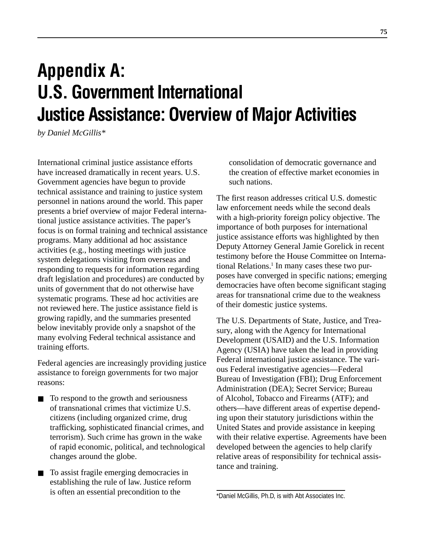# **Appendix A: U.S. Government International Justice Assistance: Overview of Major Activities**

*by Daniel McGillis\**

International criminal justice assistance efforts have increased dramatically in recent years. U.S. Government agencies have begun to provide technical assistance and training to justice system personnel in nations around the world. This paper presents a brief overview of major Federal international justice assistance activities. The paper's focus is on formal training and technical assistance programs. Many additional ad hoc assistance activities (e.g., hosting meetings with justice system delegations visiting from overseas and responding to requests for information regarding draft legislation and procedures) are conducted by units of government that do not otherwise have systematic programs. These ad hoc activities are not reviewed here. The justice assistance field is growing rapidly, and the summaries presented below inevitably provide only a snapshot of the many evolving Federal technical assistance and training efforts.

Federal agencies are increasingly providing justice assistance to foreign governments for two major reasons:

- To respond to the growth and seriousness of transnational crimes that victimize U.S. citizens (including organized crime, drug trafficking, sophisticated financial crimes, and terrorism). Such crime has grown in the wake of rapid economic, political, and technological changes around the globe.
- To assist fragile emerging democracies in establishing the rule of law. Justice reform is often an essential precondition to the

consolidation of democratic governance and the creation of effective market economies in such nations.

The first reason addresses critical U.S. domestic law enforcement needs while the second deals with a high-priority foreign policy objective. The importance of both purposes for international justice assistance efforts was highlighted by then Deputy Attorney General Jamie Gorelick in recent testimony before the House Committee on International Relations.<sup>1</sup> In many cases these two purposes have converged in specific nations; emerging democracies have often become significant staging areas for transnational crime due to the weakness of their domestic justice systems.

The U.S. Departments of State, Justice, and Treasury, along with the Agency for International Development (USAID) and the U.S. Information Agency (USIA) have taken the lead in providing Federal international justice assistance. The various Federal investigative agencies—Federal Bureau of Investigation (FBI); Drug Enforcement Administration (DEA); Secret Service; Bureau of Alcohol, Tobacco and Firearms (ATF); and others—have different areas of expertise depending upon their statutory jurisdictions within the United States and provide assistance in keeping with their relative expertise. Agreements have been developed between the agencies to help clarify relative areas of responsibility for technical assistance and training.

<sup>\*</sup>Daniel McGillis, Ph.D, is with Abt Associates Inc.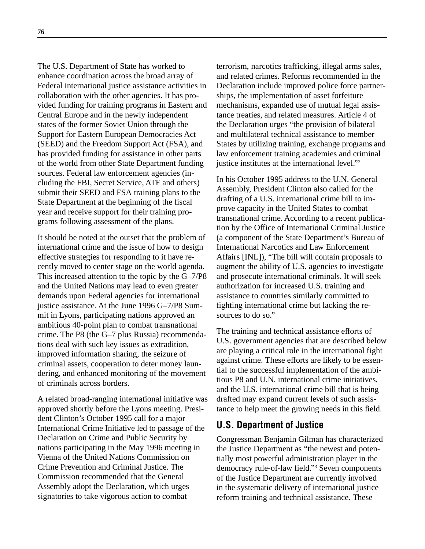The U.S. Department of State has worked to enhance coordination across the broad array of Federal international justice assistance activities in collaboration with the other agencies. It has provided funding for training programs in Eastern and Central Europe and in the newly independent states of the former Soviet Union through the Support for Eastern European Democracies Act (SEED) and the Freedom Support Act (FSA), and has provided funding for assistance in other parts of the world from other State Department funding sources. Federal law enforcement agencies (including the FBI, Secret Service, ATF and others) submit their SEED and FSA training plans to the State Department at the beginning of the fiscal year and receive support for their training programs following assessment of the plans.

It should be noted at the outset that the problem of international crime and the issue of how to design effective strategies for responding to it have recently moved to center stage on the world agenda. This increased attention to the topic by the G–7/P8 and the United Nations may lead to even greater demands upon Federal agencies for international justice assistance. At the June 1996 G-7/P8 Summit in Lyons, participating nations approved an ambitious 40-point plan to combat transnational crime. The P8 (the G–7 plus Russia) recommendations deal with such key issues as extradition, improved information sharing, the seizure of criminal assets, cooperation to deter money laundering, and enhanced monitoring of the movement of criminals across borders.

A related broad-ranging international initiative was approved shortly before the Lyons meeting. President Clinton's October 1995 call for a major International Crime Initiative led to passage of the Declaration on Crime and Public Security by nations participating in the May 1996 meeting in Vienna of the United Nations Commission on Crime Prevention and Criminal Justice. The Commission recommended that the General Assembly adopt the Declaration, which urges signatories to take vigorous action to combat

terrorism, narcotics trafficking, illegal arms sales, and related crimes. Reforms recommended in the Declaration include improved police force partnerships, the implementation of asset forfeiture mechanisms, expanded use of mutual legal assistance treaties, and related measures. Article 4 of the Declaration urges "the provision of bilateral and multilateral technical assistance to member States by utilizing training, exchange programs and law enforcement training academies and criminal justice institutes at the international level."2

In his October 1995 address to the U.N. General Assembly, President Clinton also called for the drafting of a U.S. international crime bill to improve capacity in the United States to combat transnational crime. According to a recent publication by the Office of International Criminal Justice (a component of the State Department's Bureau of International Narcotics and Law Enforcement Affairs [INL]), "The bill will contain proposals to augment the ability of U.S. agencies to investigate and prosecute international criminals. It will seek authorization for increased U.S. training and assistance to countries similarly committed to fighting international crime but lacking the resources to do so."

The training and technical assistance efforts of U.S. government agencies that are described below are playing a critical role in the international fight against crime. These efforts are likely to be essential to the successful implementation of the ambitious P8 and U.N. international crime initiatives, and the U.S. international crime bill that is being drafted may expand current levels of such assistance to help meet the growing needs in this field.

# **U.S. Department of Justice**

Congressman Benjamin Gilman has characterized the Justice Department as "the newest and potentially most powerful administration player in the democracy rule-of-law field."3 Seven components of the Justice Department are currently involved in the systematic delivery of international justice reform training and technical assistance. These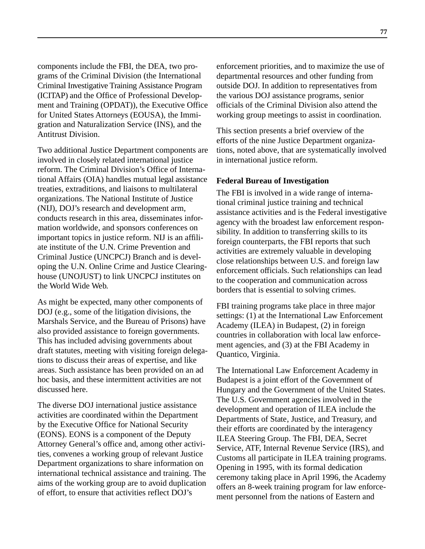components include the FBI, the DEA, two programs of the Criminal Division (the International Criminal Investigative Training Assistance Program (ICITAP) and the Office of Professional Development and Training (OPDAT)), the Executive Office for United States Attorneys (EOUSA), the Immigration and Naturalization Service (INS), and the Antitrust Division.

Two additional Justice Department components are involved in closely related international justice reform. The Criminal Division's Office of International Affairs (OIA) handles mutual legal assistance treaties, extraditions, and liaisons to multilateral organizations. The National Institute of Justice (NIJ), DOJ's research and development arm, conducts research in this area, disseminates information worldwide, and sponsors conferences on important topics in justice reform. NIJ is an affiliate institute of the U.N. Crime Prevention and Criminal Justice (UNCPCJ) Branch and is developing the U.N. Online Crime and Justice Clearinghouse (UNOJUST) to link UNCPCJ institutes on the World Wide Web.

As might be expected, many other components of DOJ (e.g., some of the litigation divisions, the Marshals Service, and the Bureau of Prisons) have also provided assistance to foreign governments. This has included advising governments about draft statutes, meeting with visiting foreign delegations to discuss their areas of expertise, and like areas. Such assistance has been provided on an ad hoc basis, and these intermittent activities are not discussed here.

The diverse DOJ international justice assistance activities are coordinated within the Department by the Executive Office for National Security (EONS). EONS is a component of the Deputy Attorney General's office and, among other activities, convenes a working group of relevant Justice Department organizations to share information on international technical assistance and training. The aims of the working group are to avoid duplication of effort, to ensure that activities reflect DOJ's

enforcement priorities, and to maximize the use of departmental resources and other funding from outside DOJ. In addition to representatives from the various DOJ assistance programs, senior officials of the Criminal Division also attend the working group meetings to assist in coordination.

This section presents a brief overview of the efforts of the nine Justice Department organizations, noted above, that are systematically involved in international justice reform.

### **Federal Bureau of Investigation**

The FBI is involved in a wide range of international criminal justice training and technical assistance activities and is the Federal investigative agency with the broadest law enforcement responsibility. In addition to transferring skills to its foreign counterparts, the FBI reports that such activities are extremely valuable in developing close relationships between U.S. and foreign law enforcement officials. Such relationships can lead to the cooperation and communication across borders that is essential to solving crimes.

FBI training programs take place in three major settings: (1) at the International Law Enforcement Academy (ILEA) in Budapest, (2) in foreign countries in collaboration with local law enforcement agencies, and (3) at the FBI Academy in Quantico, Virginia.

The International Law Enforcement Academy in Budapest is a joint effort of the Government of Hungary and the Government of the United States. The U.S. Government agencies involved in the development and operation of ILEA include the Departments of State, Justice, and Treasury, and their efforts are coordinated by the interagency ILEA Steering Group. The FBI, DEA, Secret Service, ATF, Internal Revenue Service (IRS), and Customs all participate in ILEA training programs. Opening in 1995, with its formal dedication ceremony taking place in April 1996, the Academy offers an 8-week training program for law enforcement personnel from the nations of Eastern and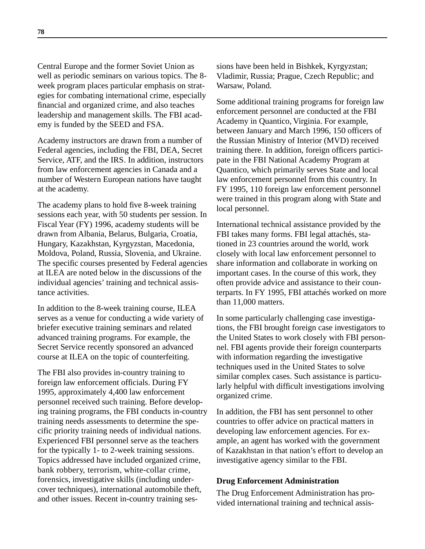Central Europe and the former Soviet Union as well as periodic seminars on various topics. The 8 week program places particular emphasis on strategies for combating international crime, especially financial and organized crime, and also teaches leadership and management skills. The FBI academy is funded by the SEED and FSA.

Academy instructors are drawn from a number of Federal agencies, including the FBI, DEA, Secret Service, ATF, and the IRS. In addition, instructors from law enforcement agencies in Canada and a number of Western European nations have taught at the academy.

The academy plans to hold five 8-week training sessions each year, with 50 students per session. In Fiscal Year (FY) 1996, academy students will be drawn from Albania, Belarus, Bulgaria, Croatia, Hungary, Kazakhstan, Kyrgyzstan, Macedonia, Moldova, Poland, Russia, Slovenia, and Ukraine. The specific courses presented by Federal agencies at ILEA are noted below in the discussions of the individual agencies' training and technical assistance activities.

In addition to the 8-week training course, ILEA serves as a venue for conducting a wide variety of briefer executive training seminars and related advanced training programs. For example, the Secret Service recently sponsored an advanced course at ILEA on the topic of counterfeiting.

The FBI also provides in-country training to foreign law enforcement officials. During FY 1995, approximately 4,400 law enforcement personnel received such training. Before developing training programs, the FBI conducts in-country training needs assessments to determine the specific priority training needs of individual nations. Experienced FBI personnel serve as the teachers for the typically 1- to 2-week training sessions. Topics addressed have included organized crime, bank robbery, terrorism, white-collar crime, forensics, investigative skills (including undercover techniques), international automobile theft, and other issues. Recent in-country training sessions have been held in Bishkek, Kyrgyzstan; Vladimir, Russia; Prague, Czech Republic; and Warsaw, Poland.

Some additional training programs for foreign law enforcement personnel are conducted at the FBI Academy in Quantico, Virginia. For example, between January and March 1996, 150 officers of the Russian Ministry of Interior (MVD) received training there. In addition, foreign officers participate in the FBI National Academy Program at Quantico, which primarily serves State and local law enforcement personnel from this country. In FY 1995, 110 foreign law enforcement personnel were trained in this program along with State and local personnel.

International technical assistance provided by the FBI takes many forms. FBI legal attachés, stationed in 23 countries around the world, work closely with local law enforcement personnel to share information and collaborate in working on important cases. In the course of this work, they often provide advice and assistance to their counterparts. In FY 1995, FBI attachés worked on more than 11,000 matters.

In some particularly challenging case investigations, the FBI brought foreign case investigators to the United States to work closely with FBI personnel. FBI agents provide their foreign counterparts with information regarding the investigative techniques used in the United States to solve similar complex cases. Such assistance is particularly helpful with difficult investigations involving organized crime.

In addition, the FBI has sent personnel to other countries to offer advice on practical matters in developing law enforcement agencies. For example, an agent has worked with the government of Kazakhstan in that nation's effort to develop an investigative agency similar to the FBI.

### **Drug Enforcement Administration**

The Drug Enforcement Administration has provided international training and technical assis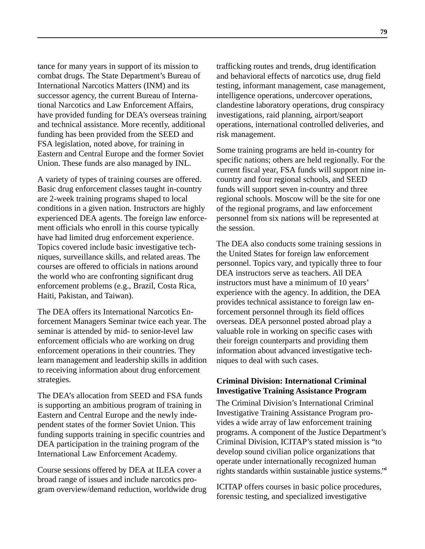tance for many years in support of its mission to combat drugs. The State Department's Bureau of International Narcotics Matters (INM) and its successor agency, the current Bureau of International Narcotics and Law Enforcement Affairs, have provided funding for DEA's overseas training and technical assistance. More recently, additional funding has been provided from the SEED and FSA legislation, noted above, for training in Eastern and Central Europe and the former Soviet Union. These funds are also managed by INL.

A variety of types of training courses are offered. Basic drug enforcement classes taught in-country are 2-week training programs shaped to local conditions in a given nation. Instructors are highly experienced DEA agents. The foreign law enforcement officials who enroll in this course typically have had limited drug enforcement experience. Topics covered include basic investigative techniques, surveillance skills, and related areas. The courses are offered to officials in nations around the world who are confronting significant drug enforcement problems (e.g., Brazil, Costa Rica, Haiti, Pakistan, and Taiwan).

The DEA offers its International Narcotics Enforcement Managers Seminar twice each year. The seminar is attended by mid- to senior-level law enforcement officials who are working on drug enforcement operations in their countries. They learn management and leadership skills in addition to receiving information about drug enforcement strategies.

The DEA's allocation from SEED and FSA funds is supporting an ambitious program of training in Eastern and Central Europe and the newly independent states of the former Soviet Union. This funding supports training in specific countries and DEA participation in the training program of the International Law Enforcement Academy.

Course sessions offered by DEA at ILEA cover a broad range of issues and include narcotics program overview/demand reduction, worldwide drug trafficking routes and trends, drug identification and behavioral effects of narcotics use, drug field testing, informant management, case management, intelligence operations, undercover operations, clandestine laboratory operations, drug conspiracy investigations, raid planning, airport/seaport operations, international controlled deliveries, and risk management.

Some training programs are held in-country for specific nations; others are held regionally. For the current fiscal year, FSA funds will support nine incountry and four regional schools, and SEED funds will support seven in-country and three regional schools. Moscow will be the site for one of the regional programs, and law enforcement personnel from six nations will be represented at the session.

The DEA also conducts some training sessions in the United States for foreign law enforcement personnel. Topics vary, and typically three to four DEA instructors serve as teachers. All DEA instructors must have a minimum of 10 years' experience with the agency. In addition, the DEA provides technical assistance to foreign law enforcement personnel through its field offices overseas. DEA personnel posted abroad play a valuable role in working on specific cases with their foreign counterparts and providing them information about advanced investigative techniques to deal with such cases.

## **Criminal Division: International Criminal Investigative Training Assistance Program**

The Criminal Division's International Criminal Investigative Training Assistance Program provides a wide array of law enforcement training programs. A component of the Justice Department's Criminal Division, ICITAP's stated mission is "to develop sound civilian police organizations that operate under internationally recognized human rights standards within sustainable justice systems."4

ICITAP offers courses in basic police procedures, forensic testing, and specialized investigative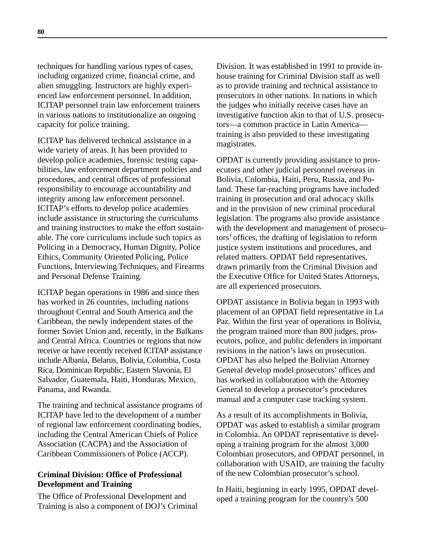techniques for handling various types of cases, including organized crime, financial crime, and alien smuggling. Instructors are highly experienced law enforcement personnel. In addition, ICITAP personnel train law enforcement trainers in various nations to institutionalize an ongoing capacity for police training.

ICITAP has delivered technical assistance in a wide variety of areas. It has been provided to develop police academies, forensic testing capabilities, law enforcement department policies and procedures, and central offices of professional responsibility to encourage accountability and integrity among law enforcement personnel. ICITAP's efforts to develop police academies include assistance in structuring the curriculums and training instructors to make the effort sustainable. The core curriculums include such topics as Policing in a Democracy, Human Dignity, Police Ethics, Community Oriented Policing, Police Functions, Interviewing Techniques, and Firearms and Personal Defense Training.

ICITAP began operations in 1986 and since then has worked in 26 countries, including nations throughout Central and South America and the Caribbean, the newly independent states of the former Soviet Union and, recently, in the Balkans and Central Africa. Countries or regions that now receive or have recently received ICITAP assistance include Albania, Belarus, Bolivia, Colombia, Costa Rica, Dominican Republic, Eastern Slavonia, El Salvador, Guatemala, Haiti, Honduras, Mexico, Panama, and Rwanda.

The training and technical assistance programs of ICITAP have led to the development of a number of regional law enforcement coordinating bodies, including the Central American Chiefs of Police Association (CACPA) and the Association of Caribbean Commissioners of Police (ACCP).

## **Criminal Division: Office of Professional Development and Training**

The Office of Professional Development and Training is also a component of DOJ's Criminal Division. It was established in 1991 to provide inhouse training for Criminal Division staff as well as to provide training and technical assistance to prosecutors in other nations. In nations in which the judges who initially receive cases have an investigative function akin to that of U.S. prosecutors—a common practice in Latin America training is also provided to these investigating magistrates.

OPDAT is currently providing assistance to prosecutors and other judicial personnel overseas in Bolivia, Colombia, Haiti, Peru, Russia, and Poland. These far-reaching programs have included training in prosecution and oral advocacy skills and in the provision of new criminal procedural legislation. The programs also provide assistance with the development and management of prosecutors' offices, the drafting of legislation to reform justice system institutions and procedures, and related matters. OPDAT field representatives, drawn primarily from the Criminal Division and the Executive Office for United States Attorneys, are all experienced prosecutors.

OPDAT assistance in Bolivia began in 1993 with placement of an OPDAT field representative in La Paz. Within the first year of operations in Bolivia, the program trained more than 800 judges, prosecutors, police, and public defenders in important revisions in the nation's laws on prosecution. OPDAT has also helped the Bolivian Attorney General develop model prosecutors' offices and has worked in collaboration with the Attorney General to develop a prosecutor's procedures manual and a computer case tracking system.

As a result of its accomplishments in Bolivia, OPDAT was asked to establish a similar program in Colombia. An OPDAT representative is developing a training program for the almost 3,000 Colombian prosecutors, and OPDAT personnel, in collaboration with USAID, are training the faculty of the new Colombian prosecutor's school.

In Haiti, beginning in early 1995, OPDAT developed a training program for the country's 500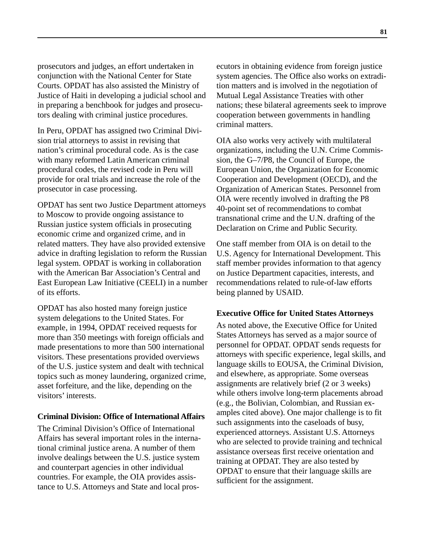prosecutors and judges, an effort undertaken in conjunction with the National Center for State Courts. OPDAT has also assisted the Ministry of Justice of Haiti in developing a judicial school and in preparing a benchbook for judges and prosecutors dealing with criminal justice procedures.

In Peru, OPDAT has assigned two Criminal Division trial attorneys to assist in revising that nation's criminal procedural code. As is the case with many reformed Latin American criminal procedural codes, the revised code in Peru will provide for oral trials and increase the role of the prosecutor in case processing.

OPDAT has sent two Justice Department attorneys to Moscow to provide ongoing assistance to Russian justice system officials in prosecuting economic crime and organized crime, and in related matters. They have also provided extensive advice in drafting legislation to reform the Russian legal system. OPDAT is working in collaboration with the American Bar Association's Central and East European Law Initiative (CEELI) in a number of its efforts.

OPDAT has also hosted many foreign justice system delegations to the United States. For example, in 1994, OPDAT received requests for more than 350 meetings with foreign officials and made presentations to more than 500 international visitors. These presentations provided overviews of the U.S. justice system and dealt with technical topics such as money laundering, organized crime, asset forfeiture, and the like, depending on the visitors' interests.

## **Criminal Division: Office of International Affairs**

The Criminal Division's Office of International Affairs has several important roles in the international criminal justice arena. A number of them involve dealings between the U.S. justice system and counterpart agencies in other individual countries. For example, the OIA provides assistance to U.S. Attorneys and State and local prosecutors in obtaining evidence from foreign justice system agencies. The Office also works on extradition matters and is involved in the negotiation of Mutual Legal Assistance Treaties with other nations; these bilateral agreements seek to improve cooperation between governments in handling criminal matters.

OIA also works very actively with multilateral organizations, including the U.N. Crime Commission, the G–7/P8, the Council of Europe, the European Union, the Organization for Economic Cooperation and Development (OECD), and the Organization of American States. Personnel from OIA were recently involved in drafting the P8 40-point set of recommendations to combat transnational crime and the U.N. drafting of the Declaration on Crime and Public Security.

One staff member from OIA is on detail to the U.S. Agency for International Development. This staff member provides information to that agency on Justice Department capacities, interests, and recommendations related to rule-of-law efforts being planned by USAID.

#### **Executive Office for United States Attorneys**

As noted above, the Executive Office for United States Attorneys has served as a major source of personnel for OPDAT. OPDAT sends requests for attorneys with specific experience, legal skills, and language skills to EOUSA, the Criminal Division, and elsewhere, as appropriate. Some overseas assignments are relatively brief (2 or 3 weeks) while others involve long-term placements abroad (e.g., the Bolivian, Colombian, and Russian examples cited above). One major challenge is to fit such assignments into the caseloads of busy, experienced attorneys. Assistant U.S. Attorneys who are selected to provide training and technical assistance overseas first receive orientation and training at OPDAT. They are also tested by OPDAT to ensure that their language skills are sufficient for the assignment.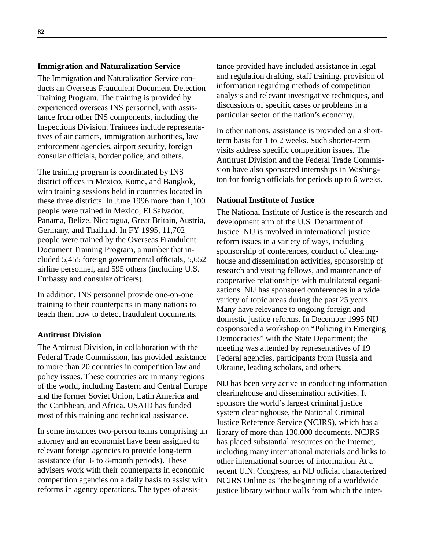#### **Immigration and Naturalization Service**

The Immigration and Naturalization Service conducts an Overseas Fraudulent Document Detection Training Program. The training is provided by experienced overseas INS personnel, with assistance from other INS components, including the Inspections Division. Trainees include representatives of air carriers, immigration authorities, law enforcement agencies, airport security, foreign consular officials, border police, and others.

The training program is coordinated by INS district offices in Mexico, Rome, and Bangkok, with training sessions held in countries located in these three districts. In June 1996 more than 1,100 people were trained in Mexico, El Salvador, Panama, Belize, Nicaragua, Great Britain, Austria, Germany, and Thailand. In FY 1995, 11,702 people were trained by the Overseas Fraudulent Document Training Program, a number that included 5,455 foreign governmental officials, 5,652 airline personnel, and 595 others (including U.S. Embassy and consular officers).

In addition, INS personnel provide one-on-one training to their counterparts in many nations to teach them how to detect fraudulent documents.

#### **Antitrust Division**

The Antitrust Division, in collaboration with the Federal Trade Commission, has provided assistance to more than 20 countries in competition law and policy issues. These countries are in many regions of the world, including Eastern and Central Europe and the former Soviet Union, Latin America and the Caribbean, and Africa. USAID has funded most of this training and technical assistance.

In some instances two-person teams comprising an attorney and an economist have been assigned to relevant foreign agencies to provide long-term assistance (for 3- to 8-month periods). These advisers work with their counterparts in economic competition agencies on a daily basis to assist with reforms in agency operations. The types of assistance provided have included assistance in legal and regulation drafting, staff training, provision of information regarding methods of competition analysis and relevant investigative techniques, and discussions of specific cases or problems in a particular sector of the nation's economy.

In other nations, assistance is provided on a shortterm basis for 1 to 2 weeks. Such shorter-term visits address specific competition issues. The Antitrust Division and the Federal Trade Commission have also sponsored internships in Washington for foreign officials for periods up to 6 weeks.

#### **National Institute of Justice**

The National Institute of Justice is the research and development arm of the U.S. Department of Justice. NIJ is involved in international justice reform issues in a variety of ways, including sponsorship of conferences, conduct of clearinghouse and dissemination activities, sponsorship of research and visiting fellows, and maintenance of cooperative relationships with multilateral organizations. NIJ has sponsored conferences in a wide variety of topic areas during the past 25 years. Many have relevance to ongoing foreign and domestic justice reforms. In December 1995 NIJ cosponsored a workshop on "Policing in Emerging Democracies" with the State Department; the meeting was attended by representatives of 19 Federal agencies, participants from Russia and Ukraine, leading scholars, and others.

NIJ has been very active in conducting information clearinghouse and dissemination activities. It sponsors the world's largest criminal justice system clearinghouse, the National Criminal Justice Reference Service (NCJRS), which has a library of more than 130,000 documents. NCJRS has placed substantial resources on the Internet, including many international materials and links to other international sources of information. At a recent U.N. Congress, an NIJ official characterized NCJRS Online as "the beginning of a worldwide justice library without walls from which the inter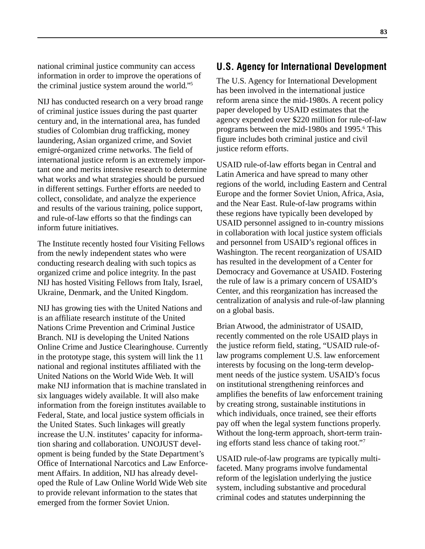national criminal justice community can access information in order to improve the operations of the criminal justice system around the world."5

NIJ has conducted research on a very broad range of criminal justice issues during the past quarter century and, in the international area, has funded studies of Colombian drug trafficking, money laundering, Asian organized crime, and Soviet emigré-organized crime networks. The field of international justice reform is an extremely important one and merits intensive research to determine what works and what strategies should be pursued in different settings. Further efforts are needed to collect, consolidate, and analyze the experience and results of the various training, police support, and rule-of-law efforts so that the findings can inform future initiatives.

The Institute recently hosted four Visiting Fellows from the newly independent states who were conducting research dealing with such topics as organized crime and police integrity. In the past NIJ has hosted Visiting Fellows from Italy, Israel, Ukraine, Denmark, and the United Kingdom.

NIJ has growing ties with the United Nations and is an affiliate research institute of the United Nations Crime Prevention and Criminal Justice Branch. NIJ is developing the United Nations Online Crime and Justice Clearinghouse. Currently in the prototype stage, this system will link the 11 national and regional institutes affiliated with the United Nations on the World Wide Web. It will make NIJ information that is machine translated in six languages widely available. It will also make information from the foreign institutes available to Federal, State, and local justice system officials in the United States. Such linkages will greatly increase the U.N. institutes' capacity for information sharing and collaboration. UNOJUST development is being funded by the State Department's Office of International Narcotics and Law Enforcement Affairs. In addition, NIJ has already developed the Rule of Law Online World Wide Web site to provide relevant information to the states that emerged from the former Soviet Union.

# **U.S. Agency for International Development**

The U.S. Agency for International Development has been involved in the international justice reform arena since the mid-1980s. A recent policy paper developed by USAID estimates that the agency expended over \$220 million for rule-of-law programs between the mid-1980s and 1995.<sup>6</sup> This figure includes both criminal justice and civil justice reform efforts.

USAID rule-of-law efforts began in Central and Latin America and have spread to many other regions of the world, including Eastern and Central Europe and the former Soviet Union, Africa, Asia, and the Near East. Rule-of-law programs within these regions have typically been developed by USAID personnel assigned to in-country missions in collaboration with local justice system officials and personnel from USAID's regional offices in Washington. The recent reorganization of USAID has resulted in the development of a Center for Democracy and Governance at USAID. Fostering the rule of law is a primary concern of USAID's Center, and this reorganization has increased the centralization of analysis and rule-of-law planning on a global basis.

Brian Atwood, the administrator of USAID, recently commented on the role USAID plays in the justice reform field, stating, "USAID rule-oflaw programs complement U.S. law enforcement interests by focusing on the long-term development needs of the justice system. USAID's focus on institutional strengthening reinforces and amplifies the benefits of law enforcement training by creating strong, sustainable institutions in which individuals, once trained, see their efforts pay off when the legal system functions properly. Without the long-term approach, short-term training efforts stand less chance of taking root."7

USAID rule-of-law programs are typically multifaceted. Many programs involve fundamental reform of the legislation underlying the justice system, including substantive and procedural criminal codes and statutes underpinning the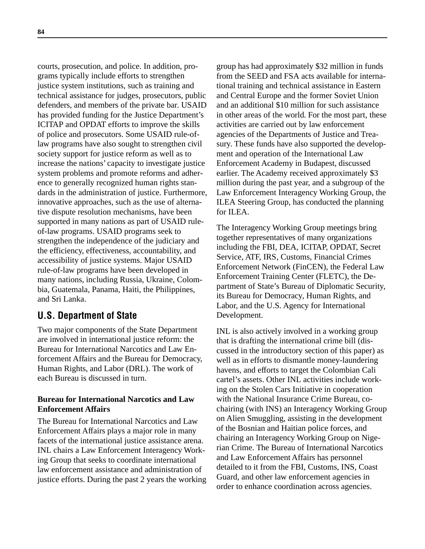courts, prosecution, and police. In addition, programs typically include efforts to strengthen justice system institutions, such as training and technical assistance for judges, prosecutors, public defenders, and members of the private bar. USAID has provided funding for the Justice Department's ICITAP and OPDAT efforts to improve the skills of police and prosecutors. Some USAID rule-oflaw programs have also sought to strengthen civil society support for justice reform as well as to increase the nations' capacity to investigate justice system problems and promote reforms and adherence to generally recognized human rights standards in the administration of justice. Furthermore, innovative approaches, such as the use of alternative dispute resolution mechanisms, have been supported in many nations as part of USAID ruleof-law programs. USAID programs seek to strengthen the independence of the judiciary and the efficiency, effectiveness, accountability, and accessibility of justice systems. Major USAID rule-of-law programs have been developed in many nations, including Russia, Ukraine, Colombia, Guatemala, Panama, Haiti, the Philippines, and Sri Lanka.

# **U.S. Department of State**

Two major components of the State Department are involved in international justice reform: the Bureau for International Narcotics and Law Enforcement Affairs and the Bureau for Democracy, Human Rights, and Labor (DRL). The work of each Bureau is discussed in turn.

## **Bureau for International Narcotics and Law Enforcement Affairs**

The Bureau for International Narcotics and Law Enforcement Affairs plays a major role in many facets of the international justice assistance arena. INL chairs a Law Enforcement Interagency Working Group that seeks to coordinate international law enforcement assistance and administration of justice efforts. During the past 2 years the working

group has had approximately \$32 million in funds from the SEED and FSA acts available for international training and technical assistance in Eastern and Central Europe and the former Soviet Union and an additional \$10 million for such assistance in other areas of the world. For the most part, these activities are carried out by law enforcement agencies of the Departments of Justice and Treasury. These funds have also supported the development and operation of the International Law Enforcement Academy in Budapest, discussed earlier. The Academy received approximately \$3 million during the past year, and a subgroup of the Law Enforcement Interagency Working Group, the ILEA Steering Group, has conducted the planning for ILEA.

The Interagency Working Group meetings bring together representatives of many organizations including the FBI, DEA, ICITAP, OPDAT, Secret Service, ATF, IRS, Customs, Financial Crimes Enforcement Network (FinCEN), the Federal Law Enforcement Training Center (FLETC), the Department of State's Bureau of Diplomatic Security, its Bureau for Democracy, Human Rights, and Labor, and the U.S. Agency for International Development.

INL is also actively involved in a working group that is drafting the international crime bill (discussed in the introductory section of this paper) as well as in efforts to dismantle money-laundering havens, and efforts to target the Colombian Cali cartel's assets. Other INL activities include working on the Stolen Cars Initiative in cooperation with the National Insurance Crime Bureau, cochairing (with INS) an Interagency Working Group on Alien Smuggling, assisting in the development of the Bosnian and Haitian police forces, and chairing an Interagency Working Group on Nigerian Crime. The Bureau of International Narcotics and Law Enforcement Affairs has personnel detailed to it from the FBI, Customs, INS, Coast Guard, and other law enforcement agencies in order to enhance coordination across agencies.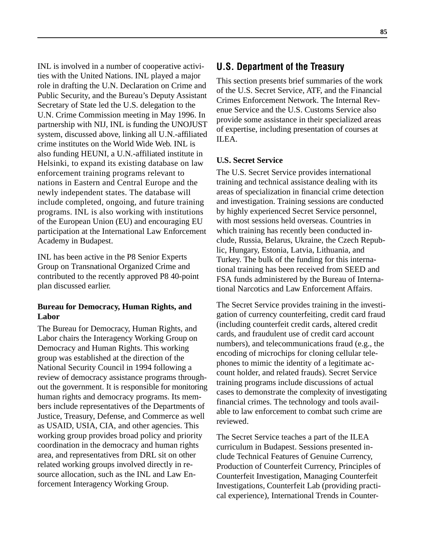INL is involved in a number of cooperative activities with the United Nations. INL played a major role in drafting the U.N. Declaration on Crime and Public Security, and the Bureau's Deputy Assistant Secretary of State led the U.S. delegation to the U.N. Crime Commission meeting in May 1996. In partnership with NIJ, INL is funding the UNOJUST system, discussed above, linking all U.N.-affiliated crime institutes on the World Wide Web. INL is also funding HEUNI, a U.N.-affiliated institute in Helsinki, to expand its existing database on law enforcement training programs relevant to nations in Eastern and Central Europe and the newly independent states. The database will include completed, ongoing, and future training programs. INL is also working with institutions of the European Union (EU) and encouraging EU participation at the International Law Enforcement Academy in Budapest.

INL has been active in the P8 Senior Experts Group on Transnational Organized Crime and contributed to the recently approved P8 40-point plan discussed earlier.

### **Bureau for Democracy, Human Rights, and Labor**

The Bureau for Democracy, Human Rights, and Labor chairs the Interagency Working Group on Democracy and Human Rights. This working group was established at the direction of the National Security Council in 1994 following a review of democracy assistance programs throughout the government. It is responsible for monitoring human rights and democracy programs. Its members include representatives of the Departments of Justice, Treasury, Defense, and Commerce as well as USAID, USIA, CIA, and other agencies. This working group provides broad policy and priority coordination in the democracy and human rights area, and representatives from DRL sit on other related working groups involved directly in resource allocation, such as the INL and Law Enforcement Interagency Working Group.

# **U.S. Department of the Treasury**

This section presents brief summaries of the work of the U.S. Secret Service, ATF, and the Financial Crimes Enforcement Network. The Internal Revenue Service and the U.S. Customs Service also provide some assistance in their specialized areas of expertise, including presentation of courses at ILEA.

### **U.S. Secret Service**

The U.S. Secret Service provides international training and technical assistance dealing with its areas of specialization in financial crime detection and investigation. Training sessions are conducted by highly experienced Secret Service personnel, with most sessions held overseas. Countries in which training has recently been conducted include, Russia, Belarus, Ukraine, the Czech Republic, Hungary, Estonia, Latvia, Lithuania, and Turkey. The bulk of the funding for this international training has been received from SEED and FSA funds administered by the Bureau of International Narcotics and Law Enforcement Affairs.

The Secret Service provides training in the investigation of currency counterfeiting, credit card fraud (including counterfeit credit cards, altered credit cards, and fraudulent use of credit card account numbers), and telecommunications fraud (e.g., the encoding of microchips for cloning cellular telephones to mimic the identity of a legitimate account holder, and related frauds). Secret Service training programs include discussions of actual cases to demonstrate the complexity of investigating financial crimes. The technology and tools available to law enforcement to combat such crime are reviewed.

The Secret Service teaches a part of the ILEA curriculum in Budapest. Sessions presented include Technical Features of Genuine Currency, Production of Counterfeit Currency, Principles of Counterfeit Investigation, Managing Counterfeit Investigations, Counterfeit Lab (providing practical experience), International Trends in Counter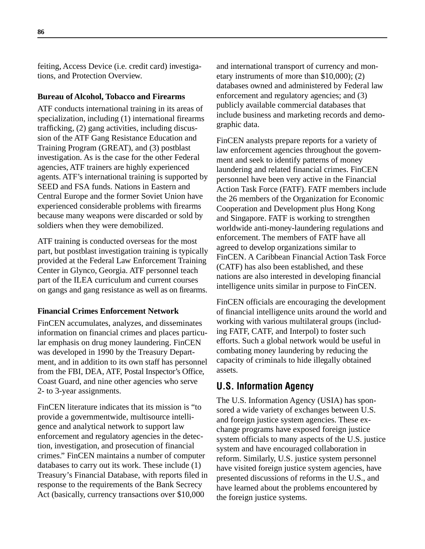feiting, Access Device (i.e. credit card) investigations, and Protection Overview.

#### **Bureau of Alcohol, Tobacco and Firearms**

ATF conducts international training in its areas of specialization, including (1) international firearms trafficking, (2) gang activities, including discussion of the ATF Gang Resistance Education and Training Program (GREAT), and (3) postblast investigation. As is the case for the other Federal agencies, ATF trainers are highly experienced agents. ATF's international training is supported by SEED and FSA funds. Nations in Eastern and Central Europe and the former Soviet Union have experienced considerable problems with firearms because many weapons were discarded or sold by soldiers when they were demobilized.

ATF training is conducted overseas for the most part, but postblast investigation training is typically provided at the Federal Law Enforcement Training Center in Glynco, Georgia. ATF personnel teach part of the ILEA curriculum and current courses on gangs and gang resistance as well as on firearms.

### **Financial Crimes Enforcement Network**

FinCEN accumulates, analyzes, and disseminates information on financial crimes and places particular emphasis on drug money laundering. FinCEN was developed in 1990 by the Treasury Department, and in addition to its own staff has personnel from the FBI, DEA, ATF, Postal Inspector's Office, Coast Guard, and nine other agencies who serve 2- to 3-year assignments.

FinCEN literature indicates that its mission is "to provide a governmentwide, multisource intelligence and analytical network to support law enforcement and regulatory agencies in the detection, investigation, and prosecution of financial crimes." FinCEN maintains a number of computer databases to carry out its work. These include (1) Treasury's Financial Database, with reports filed in response to the requirements of the Bank Secrecy Act (basically, currency transactions over \$10,000

and international transport of currency and monetary instruments of more than \$10,000); (2) databases owned and administered by Federal law enforcement and regulatory agencies; and (3) publicly available commercial databases that include business and marketing records and demographic data.

FinCEN analysts prepare reports for a variety of law enforcement agencies throughout the government and seek to identify patterns of money laundering and related financial crimes. FinCEN personnel have been very active in the Financial Action Task Force (FATF). FATF members include the 26 members of the Organization for Economic Cooperation and Development plus Hong Kong and Singapore. FATF is working to strengthen worldwide anti-money-laundering regulations and enforcement. The members of FATF have all agreed to develop organizations similar to FinCEN. A Caribbean Financial Action Task Force (CATF) has also been established, and these nations are also interested in developing financial intelligence units similar in purpose to FinCEN.

FinCEN officials are encouraging the development of financial intelligence units around the world and working with various multilateral groups (including FATF, CATF, and Interpol) to foster such efforts. Such a global network would be useful in combating money laundering by reducing the capacity of criminals to hide illegally obtained assets.

# **U.S. Information Agency**

The U.S. Information Agency (USIA) has sponsored a wide variety of exchanges between U.S. and foreign justice system agencies. These exchange programs have exposed foreign justice system officials to many aspects of the U.S. justice system and have encouraged collaboration in reform. Similarly, U.S. justice system personnel have visited foreign justice system agencies, have presented discussions of reforms in the U.S., and have learned about the problems encountered by the foreign justice systems.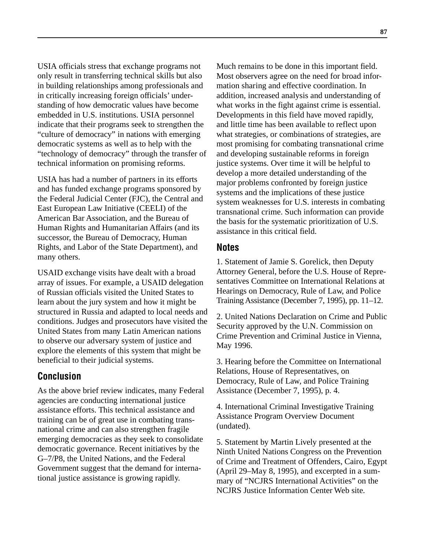USIA officials stress that exchange programs not only result in transferring technical skills but also in building relationships among professionals and in critically increasing foreign officials' understanding of how democratic values have become embedded in U.S. institutions. USIA personnel indicate that their programs seek to strengthen the "culture of democracy" in nations with emerging democratic systems as well as to help with the "technology of democracy" through the transfer of technical information on promising reforms.

USIA has had a number of partners in its efforts and has funded exchange programs sponsored by the Federal Judicial Center (FJC), the Central and East European Law Initiative (CEELI) of the American Bar Association, and the Bureau of Human Rights and Humanitarian Affairs (and its successor, the Bureau of Democracy, Human Rights, and Labor of the State Department), and many others.

USAID exchange visits have dealt with a broad array of issues. For example, a USAID delegation of Russian officials visited the United States to learn about the jury system and how it might be structured in Russia and adapted to local needs and conditions. Judges and prosecutors have visited the United States from many Latin American nations to observe our adversary system of justice and explore the elements of this system that might be beneficial to their judicial systems.

# **Conclusion**

As the above brief review indicates, many Federal agencies are conducting international justice assistance efforts. This technical assistance and training can be of great use in combating transnational crime and can also strengthen fragile emerging democracies as they seek to consolidate democratic governance. Recent initiatives by the G–7/P8, the United Nations, and the Federal Government suggest that the demand for international justice assistance is growing rapidly.

Much remains to be done in this important field. Most observers agree on the need for broad information sharing and effective coordination. In addition, increased analysis and understanding of what works in the fight against crime is essential. Developments in this field have moved rapidly, and little time has been available to reflect upon what strategies, or combinations of strategies, are most promising for combating transnational crime and developing sustainable reforms in foreign justice systems. Over time it will be helpful to develop a more detailed understanding of the major problems confronted by foreign justice systems and the implications of these justice system weaknesses for U.S. interests in combating transnational crime. Such information can provide the basis for the systematic prioritization of U.S. assistance in this critical field.

## **Notes**

1. Statement of Jamie S. Gorelick, then Deputy Attorney General, before the U.S. House of Representatives Committee on International Relations at Hearings on Democracy, Rule of Law, and Police Training Assistance (December 7, 1995), pp. 11–12.

2. United Nations Declaration on Crime and Public Security approved by the U.N. Commission on Crime Prevention and Criminal Justice in Vienna, May 1996.

3. Hearing before the Committee on International Relations, House of Representatives, on Democracy, Rule of Law, and Police Training Assistance (December 7, 1995), p. 4.

4. International Criminal Investigative Training Assistance Program Overview Document (undated).

5. Statement by Martin Lively presented at the Ninth United Nations Congress on the Prevention of Crime and Treatment of Offenders, Cairo, Egypt (April 29–May 8, 1995), and excerpted in a summary of "NCJRS International Activities" on the NCJRS Justice Information Center Web site.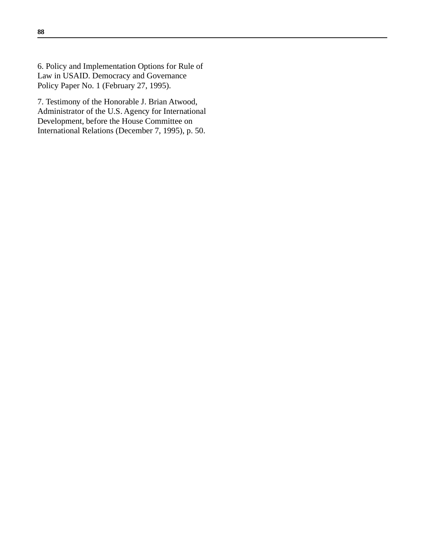6. Policy and Implementation Options for Rule of Law in USAID. Democracy and Governance Policy Paper No. 1 (February 27, 1995).

7. Testimony of the Honorable J. Brian Atwood, Administrator of the U.S. Agency for International Development, before the House Committee on International Relations (December 7, 1995), p. 50.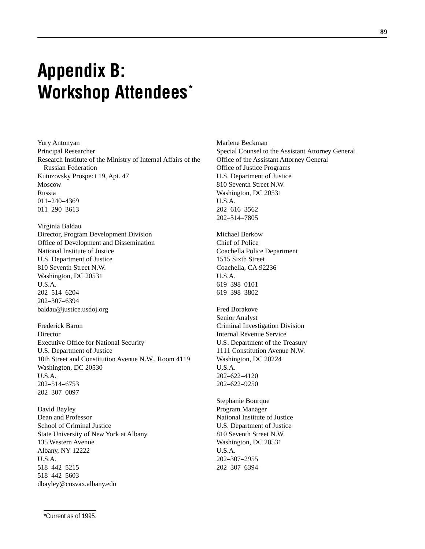# **Appendix B: Workshop Attendees\***

Yury Antonyan Principal Researcher Research Institute of the Ministry of Internal Affairs of the Russian Federation Kutuzovsky Prospect 19, Apt. 47 Moscow Russia 011–240–4369 011–290–3613

Virginia Baldau Director, Program Development Division Office of Development and Dissemination National Institute of Justice U.S. Department of Justice 810 Seventh Street N.W. Washington, DC 20531 U.S.A. 202–514–6204 202–307–6394 baldau@justice.usdoj.org

Frederick Baron Director Executive Office for National Security U.S. Department of Justice 10th Street and Constitution Avenue N.W., Room 4119 Washington, DC 20530 U.S.A. 202–514–6753 202–307–0097

David Bayley Dean and Professor School of Criminal Justice State University of New York at Albany 135 Western Avenue Albany, NY 12222 U.S.A. 518–442–5215 518–442–5603 dbayley@cnsvax.albany.edu

Marlene Beckman Special Counsel to the Assistant Attorney General Office of the Assistant Attorney General Office of Justice Programs U.S. Department of Justice 810 Seventh Street N.W. Washington, DC 20531 U.S.A. 202–616–3562 202–514–7805

Michael Berkow Chief of Police Coachella Police Department 1515 Sixth Street Coachella, CA 92236 U.S.A. 619–398–0101 619–398–3802

Fred Borakove Senior Analyst Criminal Investigation Division Internal Revenue Service U.S. Department of the Treasury 1111 Constitution Avenue N.W. Washington, DC 20224 U.S.A. 202–622–4120 202–622–9250

Stephanie Bourque Program Manager National Institute of Justice U.S. Department of Justice 810 Seventh Street N.W. Washington, DC 20531 U.S.A. 202–307–2955 202–307–6394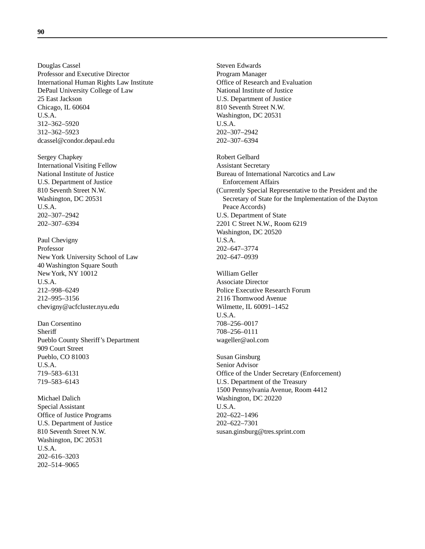Douglas Cassel Professor and Executive Director International Human Rights Law Institute DePaul University College of Law 25 East Jackson Chicago, IL 60604 U.S.A. 312–362–5920 312–362–5923 dcassel@condor.depaul.edu

Sergey Chapkey International Visiting Fellow National Institute of Justice U.S. Department of Justice 810 Seventh Street N.W. Washington, DC 20531 U.S.A. 202–307–2942 202–307–6394

Paul Chevigny Professor New York University School of Law 40 Washington Square South New York, NY 10012 U.S.A. 212–998–6249 212–995–3156 chevigny@acfcluster.nyu.edu

Dan Corsentino **Sheriff** Pueblo County Sheriff's Department 909 Court Street Pueblo, CO 81003 U.S.A. 719–583–6131 719–583–6143

Michael Dalich Special Assistant Office of Justice Programs U.S. Department of Justice 810 Seventh Street N.W. Washington, DC 20531 U.S.A. 202–616–3203 202–514–9065

Steven Edwards Program Manager Office of Research and Evaluation National Institute of Justice U.S. Department of Justice 810 Seventh Street N.W. Washington, DC 20531 U.S.A. 202–307–2942 202–307–6394

Robert Gelbard Assistant Secretary Bureau of International Narcotics and Law Enforcement Affairs (Currently Special Representative to the President and the Secretary of State for the Implementation of the Dayton Peace Accords) U.S. Department of State 2201 C Street N.W., Room 6219 Washington, DC 20520 U.S.A. 202–647–3774 202–647–0939

William Geller Associate Director Police Executive Research Forum 2116 Thornwood Avenue Wilmette, IL 60091–1452 U.S.A. 708–256–0017 708–256–0111 wageller@aol.com

Susan Ginsburg Senior Advisor Office of the Under Secretary (Enforcement) U.S. Department of the Treasury 1500 Pennsylvania Avenue, Room 4412 Washington, DC 20220 U.S.A. 202–622–1496 202–622–7301 susan.ginsburg@tres.sprint.com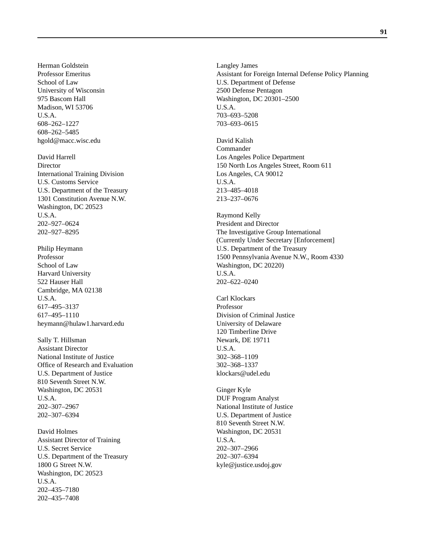Herman Goldstein Professor Emeritus School of Law University of Wisconsin 975 Bascom Hall Madison, WI 53706 U.S.A. 608–262–1227 608–262–5485 hgold@macc.wisc.edu

David Harrell **Director** International Training Division U.S. Customs Service U.S. Department of the Treasury 1301 Constitution Avenue N.W. Washington, DC 20523 U.S.A. 202–927–0624 202–927–8295

Philip Heymann Professor School of Law Harvard University 522 Hauser Hall Cambridge, MA 02138 U.S.A. 617–495–3137 617–495–1110 heymann@hulaw1.harvard.edu

Sally T. Hillsman Assistant Director National Institute of Justice Office of Research and Evaluation U.S. Department of Justice 810 Seventh Street N.W. Washington, DC 20531 U.S.A. 202–307–2967 202–307–6394

David Holmes Assistant Director of Training U.S. Secret Service U.S. Department of the Treasury 1800 G Street N.W. Washington, DC 20523 U.S.A. 202–435–7180 202–435–7408

Langley James Assistant for Foreign Internal Defense Policy Planning U.S. Department of Defense 2500 Defense Pentagon Washington, DC 20301–2500 U.S.A. 703–693–5208 703–693–0615

David Kalish Commander Los Angeles Police Department 150 North Los Angeles Street, Room 611 Los Angeles, CA 90012 U.S.A. 213–485–4018 213–237–0676

Raymond Kelly President and Director The Investigative Group International (Currently Under Secretary [Enforcement] U.S. Department of the Treasury 1500 Pennsylvania Avenue N.W., Room 4330 Washington, DC 20220) U.S.A. 202–622–0240

Carl Klockars Professor Division of Criminal Justice University of Delaware 120 Timberline Drive Newark, DE 19711 U.S.A. 302–368–1109 302–368–1337 klockars@udel.edu

Ginger Kyle DUF Program Analyst National Institute of Justice U.S. Department of Justice 810 Seventh Street N.W. Washington, DC 20531 U.S.A. 202–307–2966 202–307–6394 kyle@justice.usdoj.gov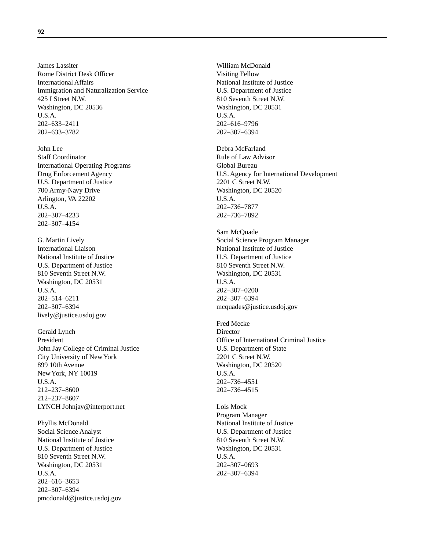James Lassiter Rome District Desk Officer International Affairs Immigration and Naturalization Service 425 I Street N.W. Washington, DC 20536 U.S.A. 202–633–2411 202–633–3782

John Lee Staff Coordinator International Operating Programs Drug Enforcement Agency U.S. Department of Justice 700 Army-Navy Drive Arlington, VA 22202 U.S.A. 202–307–4233 202–307–4154

G. Martin Lively International Liaison National Institute of Justice U.S. Department of Justice 810 Seventh Street N.W. Washington, DC 20531 U.S.A. 202–514–6211 202–307–6394 lively@justice.usdoj.gov

Gerald Lynch President John Jay College of Criminal Justice City University of New York 899 10th Avenue New York, NY 10019 U.S.A. 212–237–8600 212–237–8607 LYNCH Johnjay@interport.net

Phyllis McDonald Social Science Analyst National Institute of Justice U.S. Department of Justice 810 Seventh Street N.W. Washington, DC 20531 U.S.A. 202–616–3653 202–307–6394 pmcdonald@justice.usdoj.gov

William McDonald Visiting Fellow National Institute of Justice U.S. Department of Justice 810 Seventh Street N.W. Washington, DC 20531 U.S.A. 202–616–9796 202–307–6394

Debra McFarland Rule of Law Advisor Global Bureau U.S. Agency for International Development 2201 C Street N.W. Washington, DC 20520 U.S.A. 202–736–7877 202–736–7892

Sam McQuade Social Science Program Manager National Institute of Justice U.S. Department of Justice 810 Seventh Street N.W. Washington, DC 20531 U.S.A. 202–307–0200 202–307–6394 mcquades@justice.usdoj.gov

Fred Mecke **Director** Office of International Criminal Justice U.S. Department of State 2201 C Street N.W. Washington, DC 20520 U.S.A. 202–736–4551 202–736–4515

Lois Mock Program Manager National Institute of Justice U.S. Department of Justice 810 Seventh Street N.W. Washington, DC 20531 U.S.A. 202–307–0693 202–307–6394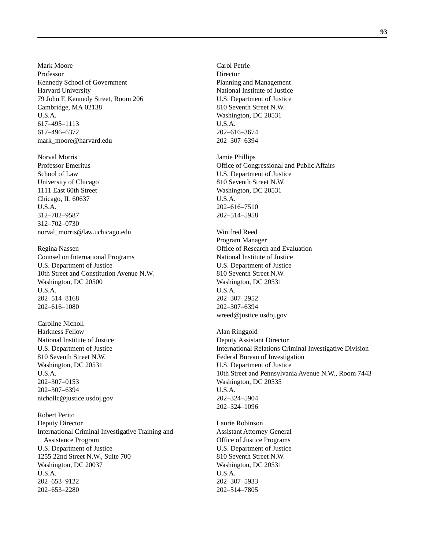Mark Moore Professor Kennedy School of Government Harvard University 79 John F. Kennedy Street, Room 206 Cambridge, MA 02138 U.S.A. 617–495–1113 617–496–6372 mark\_moore@harvard.edu

Norval Morris Professor Emeritus School of Law University of Chicago 1111 East 60th Street Chicago, IL 60637 U.S.A. 312–702–9587 312–702–0730 norval\_morris@law.uchicago.edu

Regina Nassen Counsel on International Programs U.S. Department of Justice 10th Street and Constitution Avenue N.W. Washington, DC 20500 U.S.A. 202–514–8168 202–616–1080

Caroline Nicholl Harkness Fellow National Institute of Justice U.S. Department of Justice 810 Seventh Street N.W. Washington, DC 20531 U.S.A. 202–307–0153 202–307–6394 nichollc@justice.usdoj.gov

Robert Perito Deputy Director International Criminal Investigative Training and Assistance Program U.S. Department of Justice 1255 22nd Street N.W., Suite 700 Washington, DC 20037 U.S.A. 202–653–9122 202–653–2280

Carol Petrie **Director** Planning and Management National Institute of Justice U.S. Department of Justice 810 Seventh Street N.W. Washington, DC 20531 U.S.A. 202–616–3674 202–307–6394

Jamie Phillips Office of Congressional and Public Affairs U.S. Department of Justice 810 Seventh Street N.W. Washington, DC 20531 U.S.A. 202–616–7510 202–514–5958

Winifred Reed Program Manager Office of Research and Evaluation National Institute of Justice U.S. Department of Justice 810 Seventh Street N.W. Washington, DC 20531 U.S.A. 202–307–2952 202–307–6394 wreed@justice.usdoj.gov

Alan Ringgold Deputy Assistant Director International Relations Criminal Investigative Division Federal Bureau of Investigation U.S. Department of Justice 10th Street and Pennsylvania Avenue N.W., Room 7443 Washington, DC 20535 U.S.A. 202–324–5904 202–324–1096

Laurie Robinson Assistant Attorney General Office of Justice Programs U.S. Department of Justice 810 Seventh Street N.W. Washington, DC 20531 U.S.A. 202–307–5933 202–514–7805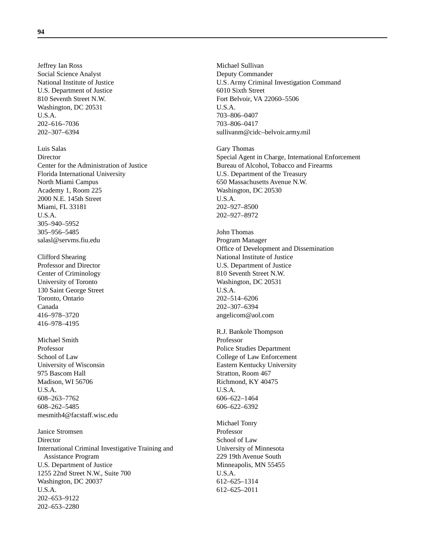Jeffrey Ian Ross Social Science Analyst National Institute of Justice U.S. Department of Justice 810 Seventh Street N.W. Washington, DC 20531 U.S.A. 202–616–7036 202–307–6394

Luis Salas **Director** Center for the Administration of Justice Florida International University North Miami Campus Academy 1, Room 225 2000 N.E. 145th Street Miami, FL 33181 U.S.A. 305–940–5952 305–956–5485 salasl@servms.fiu.edu

Clifford Shearing Professor and Director Center of Criminology University of Toronto 130 Saint George Street Toronto, Ontario Canada 416–978–3720 416–978–4195

Michael Smith Professor School of Law University of Wisconsin 975 Bascom Hall Madison, WI 56706 U.S.A. 608–263–7762 608–262–5485 mesmith4@facstaff.wisc.edu

Janice Stromsen Director International Criminal Investigative Training and Assistance Program U.S. Department of Justice 1255 22nd Street N.W., Suite 700 Washington, DC 20037 U.S.A. 202–653–9122 202–653–2280

Michael Sullivan Deputy Commander U.S. Army Criminal Investigation Command 6010 Sixth Street Fort Belvoir, VA 22060–5506 U.S.A. 703–806–0407 703–806–0417 sullivanm@cidc–belvoir.army.mil

Gary Thomas Special Agent in Charge, International Enforcement Bureau of Alcohol, Tobacco and Firearms U.S. Department of the Treasury 650 Massachusetts Avenue N.W. Washington, DC 20530 U.S.A. 202–927–8500 202–927–8972

John Thomas Program Manager Office of Development and Dissemination National Institute of Justice U.S. Department of Justice 810 Seventh Street N.W. Washington, DC 20531 U.S.A. 202–514–6206 202–307–6394 angelicom@aol.com

R.J. Bankole Thompson Professor Police Studies Department College of Law Enforcement Eastern Kentucky University Stratton, Room 467 Richmond, KY 40475 U.S.A. 606–622–1464 606–622–6392

Michael Tonry Professor School of Law University of Minnesota 229 19th Avenue South Minneapolis, MN 55455 U.S.A. 612–625–1314 612–625–2011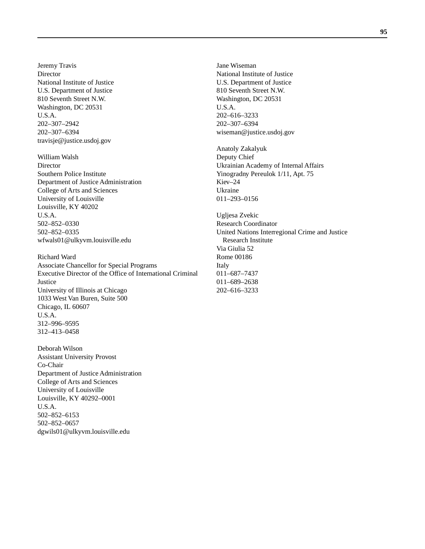Jeremy Travis **Director** National Institute of Justice U.S. Department of Justice 810 Seventh Street N.W. Washington, DC 20531 U.S.A. 202–307–2942 202–307–6394 travisje@justice.usdoj.gov

William Walsh **Director** Southern Police Institute Department of Justice Administration College of Arts and Sciences University of Louisville Louisville, KY 40202 U.S.A. 502–852–0330 502–852–0335 wfwals01@ulkyvm.louisville.edu

Richard Ward Associate Chancellor for Special Programs Executive Director of the Office of International Criminal **Justice** University of Illinois at Chicago 1033 West Van Buren, Suite 500 Chicago, IL 60607 U.S.A. 312–996–9595 312–413–0458

Deborah Wilson Assistant University Provost Co-Chair Department of Justice Administration College of Arts and Sciences University of Louisville Louisville, KY 40292–0001 U.S.A. 502–852–6153 502–852–0657 dgwils01@ulkyvm.louisville.edu

Jane Wiseman National Institute of Justice U.S. Department of Justice 810 Seventh Street N.W. Washington, DC 20531 U.S.A. 202–616–3233 202–307–6394 wiseman@justice.usdoj.gov

Anatoly Zakalyuk Deputy Chief Ukrainian Academy of Internal Affairs Yinogradny Pereulok 1/11, Apt. 75 Kiev–24 Ukraine 011–293–0156

Ugljesa Zvekic Research Coordinator United Nations Interregional Crime and Justice Research Institute Via Giulia 52 Rome 00186 Italy 011–687–7437 011–689–2638 202–616–3233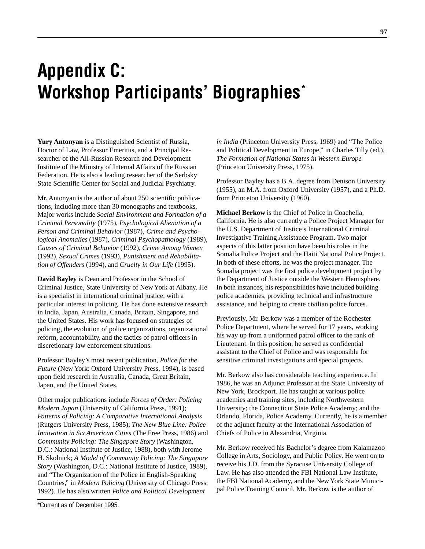# **Appendix C: Workshop Participants' Biographies\***

**Yury Antonyan** is a Distinguished Scientist of Russia, Doctor of Law, Professor Emeritus, and a Principal Researcher of the All-Russian Research and Development Institute of the Ministry of Internal Affairs of the Russian Federation. He is also a leading researcher of the Serbsky State Scientific Center for Social and Judicial Psychiatry.

Mr. Antonyan is the author of about 250 scientific publications, including more than 30 monographs and textbooks. Major works include *Social Environment and Formation of a Criminal Personality* (1975), *Psychological Alienation of a Person and Criminal Behavior* (1987), *Crime and Psychological Anomalies* (1987), *Criminal Psychopathology* (1989), *Causes of Criminal Behavior* (1992), *Crime Among Women* (1992), *Sexual Crimes* (1993), *Punishment and Rehabilitation of Offenders* (1994), and *Cruelty in Our Life* (1995).

**David Bayley** is Dean and Professor in the School of Criminal Justice, State University of New York at Albany. He is a specialist in international criminal justice, with a particular interest in policing. He has done extensive research in India, Japan, Australia, Canada, Britain, Singapore, and the United States. His work has focused on strategies of policing, the evolution of police organizations, organizational reform, accountability, and the tactics of patrol officers in discretionary law enforcement situations.

Professor Bayley's most recent publication, *Police for the Future* (New York: Oxford University Press, 1994), is based upon field research in Australia, Canada, Great Britain, Japan, and the United States.

Other major publications include *Forces of Order: Policing Modern Japan* (University of California Press, 1991); *Patterns of Policing: A Comparative International Analysis* (Rutgers University Press, 1985); *The New Blue Line: Police Innovation in Six American Cities* (The Free Press, 1986) and *Community Policing: The Singapore Story* (Washington, D.C.: National Institute of Justice, 1988), both with Jerome H. Skolnick; *A Model of Community Policing: The Singapore Story* (Washington, D.C.: National Institute of Justice, 1989), and "The Organization of the Police in English-Speaking Countries," in *Modern Policing* (University of Chicago Press, 1992). He has also written *Police and Political Development*

*in India* (Princeton University Press, 1969) and "The Police and Political Development in Europe," in Charles Tilly (ed.), *The Formation of National States in Western Europe* (Princeton University Press, 1975).

Professor Bayley has a B.A. degree from Denison University (1955), an M.A. from Oxford University (1957), and a Ph.D. from Princeton University (1960).

**Michael Berkow** is the Chief of Police in Coachella, California. He is also currently a Police Project Manager for the U.S. Department of Justice's International Criminal Investigative Training Assistance Program. Two major aspects of this latter position have been his roles in the Somalia Police Project and the Haiti National Police Project. In both of these efforts, he was the project manager. The Somalia project was the first police development project by the Department of Justice outside the Western Hemisphere. In both instances, his responsibilities have included building police academies, providing technical and infrastructure assistance, and helping to create civilian police forces.

Previously, Mr. Berkow was a member of the Rochester Police Department, where he served for 17 years, working his way up from a uniformed patrol officer to the rank of Lieutenant. In this position, he served as confidential assistant to the Chief of Police and was responsible for sensitive criminal investigations and special projects.

Mr. Berkow also has considerable teaching experience. In 1986, he was an Adjunct Professor at the State University of New York, Brockport. He has taught at various police academies and training sites, including Northwestern University; the Connecticut State Police Academy; and the Orlando, Florida, Police Academy. Currently, he is a member of the adjunct faculty at the International Association of Chiefs of Police in Alexandria, Virginia.

Mr. Berkow received his Bachelor's degree from Kalamazoo College in Arts, Sociology, and Public Policy. He went on to receive his J.D. from the Syracuse University College of Law. He has also attended the FBI National Law Institute, the FBI National Academy, and the New York State Municipal Police Training Council. Mr. Berkow is the author of

<sup>\*</sup>Current as of December 1995.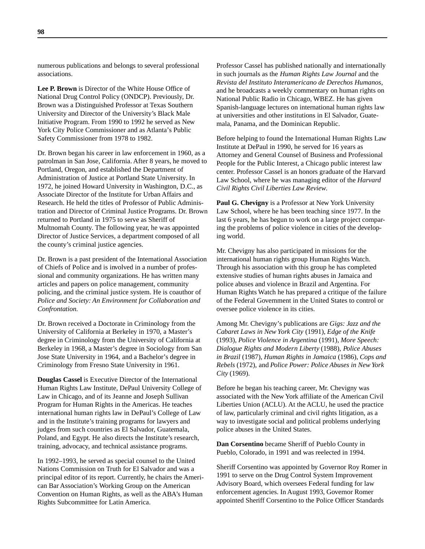numerous publications and belongs to several professional associations.

**Lee P. Brown** is Director of the White House Office of National Drug Control Policy (ONDCP). Previously, Dr. Brown was a Distinguished Professor at Texas Southern University and Director of the University's Black Male Initiative Program. From 1990 to 1992 he served as New York City Police Commissioner and as Atlanta's Public Safety Commissioner from 1978 to 1982.

Dr. Brown began his career in law enforcement in 1960, as a patrolman in San Jose, California. After 8 years, he moved to Portland, Oregon, and established the Department of Administration of Justice at Portland State University. In 1972, he joined Howard University in Washington, D.C., as Associate Director of the Institute for Urban Affairs and Research. He held the titles of Professor of Public Administration and Director of Criminal Justice Programs. Dr. Brown returned to Portland in 1975 to serve as Sheriff of Multnomah County. The following year, he was appointed Director of Justice Services, a department composed of all the county's criminal justice agencies.

Dr. Brown is a past president of the International Association of Chiefs of Police and is involved in a number of professional and community organizations. He has written many articles and papers on police management, community policing, and the criminal justice system. He is coauthor of *Police and Society: An Environment for Collaboration and Confrontation.*

Dr. Brown received a Doctorate in Criminology from the University of California at Berkeley in 1970, a Master's degree in Criminology from the University of California at Berkeley in 1968, a Master's degree in Sociology from San Jose State University in 1964, and a Bachelor's degree in Criminology from Fresno State University in 1961.

**Douglas Cassel** is Executive Director of the International Human Rights Law Institute, DePaul University College of Law in Chicago, and of its Jeanne and Joseph Sullivan Program for Human Rights in the Americas. He teaches international human rights law in DePaul's College of Law and in the Institute's training programs for lawyers and judges from such countries as El Salvador, Guatemala, Poland, and Egypt. He also directs the Institute's research, training, advocacy, and technical assistance programs.

In 1992–1993, he served as special counsel to the United Nations Commission on Truth for El Salvador and was a principal editor of its report. Currently, he chairs the American Bar Association's Working Group on the American Convention on Human Rights, as well as the ABA's Human Rights Subcommittee for Latin America.

Professor Cassel has published nationally and internationally in such journals as the *Human Rights Law Journal* and the *Revista del Instituto Interamericano de Derechos Humanos*, and he broadcasts a weekly commentary on human rights on National Public Radio in Chicago, WBEZ. He has given Spanish-language lectures on international human rights law at universities and other institutions in El Salvador, Guatemala, Panama, and the Dominican Republic.

Before helping to found the International Human Rights Law Institute at DePaul in 1990, he served for 16 years as Attorney and General Counsel of Business and Professional People for the Public Interest, a Chicago public interest law center. Professor Cassel is an honors graduate of the Harvard Law School, where he was managing editor of the *Harvard Civil Rights Civil Liberties Law Review*.

**Paul G. Chevigny** is a Professor at New York University Law School, where he has been teaching since 1977. In the last 6 years, he has begun to work on a large project comparing the problems of police violence in cities of the developing world.

Mr. Chevigny has also participated in missions for the international human rights group Human Rights Watch. Through his association with this group he has completed extensive studies of human rights abuses in Jamaica and police abuses and violence in Brazil and Argentina. For Human Rights Watch he has prepared a critique of the failure of the Federal Government in the United States to control or oversee police violence in its cities.

Among Mr. Chevigny's publications are *Gigs: Jazz and the Cabaret Laws in New York City* (1991), *Edge of the Knife* (1993), *Police Violence in Argentina* (1991), *More Speech: Dialogue Rights and Modern Liberty* (1988), *Police Abuses in Brazil* (1987), *Human Rights in Jamaica* (1986), *Cops and Rebels* (1972), and *Police Power: Police Abuses in New York City* (1969).

Before he began his teaching career, Mr. Chevigny was associated with the New York affiliate of the American Civil Liberties Union (ACLU). At the ACLU, he used the practice of law, particularly criminal and civil rights litigation, as a way to investigate social and political problems underlying police abuses in the United States.

**Dan Corsentino** became Sheriff of Pueblo County in Pueblo, Colorado, in 1991 and was reelected in 1994.

Sheriff Corsentino was appointed by Governor Roy Romer in 1991 to serve on the Drug Control System Improvement Advisory Board, which oversees Federal funding for law enforcement agencies. In August 1993, Governor Romer appointed Sheriff Corsentino to the Police Officer Standards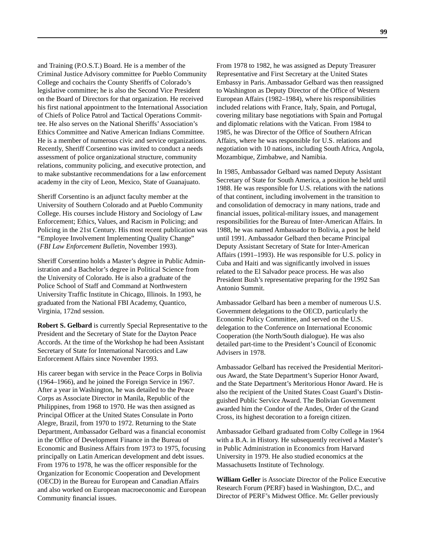and Training (P.O.S.T.) Board. He is a member of the Criminal Justice Advisory committee for Pueblo Community College and cochairs the County Sheriffs of Colorado's legislative committee; he is also the Second Vice President on the Board of Directors for that organization. He received his first national appointment to the International Association of Chiefs of Police Patrol and Tactical Operations Committee. He also serves on the National Sheriffs' Association's Ethics Committee and Native American Indians Committee. He is a member of numerous civic and service organizations. Recently, Sheriff Corsentino was invited to conduct a needs assessment of police organizational structure, community relations, community policing, and executive protection, and to make substantive recommendations for a law enforcement academy in the city of Leon, Mexico, State of Guanajuato.

Sheriff Corsentino is an adjunct faculty member at the University of Southern Colorado and at Pueblo Community College. His courses include History and Sociology of Law Enforcement; Ethics, Values, and Racism in Policing; and Policing in the 21st Century. His most recent publication was "Employee Involvement Implementing Quality Change" (*FBI Law Enforcement Bulletin*, November 1993).

Sheriff Corsentino holds a Master's degree in Public Administration and a Bachelor's degree in Political Science from the University of Colorado. He is also a graduate of the Police School of Staff and Command at Northwestern University Traffic Institute in Chicago, Illinois. In 1993, he graduated from the National FBI Academy, Quantico, Virginia, 172nd session.

**Robert S. Gelbard** is currently Special Representative to the President and the Secretary of State for the Dayton Peace Accords. At the time of the Workshop he had been Assistant Secretary of State for International Narcotics and Law Enforcement Affairs since November 1993.

His career began with service in the Peace Corps in Bolivia (1964–1966), and he joined the Foreign Service in 1967. After a year in Washington, he was detailed to the Peace Corps as Associate Director in Manila, Republic of the Philippines, from 1968 to 1970. He was then assigned as Principal Officer at the United States Consulate in Porto Alegre, Brazil, from 1970 to 1972. Returning to the State Department, Ambassador Gelbard was a financial economist in the Office of Development Finance in the Bureau of Economic and Business Affairs from 1973 to 1975, focusing principally on Latin American development and debt issues. From 1976 to 1978, he was the officer responsible for the Organization for Economic Cooperation and Development (OECD) in the Bureau for European and Canadian Affairs and also worked on European macroeconomic and European Community financial issues.

From 1978 to 1982, he was assigned as Deputy Treasurer Representative and First Secretary at the United States Embassy in Paris. Ambassador Gelbard was then reassigned to Washington as Deputy Director of the Office of Western European Affairs (1982–1984), where his responsibilities included relations with France, Italy, Spain, and Portugal, covering military base negotiations with Spain and Portugal and diplomatic relations with the Vatican. From 1984 to 1985, he was Director of the Office of Southern African Affairs, where he was responsible for U.S. relations and negotiation with 10 nations, including South Africa, Angola, Mozambique, Zimbabwe, and Namibia.

In 1985, Ambassador Gelbard was named Deputy Assistant Secretary of State for South America, a position he held until 1988. He was responsible for U.S. relations with the nations of that continent, including involvement in the transition to and consolidation of democracy in many nations, trade and financial issues, political-military issues, and management responsibilities for the Bureau of Inter-American Affairs. In 1988, he was named Ambassador to Bolivia, a post he held until 1991. Ambassador Gelbard then became Principal Deputy Assistant Secretary of State for Inter-American Affairs (1991–1993). He was responsible for U.S. policy in Cuba and Haiti and was significantly involved in issues related to the El Salvador peace process. He was also President Bush's representative preparing for the 1992 San Antonio Summit.

Ambassador Gelbard has been a member of numerous U.S. Government delegations to the OECD, particularly the Economic Policy Committee, and served on the U.S. delegation to the Conference on International Economic Cooperation (the North/South dialogue). He was also detailed part-time to the President's Council of Economic Advisers in 1978.

Ambassador Gelbard has received the Presidential Meritorious Award, the State Department's Superior Honor Award, and the State Department's Meritorious Honor Award. He is also the recipient of the United States Coast Guard's Distinguished Public Service Award. The Bolivian Government awarded him the Condor of the Andes, Order of the Grand Cross, its highest decoration to a foreign citizen.

Ambassador Gelbard graduated from Colby College in 1964 with a B.A. in History. He subsequently received a Master's in Public Administration in Economics from Harvard University in 1979. He also studied economics at the Massachusetts Institute of Technology.

**William Geller** is Associate Director of the Police Executive Research Forum (PERF) based in Washington, D.C., and Director of PERF's Midwest Office. Mr. Geller previously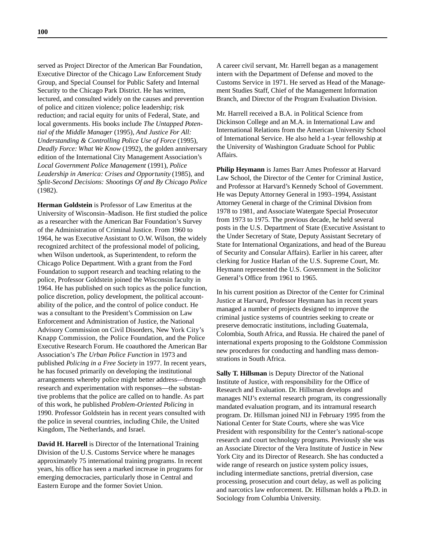served as Project Director of the American Bar Foundation, Executive Director of the Chicago Law Enforcement Study Group, and Special Counsel for Public Safety and Internal Security to the Chicago Park District. He has written, lectured, and consulted widely on the causes and prevention of police and citizen violence; police leadership; risk reduction; and racial equity for units of Federal, State, and local governments. His books include *The Untapped Potential of the Middle Manager* (1995), *And Justice For All: Understanding & Controlling Police Use of Force* (1995), *Deadly Force: What We Know* (1992), the golden anniversary edition of the International City Management Association's *Local Government Police Management* (1991), *Police Leadership in America: Crises and Opportunity* (1985), and *Split-Second Decisions: Shootings Of and By Chicago Police* (1982).

**Herman Goldstein** is Professor of Law Emeritus at the University of Wisconsin–Madison. He first studied the police as a researcher with the American Bar Foundation's Survey of the Administration of Criminal Justice. From 1960 to 1964, he was Executive Assistant to O.W. Wilson, the widely recognized architect of the professional model of policing, when Wilson undertook, as Superintendent, to reform the Chicago Police Department. With a grant from the Ford Foundation to support research and teaching relating to the police, Professor Goldstein joined the Wisconsin faculty in 1964. He has published on such topics as the police function, police discretion, policy development, the political accountability of the police, and the control of police conduct. He was a consultant to the President's Commission on Law Enforcement and Administration of Justice, the National Advisory Commission on Civil Disorders, New York City's Knapp Commission, the Police Foundation, and the Police Executive Research Forum. He coauthored the American Bar Association's *The Urban Police Function* in 1973 and published *Policing in a Free Society* in 1977. In recent years, he has focused primarily on developing the institutional arrangements whereby police might better address—through research and experimentation with responses—the substantive problems that the police are called on to handle. As part of this work, he published *Problem-Oriented Policing* in 1990. Professor Goldstein has in recent years consulted with the police in several countries, including Chile, the United Kingdom, The Netherlands, and Israel.

**David H. Harrell** is Director of the International Training Division of the U.S. Customs Service where he manages approximately 75 international training programs. In recent years, his office has seen a marked increase in programs for emerging democracies, particularly those in Central and Eastern Europe and the former Soviet Union.

A career civil servant, Mr. Harrell began as a management intern with the Department of Defense and moved to the Customs Service in 1971. He served as Head of the Management Studies Staff, Chief of the Management Information Branch, and Director of the Program Evaluation Division.

Mr. Harrell received a B.A. in Political Science from Dickinson College and an M.A. in International Law and International Relations from the American University School of International Service. He also held a 1-year fellowship at the University of Washington Graduate School for Public Affairs.

**Philip Heymann** is James Barr Ames Professor at Harvard Law School, the Director of the Center for Criminal Justice, and Professor at Harvard's Kennedy School of Government. He was Deputy Attorney General in 1993–1994, Assistant Attorney General in charge of the Criminal Division from 1978 to 1981, and Associate Watergate Special Prosecutor from 1973 to 1975. The previous decade, he held several posts in the U.S. Department of State (Executive Assistant to the Under Secretary of State, Deputy Assistant Secretary of State for International Organizations, and head of the Bureau of Security and Consular Affairs). Earlier in his career, after clerking for Justice Harlan of the U.S. Supreme Court, Mr. Heymann represented the U.S. Government in the Solicitor General's Office from 1961 to 1965.

In his current position as Director of the Center for Criminal Justice at Harvard, Professor Heymann has in recent years managed a number of projects designed to improve the criminal justice systems of countries seeking to create or preserve democratic institutions, including Guatemala, Colombia, South Africa, and Russia. He chaired the panel of international experts proposing to the Goldstone Commission new procedures for conducting and handling mass demonstrations in South Africa.

**Sally T. Hillsman** is Deputy Director of the National Institute of Justice, with responsibility for the Office of Research and Evaluation. Dr. Hillsman develops and manages NIJ's external research program, its congressionally mandated evaluation program, and its intramural research program. Dr. Hillsman joined NIJ in February 1995 from the National Center for State Courts, where she was Vice President with responsibility for the Center's national-scope research and court technology programs. Previously she was an Associate Director of the Vera Institute of Justice in New York City and its Director of Research. She has conducted a wide range of research on justice system policy issues, including intermediate sanctions, pretrial diversion, case processing, prosecution and court delay, as well as policing and narcotics law enforcement. Dr. Hillsman holds a Ph.D. in Sociology from Columbia University.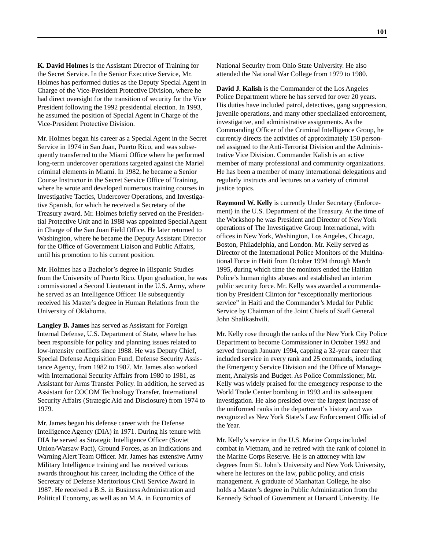**K. David Holmes** is the Assistant Director of Training for the Secret Service. In the Senior Executive Service, Mr. Holmes has performed duties as the Deputy Special Agent in Charge of the Vice-President Protective Division, where he had direct oversight for the transition of security for the Vice President following the 1992 presidential election. In 1993, he assumed the position of Special Agent in Charge of the Vice-President Protective Division.

Mr. Holmes began his career as a Special Agent in the Secret Service in 1974 in San Juan, Puerto Rico, and was subsequently transferred to the Miami Office where he performed long-term undercover operations targeted against the Mariel criminal elements in Miami. In 1982, he became a Senior Course Instructor in the Secret Service Office of Training, where he wrote and developed numerous training courses in Investigative Tactics, Undercover Operations, and Investigative Spanish, for which he received a Secretary of the Treasury award. Mr. Holmes briefly served on the Presidential Protective Unit and in 1988 was appointed Special Agent in Charge of the San Juan Field Office. He later returned to Washington, where he became the Deputy Assistant Director for the Office of Government Liaison and Public Affairs, until his promotion to his current position.

Mr. Holmes has a Bachelor's degree in Hispanic Studies from the University of Puerto Rico. Upon graduation, he was commissioned a Second Lieutenant in the U.S. Army, where he served as an Intelligence Officer. He subsequently received his Master's degree in Human Relations from the University of Oklahoma.

**Langley B. James** has served as Assistant for Foreign Internal Defense, U.S. Department of State, where he has been responsible for policy and planning issues related to low-intensity conflicts since 1988. He was Deputy Chief, Special Defense Acquisition Fund, Defense Security Assistance Agency, from 1982 to 1987. Mr. James also worked with International Security Affairs from 1980 to 1981, as Assistant for Arms Transfer Policy. In addition, he served as Assistant for COCOM Technology Transfer, International Security Affairs (Strategic Aid and Disclosure) from 1974 to 1979.

Mr. James began his defense career with the Defense Intelligence Agency (DIA) in 1971. During his tenure with DIA he served as Strategic Intelligence Officer (Soviet Union/Warsaw Pact), Ground Forces, as an Indications and Warning Alert Team Officer. Mr. James has extensive Army Military Intelligence training and has received various awards throughout his career, including the Office of the Secretary of Defense Meritorious Civil Service Award in 1987. He received a B.S. in Business Administration and Political Economy, as well as an M.A. in Economics of

National Security from Ohio State University. He also attended the National War College from 1979 to 1980.

**David J. Kalish** is the Commander of the Los Angeles Police Department where he has served for over 20 years. His duties have included patrol, detectives, gang suppression, juvenile operations, and many other specialized enforcement, investigative, and administrative assignments. As the Commanding Officer of the Criminal Intelligence Group, he currently directs the activities of approximately 150 personnel assigned to the Anti-Terrorist Division and the Administrative Vice Division. Commander Kalish is an active member of many professional and community organizations. He has been a member of many international delegations and regularly instructs and lectures on a variety of criminal justice topics.

**Raymond W. Kelly** is currently Under Secretary (Enforcement) in the U.S. Department of the Treasury. At the time of the Workshop he was President and Director of New York operations of The Investigative Group International, with offices in New York, Washington, Los Angeles, Chicago, Boston, Philadelphia, and London. Mr. Kelly served as Director of the International Police Monitors of the Multinational Force in Haiti from October 1994 through March 1995, during which time the monitors ended the Haitian Police's human rights abuses and established an interim public security force. Mr. Kelly was awarded a commendation by President Clinton for "exceptionally meritorious service" in Haiti and the Commander's Medal for Public Service by Chairman of the Joint Chiefs of Staff General John Shalikashvili.

Mr. Kelly rose through the ranks of the New York City Police Department to become Commissioner in October 1992 and served through January 1994, capping a 32-year career that included service in every rank and 25 commands, including the Emergency Service Division and the Office of Management, Analysis and Budget. As Police Commissioner, Mr. Kelly was widely praised for the emergency response to the World Trade Center bombing in 1993 and its subsequent investigation. He also presided over the largest increase of the uniformed ranks in the department's history and was recognized as New York State's Law Enforcement Official of the Year.

Mr. Kelly's service in the U.S. Marine Corps included combat in Vietnam, and he retired with the rank of colonel in the Marine Corps Reserve. He is an attorney with law degrees from St. John's University and New York University, where he lectures on the law, public policy, and crisis management. A graduate of Manhattan College, he also holds a Master's degree in Public Administration from the Kennedy School of Government at Harvard University. He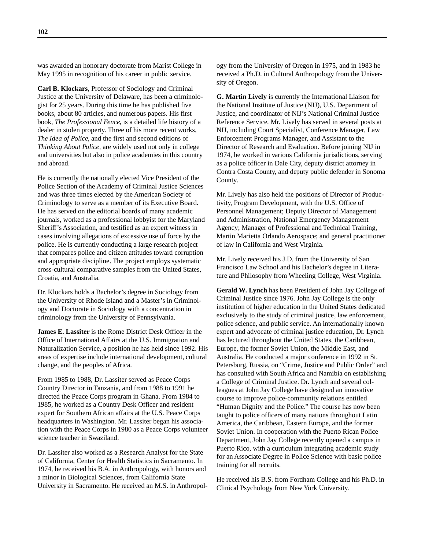was awarded an honorary doctorate from Marist College in May 1995 in recognition of his career in public service.

**Carl B. Klockars**, Professor of Sociology and Criminal Justice at the University of Delaware, has been a criminologist for 25 years. During this time he has published five books, about 80 articles, and numerous papers. His first book, *The Professional Fence,* is a detailed life history of a dealer in stolen property. Three of his more recent works, *The Idea of Police,* and the first and second editions of *Thinking About Police,* are widely used not only in college and universities but also in police academies in this country and abroad.

He is currently the nationally elected Vice President of the Police Section of the Academy of Criminal Justice Sciences and was three times elected by the American Society of Criminology to serve as a member of its Executive Board. He has served on the editorial boards of many academic journals, worked as a professional lobbyist for the Maryland Sheriff's Association, and testified as an expert witness in cases involving allegations of excessive use of force by the police. He is currently conducting a large research project that compares police and citizen attitudes toward corruption and appropriate discipline. The project employs systematic cross-cultural comparative samples from the United States, Croatia, and Australia.

Dr. Klockars holds a Bachelor's degree in Sociology from the University of Rhode Island and a Master's in Criminology and Doctorate in Sociology with a concentration in criminology from the University of Pennsylvania.

**James E. Lassiter** is the Rome District Desk Officer in the Office of International Affairs at the U.S. Immigration and Naturalization Service, a position he has held since 1992. His areas of expertise include international development, cultural change, and the peoples of Africa.

From 1985 to 1988, Dr. Lassiter served as Peace Corps Country Director in Tanzania, and from 1988 to 1991 he directed the Peace Corps program in Ghana. From 1984 to 1985, he worked as a Country Desk Officer and resident expert for Southern African affairs at the U.S. Peace Corps headquarters in Washington. Mr. Lassiter began his association with the Peace Corps in 1980 as a Peace Corps volunteer science teacher in Swaziland.

Dr. Lassiter also worked as a Research Analyst for the State of California, Center for Health Statistics in Sacramento. In 1974, he received his B.A. in Anthropology, with honors and a minor in Biological Sciences, from California State University in Sacramento. He received an M.S. in Anthropology from the University of Oregon in 1975, and in 1983 he received a Ph.D. in Cultural Anthropology from the University of Oregon.

**G. Martin Lively** is currently the International Liaison for the National Institute of Justice (NIJ), U.S. Department of Justice, and coordinator of NIJ's National Criminal Justice Reference Service. Mr. Lively has served in several posts at NIJ, including Court Specialist, Conference Manager, Law Enforcement Programs Manager, and Assistant to the Director of Research and Evaluation. Before joining NIJ in 1974, he worked in various California jurisdictions, serving as a police officer in Dale City, deputy district attorney in Contra Costa County, and deputy public defender in Sonoma County.

Mr. Lively has also held the positions of Director of Productivity, Program Development, with the U.S. Office of Personnel Management; Deputy Director of Management and Administration, National Emergency Management Agency; Manager of Professional and Technical Training, Martin Marietta Orlando Aerospace; and general practitioner of law in California and West Virginia.

Mr. Lively received his J.D. from the University of San Francisco Law School and his Bachelor's degree in Literature and Philosophy from Wheeling College, West Virginia.

**Gerald W. Lynch** has been President of John Jay College of Criminal Justice since 1976. John Jay College is the only institution of higher education in the United States dedicated exclusively to the study of criminal justice, law enforcement, police science, and public service. An internationally known expert and advocate of criminal justice education, Dr. Lynch has lectured throughout the United States, the Caribbean, Europe, the former Soviet Union, the Middle East, and Australia. He conducted a major conference in 1992 in St. Petersburg, Russia, on "Crime, Justice and Public Order" and has consulted with South Africa and Namibia on establishing a College of Criminal Justice. Dr. Lynch and several colleagues at John Jay College have designed an innovative course to improve police-community relations entitled "Human Dignity and the Police." The course has now been taught to police officers of many nations throughout Latin America, the Caribbean, Eastern Europe, and the former Soviet Union. In cooperation with the Puerto Rican Police Department, John Jay College recently opened a campus in Puerto Rico, with a curriculum integrating academic study for an Associate Degree in Police Science with basic police training for all recruits.

He received his B.S. from Fordham College and his Ph.D. in Clinical Psychology from New York University.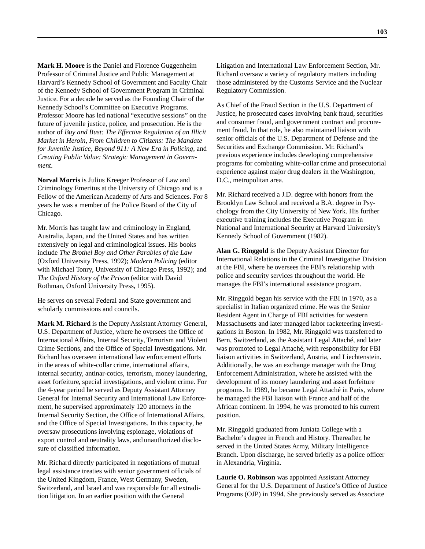**Mark H. Moore** is the Daniel and Florence Guggenheim Professor of Criminal Justice and Public Management at Harvard's Kennedy School of Government and Faculty Chair of the Kennedy School of Government Program in Criminal Justice. For a decade he served as the Founding Chair of the Kennedy School's Committee on Executive Programs. Professor Moore has led national "executive sessions" on the future of juvenile justice, police, and prosecution. He is the author of *Buy and Bust: The Effective Regulation of an Illicit Market in Heroin*, *From Children to Citizens: The Mandate for Juvenile Justice, Beyond 911: A New Era in Policing*, and *Creating Public Value: Strategic Management in Government*.

**Norval Morris** is Julius Kreeger Professor of Law and Criminology Emeritus at the University of Chicago and is a Fellow of the American Academy of Arts and Sciences. For 8 years he was a member of the Police Board of the City of Chicago.

Mr. Morris has taught law and criminology in England, Australia, Japan, and the United States and has written extensively on legal and criminological issues. His books include *The Brothel Boy and Other Parables of the Law* (Oxford University Press, 1992); *Modern Policing* (editor with Michael Tonry, University of Chicago Press, 1992); and *The Oxford History of the Prison* (editor with David Rothman, Oxford University Press, 1995).

He serves on several Federal and State government and scholarly commissions and councils.

**Mark M. Richard** is the Deputy Assistant Attorney General, U.S. Department of Justice, where he oversees the Office of International Affairs, Internal Security, Terrorism and Violent Crime Sections, and the Office of Special Investigations. Mr. Richard has overseen international law enforcement efforts in the areas of white-collar crime, international affairs, internal security, antinar-cotics, terrorism, money laundering, asset forfeiture, special investigations, and violent crime. For the 4-year period he served as Deputy Assistant Attorney General for Internal Security and International Law Enforcement, he supervised approximately 120 attorneys in the Internal Security Section, the Office of International Affairs, and the Office of Special Investigations. In this capacity, he oversaw prosecutions involving espionage, violations of export control and neutrality laws, and unauthorized disclosure of classified information.

Mr. Richard directly participated in negotiations of mutual legal assistance treaties with senior government officials of the United Kingdom, France, West Germany, Sweden, Switzerland, and Israel and was responsible for all extradition litigation. In an earlier position with the General

Litigation and International Law Enforcement Section, Mr. Richard oversaw a variety of regulatory matters including those administered by the Customs Service and the Nuclear Regulatory Commission.

As Chief of the Fraud Section in the U.S. Department of Justice, he prosecuted cases involving bank fraud, securities and consumer fraud, and government contract and procurement fraud. In that role, he also maintained liaison with senior officials of the U.S. Department of Defense and the Securities and Exchange Commission. Mr. Richard's previous experience includes developing comprehensive programs for combating white-collar crime and prosecutorial experience against major drug dealers in the Washington, D.C., metropolitan area.

Mr. Richard received a J.D. degree with honors from the Brooklyn Law School and received a B.A. degree in Psychology from the City University of New York. His further executive training includes the Executive Program in National and International Security at Harvard University's Kennedy School of Government (1982).

**Alan G. Ringgold** is the Deputy Assistant Director for International Relations in the Criminal Investigative Division at the FBI, where he oversees the FBI's relationship with police and security services throughout the world. He manages the FBI's international assistance program.

Mr. Ringgold began his service with the FBI in 1970, as a specialist in Italian organized crime. He was the Senior Resident Agent in Charge of FBI activities for western Massachusetts and later managed labor racketeering investigations in Boston. In 1982, Mr. Ringgold was transferred to Bern, Switzerland, as the Assistant Legal Attaché, and later was promoted to Legal Attaché, with responsibility for FBI liaison activities in Switzerland, Austria, and Liechtenstein. Additionally, he was an exchange manager with the Drug Enforcement Administration, where he assisted with the development of its money laundering and asset forfeiture programs. In 1989, he became Legal Attaché in Paris, where he managed the FBI liaison with France and half of the African continent. In 1994, he was promoted to his current position.

Mr. Ringgold graduated from Juniata College with a Bachelor's degree in French and History. Thereafter, he served in the United States Army, Military Intelligence Branch. Upon discharge, he served briefly as a police officer in Alexandria, Virginia.

**Laurie O. Robinson** was appointed Assistant Attorney General for the U.S. Department of Justice's Office of Justice Programs (OJP) in 1994. She previously served as Associate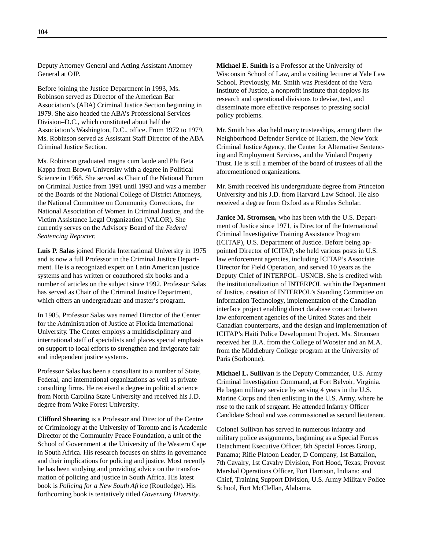Deputy Attorney General and Acting Assistant Attorney General at OJP.

Before joining the Justice Department in 1993, Ms. Robinson served as Director of the American Bar Association's (ABA) Criminal Justice Section beginning in 1979. She also headed the ABA's Professional Services Division–D.C., which constituted about half the Association's Washington, D.C., office. From 1972 to 1979, Ms. Robinson served as Assistant Staff Director of the ABA Criminal Justice Section.

Ms. Robinson graduated magna cum laude and Phi Beta Kappa from Brown University with a degree in Political Science in 1968. She served as Chair of the National Forum on Criminal Justice from 1991 until 1993 and was a member of the Boards of the National College of District Attorneys, the National Committee on Community Corrections, the National Association of Women in Criminal Justice, and the Victim Assistance Legal Organization (VALOR). She currently serves on the Advisory Board of the *Federal Sentencing Reporter.*

**Luis P. Salas** joined Florida International University in 1975 and is now a full Professor in the Criminal Justice Department. He is a recognized expert on Latin American justice systems and has written or coauthored six books and a number of articles on the subject since 1992. Professor Salas has served as Chair of the Criminal Justice Department, which offers an undergraduate and master's program.

In 1985, Professor Salas was named Director of the Center for the Administration of Justice at Florida International University. The Center employs a multidisciplinary and international staff of specialists and places special emphasis on support to local efforts to strengthen and invigorate fair and independent justice systems.

Professor Salas has been a consultant to a number of State, Federal, and international organizations as well as private consulting firms. He received a degree in political science from North Carolina State University and received his J.D. degree from Wake Forest University.

**Clifford Shearing** is a Professor and Director of the Centre of Criminology at the University of Toronto and is Academic Director of the Community Peace Foundation, a unit of the School of Government at the University of the Western Cape in South Africa. His research focuses on shifts in governance and their implications for policing and justice. Most recently he has been studying and providing advice on the transformation of policing and justice in South Africa. His latest book is *Policing for a New South Africa* (Routledge). His forthcoming book is tentatively titled *Governing Diversity*.

**Michael E. Smith** is a Professor at the University of Wisconsin School of Law, and a visiting lecturer at Yale Law School. Previously, Mr. Smith was President of the Vera Institute of Justice, a nonprofit institute that deploys its research and operational divisions to devise, test, and disseminate more effective responses to pressing social policy problems.

Mr. Smith has also held many trusteeships, among them the Neighborhood Defender Service of Harlem, the New York Criminal Justice Agency, the Center for Alternative Sentencing and Employment Services, and the Vinland Property Trust. He is still a member of the board of trustees of all the aforementioned organizations.

Mr. Smith received his undergraduate degree from Princeton University and his J.D. from Harvard Law School. He also received a degree from Oxford as a Rhodes Scholar.

**Janice M. Stromsen,** who has been with the U.S. Department of Justice since 1971, is Director of the International Criminal Investigative Training Assistance Program (ICITAP), U.S. Department of Justice. Before being appointed Director of ICITAP, she held various posts in U.S. law enforcement agencies, including ICITAP's Associate Director for Field Operation, and served 10 years as the Deputy Chief of INTERPOL–USNCB. She is credited with the institutionalization of INTERPOL within the Department of Justice, creation of INTERPOL's Standing Committee on Information Technology, implementation of the Canadian interface project enabling direct database contact between law enforcement agencies of the United States and their Canadian counterparts, and the design and implementation of ICITAP's Haiti Police Development Project. Ms. Stromsen received her B.A. from the College of Wooster and an M.A. from the Middlebury College program at the University of Paris (Sorbonne).

**Michael L. Sullivan** is the Deputy Commander, U.S. Army Criminal Investigation Command, at Fort Belvoir, Virginia. He began military service by serving 4 years in the U.S. Marine Corps and then enlisting in the U.S. Army, where he rose to the rank of sergeant. He attended Infantry Officer Candidate School and was commissioned as second lieutenant.

Colonel Sullivan has served in numerous infantry and military police assignments, beginning as a Special Forces Detachment Executive Officer, 8th Special Forces Group, Panama; Rifle Platoon Leader, D Company, 1st Battalion, 7th Cavalry, 1st Cavalry Division, Fort Hood, Texas; Provost Marshal Operations Officer, Fort Harrison, Indiana; and Chief, Training Support Division, U.S. Army Military Police School, Fort McClellan, Alabama.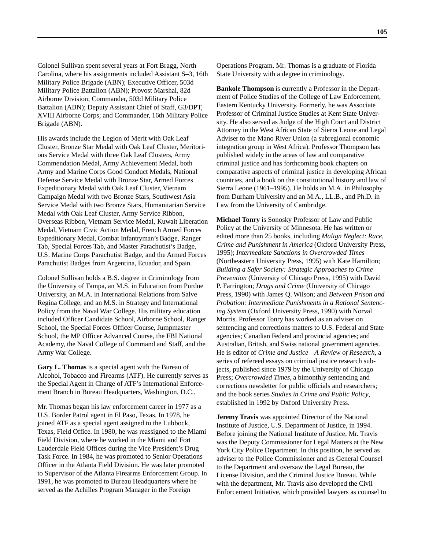Colonel Sullivan spent several years at Fort Bragg, North Carolina, where his assignments included Assistant S–3, 16th Military Police Brigade (ABN); Executive Officer, 503d Military Police Battalion (ABN); Provost Marshal, 82d Airborne Division; Commander, 503d Military Police Battalion (ABN); Deputy Assistant Chief of Staff, G3/DPT, XVIII Airborne Corps; and Commander, 16th Military Police Brigade (ABN).

His awards include the Legion of Merit with Oak Leaf Cluster, Bronze Star Medal with Oak Leaf Cluster, Meritorious Service Medal with three Oak Leaf Clusters, Army Commendation Medal, Army Achievement Medal, both Army and Marine Corps Good Conduct Medals, National Defense Service Medal with Bronze Star, Armed Forces Expeditionary Medal with Oak Leaf Cluster, Vietnam Campaign Medal with two Bronze Stars, Southwest Asia Service Medal with two Bronze Stars, Humanitarian Service Medal with Oak Leaf Cluster, Army Service Ribbon, Overseas Ribbon, Vietnam Service Medal, Kuwait Liberation Medal, Vietnam Civic Action Medal, French Armed Forces Expeditionary Medal, Combat Infantryman's Badge, Ranger Tab, Special Forces Tab, and Master Parachutist's Badge, U.S. Marine Corps Parachutist Badge, and the Armed Forces Parachutist Badges from Argentina, Ecuador, and Spain.

Colonel Sullivan holds a B.S. degree in Criminology from the University of Tampa, an M.S. in Education from Purdue University, an M.A. in International Relations from Salve Regina College, and an M.S. in Strategy and International Policy from the Naval War College. His military education included Officer Candidate School, Airborne School, Ranger School, the Special Forces Officer Course, Jumpmaster School, the MP Officer Advanced Course, the FBI National Academy, the Naval College of Command and Staff, and the Army War College.

**Gary L. Thomas** is a special agent with the Bureau of Alcohol, Tobacco and Firearms (ATF). He currently serves as the Special Agent in Charge of ATF's International Enforcement Branch in Bureau Headquarters, Washington, D.C..

Mr. Thomas began his law enforcement career in 1977 as a U.S. Border Patrol agent in El Paso, Texas. In 1978, he joined ATF as a special agent assigned to the Lubbock, Texas, Field Office. In 1980, he was reassigned to the Miami Field Division, where he worked in the Miami and Fort Lauderdale Field Offices during the Vice President's Drug Task Force. In 1984, he was promoted to Senior Operations Officer in the Atlanta Field Division. He was later promoted to Supervisor of the Atlanta Firearms Enforcement Group. In 1991, he was promoted to Bureau Headquarters where he served as the Achilles Program Manager in the Foreign

Operations Program. Mr. Thomas is a graduate of Florida State University with a degree in criminology.

**Bankole Thompson** is currently a Professor in the Department of Police Studies of the College of Law Enforcement, Eastern Kentucky University. Formerly, he was Associate Professor of Criminal Justice Studies at Kent State University. He also served as Judge of the High Court and District Attorney in the West African State of Sierra Leone and Legal Adviser to the Mano River Union (a subregional economic integration group in West Africa). Professor Thompson has published widely in the areas of law and comparative criminal justice and has forthcoming book chapters on comparative aspects of criminal justice in developing African countries, and a book on the constitutional history and law of Sierra Leone (1961–1995). He holds an M.A. in Philosophy from Durham University and an M.A., LL.B., and Ph.D. in Law from the University of Cambridge.

**Michael Tonry** is Sonosky Professor of Law and Public Policy at the University of Minnesota. He has written or edited more than 25 books, including *Malign Neglect: Race, Crime and Punishment in America* (Oxford University Press, 1995); *Intermediate Sanctions in Overcrowded Times* (Northeastern University Press, 1995) with Kate Hamilton; *Building a Safer Society: Strategic Approaches to Crime Prevention* (University of Chicago Press, 1995) with David P. Farrington; *Drugs and Crime* (University of Chicago Press, 1990) with James Q. Wilson; and *Between Prison and Probation: Intermediate Punishments in a Rational Sentencing System* (Oxford University Press, 1990) with Norval Morris. Professor Tonry has worked as an adviser on sentencing and corrections matters to U.S. Federal and State agencies; Canadian Federal and provincial agencies; and Australian, British, and Swiss national government agencies. He is editor of *Crime and Justice—A Review of Research*, a series of refereed essays on criminal justice research subjects, published since 1979 by the University of Chicago Press; *Overcrowded Times,* a bimonthly sentencing and corrections newsletter for public officials and researchers; and the book series *Studies in Crime and Public Policy*, established in 1992 by Oxford University Press.

**Jeremy Travis** was appointed Director of the National Institute of Justice, U.S. Department of Justice, in 1994. Before joining the National Institute of Justice, Mr. Travis was the Deputy Commissioner for Legal Matters at the New York City Police Department. In this position, he served as adviser to the Police Commissioner and as General Counsel to the Department and oversaw the Legal Bureau, the License Division, and the Criminal Justice Bureau. While with the department, Mr. Travis also developed the Civil Enforcement Initiative, which provided lawyers as counsel to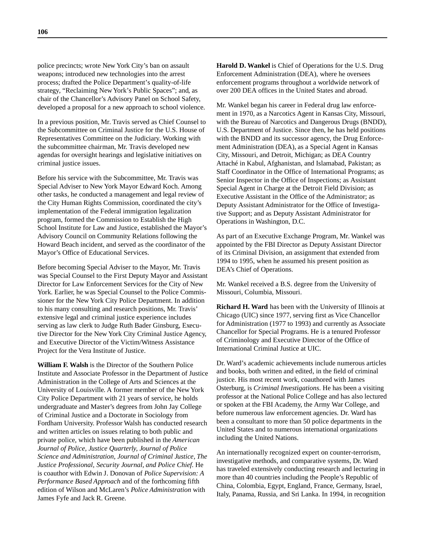police precincts; wrote New York City's ban on assault weapons; introduced new technologies into the arrest process; drafted the Police Department's quality-of-life strategy, "Reclaiming New York's Public Spaces"; and, as chair of the Chancellor's Advisory Panel on School Safety, developed a proposal for a new approach to school violence.

In a previous position, Mr. Travis served as Chief Counsel to the Subcommittee on Criminal Justice for the U.S. House of Representatives Committee on the Judiciary. Working with the subcommittee chairman, Mr. Travis developed new agendas for oversight hearings and legislative initiatives on criminal justice issues.

Before his service with the Subcommittee, Mr. Travis was Special Adviser to New York Mayor Edward Koch. Among other tasks, he conducted a management and legal review of the City Human Rights Commission, coordinated the city's implementation of the Federal immigration legalization program, formed the Commission to Establish the High School Institute for Law and Justice, established the Mayor's Advisory Council on Community Relations following the Howard Beach incident, and served as the coordinator of the Mayor's Office of Educational Services.

Before becoming Special Adviser to the Mayor, Mr. Travis was Special Counsel to the First Deputy Mayor and Assistant Director for Law Enforcement Services for the City of New York. Earlier, he was Special Counsel to the Police Commissioner for the New York City Police Department. In addition to his many consulting and research positions, Mr. Travis' extensive legal and criminal justice experience includes serving as law clerk to Judge Ruth Bader Ginsburg, Executive Director for the New York City Criminal Justice Agency, and Executive Director of the Victim/Witness Assistance Project for the Vera Institute of Justice.

**William F. Walsh** is the Director of the Southern Police Institute and Associate Professor in the Department of Justice Administration in the College of Arts and Sciences at the University of Louisville. A former member of the New York City Police Department with 21 years of service, he holds undergraduate and Master's degrees from John Jay College of Criminal Justice and a Doctorate in Sociology from Fordham University. Professor Walsh has conducted research and written articles on issues relating to both public and private police, which have been published in the *American Journal of Police, Justice Quarterly, Journal of Police Science and Administration, Journal of Criminal Justice, The Justice Professional, Security Journal, and Police Chief*. He is coauthor with Edwin J. Donovan of *Police Supervision: A Performance Based Approach* and of the forthcoming fifth edition of Wilson and McLaren's *Police Administration* with James Fyfe and Jack R. Greene.

**Harold D. Wankel** is Chief of Operations for the U.S. Drug Enforcement Administration (DEA), where he oversees enforcement programs throughout a worldwide network of over 200 DEA offices in the United States and abroad.

Mr. Wankel began his career in Federal drug law enforcement in 1970, as a Narcotics Agent in Kansas City, Missouri, with the Bureau of Narcotics and Dangerous Drugs (BNDD), U.S. Department of Justice. Since then, he has held positions with the BNDD and its successor agency, the Drug Enforcement Administration (DEA), as a Special Agent in Kansas City, Missouri, and Detroit, Michigan; as DEA Country Attaché in Kabul, Afghanistan, and Islamabad, Pakistan; as Staff Coordinator in the Office of International Programs; as Senior Inspector in the Office of Inspections; as Assistant Special Agent in Charge at the Detroit Field Division; as Executive Assistant in the Office of the Administrator; as Deputy Assistant Administrator for the Office of Investigative Support; and as Deputy Assistant Administrator for Operations in Washington, D.C.

As part of an Executive Exchange Program, Mr. Wankel was appointed by the FBI Director as Deputy Assistant Director of its Criminal Division, an assignment that extended from 1994 to 1995, when he assumed his present position as DEA's Chief of Operations.

Mr. Wankel received a B.S. degree from the University of Missouri, Columbia, Missouri.

**Richard H. Ward** has been with the University of Illinois at Chicago (UIC) since 1977, serving first as Vice Chancellor for Administration (1977 to 1993) and currently as Associate Chancellor for Special Programs. He is a tenured Professor of Criminology and Executive Director of the Office of International Criminal Justice at UIC.

Dr. Ward's academic achievements include numerous articles and books, both written and edited, in the field of criminal justice. His most recent work, coauthored with James Osterburg, is *Criminal Investigations*. He has been a visiting professor at the National Police College and has also lectured or spoken at the FBI Academy, the Army War College, and before numerous law enforcement agencies. Dr. Ward has been a consultant to more than 50 police departments in the United States and to numerous international organizations including the United Nations.

An internationally recognized expert on counter-terrorism, investigative methods, and comparative systems, Dr. Ward has traveled extensively conducting research and lecturing in more than 40 countries including the People's Republic of China, Colombia, Egypt, England, France, Germany, Israel, Italy, Panama, Russia, and Sri Lanka. In 1994, in recognition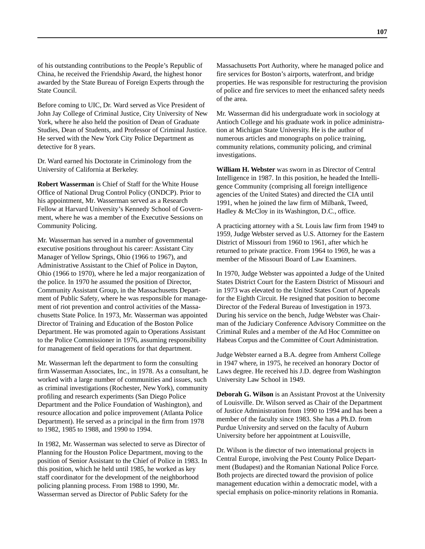of his outstanding contributions to the People's Republic of China, he received the Friendship Award, the highest honor awarded by the State Bureau of Foreign Experts through the State Council.

Before coming to UIC, Dr. Ward served as Vice President of John Jay College of Criminal Justice, City University of New York, where he also held the position of Dean of Graduate Studies, Dean of Students, and Professor of Criminal Justice. He served with the New York City Police Department as detective for 8 years.

Dr. Ward earned his Doctorate in Criminology from the University of California at Berkeley.

**Robert Wasserman** is Chief of Staff for the White House Office of National Drug Control Policy (ONDCP). Prior to his appointment, Mr. Wasserman served as a Research Fellow at Harvard University's Kennedy School of Government, where he was a member of the Executive Sessions on Community Policing.

Mr. Wasserman has served in a number of governmental executive positions throughout his career: Assistant City Manager of Yellow Springs, Ohio (1966 to 1967), and Administrative Assistant to the Chief of Police in Dayton, Ohio (1966 to 1970), where he led a major reorganization of the police. In 1970 he assumed the position of Director, Community Assistant Group, in the Massachusetts Department of Public Safety, where he was responsible for management of riot prevention and control activities of the Massachusetts State Police. In 1973, Mr. Wasserman was appointed Director of Training and Education of the Boston Police Department. He was promoted again to Operations Assistant to the Police Commissioner in 1976, assuming responsibility for management of field operations for that department.

Mr. Wasserman left the department to form the consulting firm Wasserman Associates, Inc., in 1978. As a consultant, he worked with a large number of communities and issues, such as criminal investigations (Rochester, New York), community profiling and research experiments (San Diego Police Department and the Police Foundation of Washington), and resource allocation and police improvement (Atlanta Police Department). He served as a principal in the firm from 1978 to 1982, 1985 to 1988, and 1990 to 1994.

In 1982, Mr. Wasserman was selected to serve as Director of Planning for the Houston Police Department, moving to the position of Senior Assistant to the Chief of Police in 1983. In this position, which he held until 1985, he worked as key staff coordinator for the development of the neighborhood policing planning process. From 1988 to 1990, Mr. Wasserman served as Director of Public Safety for the

Massachusetts Port Authority, where he managed police and fire services for Boston's airports, waterfront, and bridge properties. He was responsible for restructuring the provision of police and fire services to meet the enhanced safety needs of the area.

Mr. Wasserman did his undergraduate work in sociology at Antioch College and his graduate work in police administration at Michigan State University. He is the author of numerous articles and monographs on police training, community relations, community policing, and criminal investigations.

**William H. Webster** was sworn in as Director of Central Intelligence in 1987. In this position, he headed the Intelligence Community (comprising all foreign intelligence agencies of the United States) and directed the CIA until 1991, when he joined the law firm of Milbank, Tweed, Hadley & McCloy in its Washington, D.C., office.

A practicing attorney with a St. Louis law firm from 1949 to 1959, Judge Webster served as U.S. Attorney for the Eastern District of Missouri from 1960 to 1961, after which he returned to private practice. From 1964 to 1969, he was a member of the Missouri Board of Law Examiners.

In 1970, Judge Webster was appointed a Judge of the United States District Court for the Eastern District of Missouri and in 1973 was elevated to the United States Court of Appeals for the Eighth Circuit. He resigned that position to become Director of the Federal Bureau of Investigation in 1973. During his service on the bench, Judge Webster was Chairman of the Judiciary Conference Advisory Committee on the Criminal Rules and a member of the Ad Hoc Committee on Habeas Corpus and the Committee of Court Administration.

Judge Webster earned a B.A. degree from Amherst College in 1947 where, in 1975, he received an honorary Doctor of Laws degree. He received his J.D. degree from Washington University Law School in 1949.

**Deborah G. Wilson** is an Assistant Provost at the University of Louisville. Dr. Wilson served as Chair of the Department of Justice Administration from 1990 to 1994 and has been a member of the faculty since 1983. She has a Ph.D. from Purdue University and served on the faculty of Auburn University before her appointment at Louisville,

Dr. Wilson is the director of two international projects in Central Europe, involving the Pest County Police Department (Budapest) and the Romanian National Police Force. Both projects are directed toward the provision of police management education within a democratic model, with a special emphasis on police-minority relations in Romania.